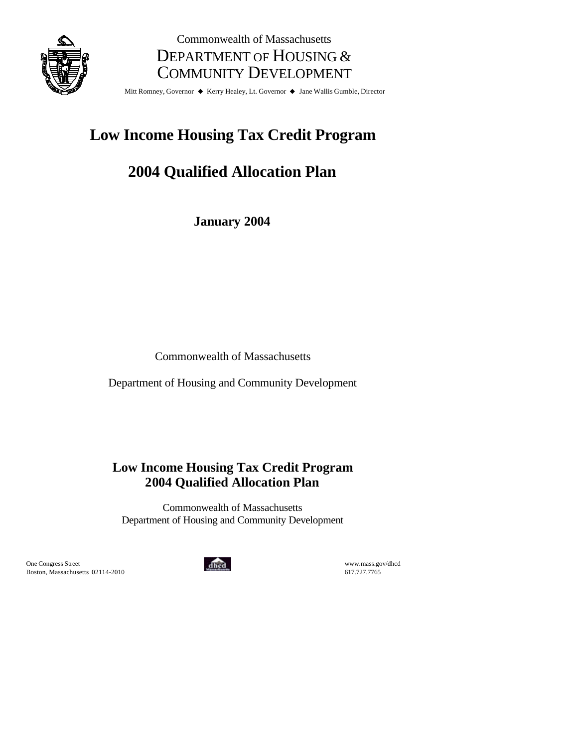

Commonwealth of Massachusetts DEPARTMENT OF HOUSING & COMMUNITY DEVELOPMENT

Mitt Romney, Governor  $\triangle$  Kerry Healey, Lt. Governor  $\triangle$  Jane Wallis Gumble, Director

# **Low Income Housing Tax Credit Program**

# **2004 Qualified Allocation Plan**

**January 2004**

Commonwealth of Massachusetts

Department of Housing and Community Development

## **Low Income Housing Tax Credit Program 2004 Qualified Allocation Plan**

Commonwealth of Massachusetts Department of Housing and Community Development

One Congress Street www.mass.gov/dhcd Boston, Massachusetts 02114-2010 617.727.7765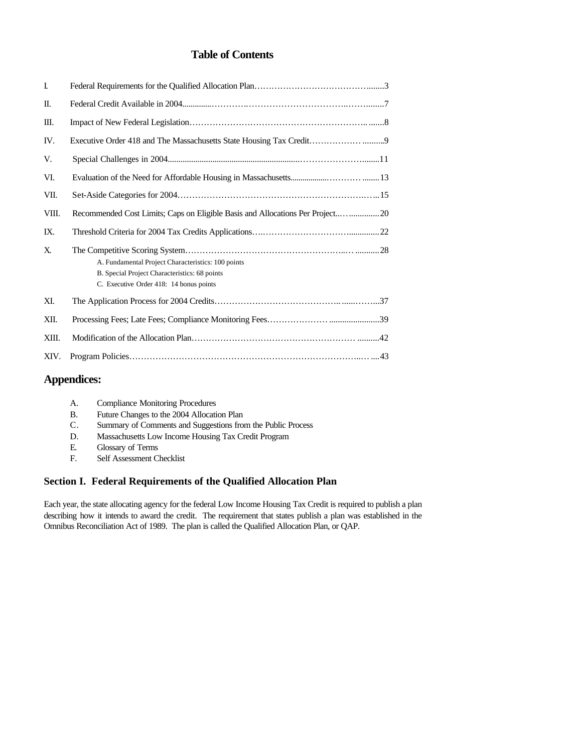## **Table of Contents**

| L     |                                                                                                                                                |  |  |  |  |
|-------|------------------------------------------------------------------------------------------------------------------------------------------------|--|--|--|--|
| П.    |                                                                                                                                                |  |  |  |  |
| Ш.    |                                                                                                                                                |  |  |  |  |
| IV.   | Executive Order 418 and The Massachusetts State Housing Tax Credit9                                                                            |  |  |  |  |
| V.    |                                                                                                                                                |  |  |  |  |
| VI.   |                                                                                                                                                |  |  |  |  |
| VII.  |                                                                                                                                                |  |  |  |  |
| VIII. | Recommended Cost Limits; Caps on Eligible Basis and Allocations Per Project 20                                                                 |  |  |  |  |
|       |                                                                                                                                                |  |  |  |  |
| IX.   |                                                                                                                                                |  |  |  |  |
| X.    | A. Fundamental Project Characteristics: 100 points<br>B. Special Project Characteristics: 68 points<br>C. Executive Order 418: 14 bonus points |  |  |  |  |
| XI.   |                                                                                                                                                |  |  |  |  |
| XII.  |                                                                                                                                                |  |  |  |  |
| XIII. |                                                                                                                                                |  |  |  |  |

## **Appendices:**

| A. | <b>Compliance Monitoring Procedures</b> |  |
|----|-----------------------------------------|--|
|    |                                         |  |

- B. Future Changes to the 2004 Allocation Plan
- C. Summary of Comments and Suggestions from the Public Process
- D. Massachusetts Low Income Housing Tax Credit Program
- E. Glossary of Terms
- F. Self Assessment Checklist

## **Section I. Federal Requirements of the Qualified Allocation Plan**

Each year, the state allocating agency for the federal Low Income Housing Tax Credit is required to publish a plan describing how it intends to award the credit. The requirement that states publish a plan was established in the Omnibus Reconciliation Act of 1989. The plan is called the Qualified Allocation Plan, or QAP.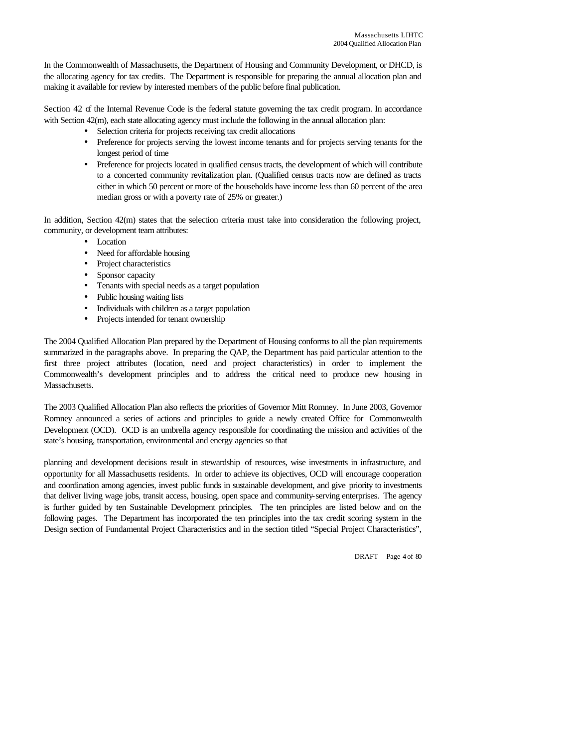In the Commonwealth of Massachusetts, the Department of Housing and Community Development, or DHCD, is the allocating agency for tax credits. The Department is responsible for preparing the annual allocation plan and making it available for review by interested members of the public before final publication.

Section 42 of the Internal Revenue Code is the federal statute governing the tax credit program. In accordance with Section 42(m), each state allocating agency must include the following in the annual allocation plan:

- Selection criteria for projects receiving tax credit allocations
- Preference for projects serving the lowest income tenants and for projects serving tenants for the longest period of time
- Preference for projects located in qualified census tracts, the development of which will contribute to a concerted community revitalization plan. (Qualified census tracts now are defined as tracts either in which 50 percent or more of the households have income less than 60 percent of the area median gross or with a poverty rate of 25% or greater.)

In addition, Section 42(m) states that the selection criteria must take into consideration the following project, community, or development team attributes:

- Location
- Need for affordable housing
- Project characteristics
- Sponsor capacity
- Tenants with special needs as a target population
- Public housing waiting lists
- Individuals with children as a target population
- Projects intended for tenant ownership

The 2004 Qualified Allocation Plan prepared by the Department of Housing conforms to all the plan requirements summarized in the paragraphs above. In preparing the QAP, the Department has paid particular attention to the first three project attributes (location, need and project characteristics) in order to implement the Commonwealth's development principles and to address the critical need to produce new housing in Massachusetts.

The 2003 Qualified Allocation Plan also reflects the priorities of Governor Mitt Romney. In June 2003, Governor Romney announced a series of actions and principles to guide a newly created Office for Commonwealth Development (OCD). OCD is an umbrella agency responsible for coordinating the mission and activities of the state's housing, transportation, environmental and energy agencies so that

planning and development decisions result in stewardship of resources, wise investments in infrastructure, and opportunity for all Massachusetts residents. In order to achieve its objectives, OCD will encourage cooperation and coordination among agencies, invest public funds in sustainable development, and give priority to investments that deliver living wage jobs, transit access, housing, open space and community-serving enterprises. The agency is further guided by ten Sustainable Development principles. The ten principles are listed below and on the following pages. The Department has incorporated the ten principles into the tax credit scoring system in the Design section of Fundamental Project Characteristics and in the section titled "Special Project Characteristics",

DRAFT Page 4 of 80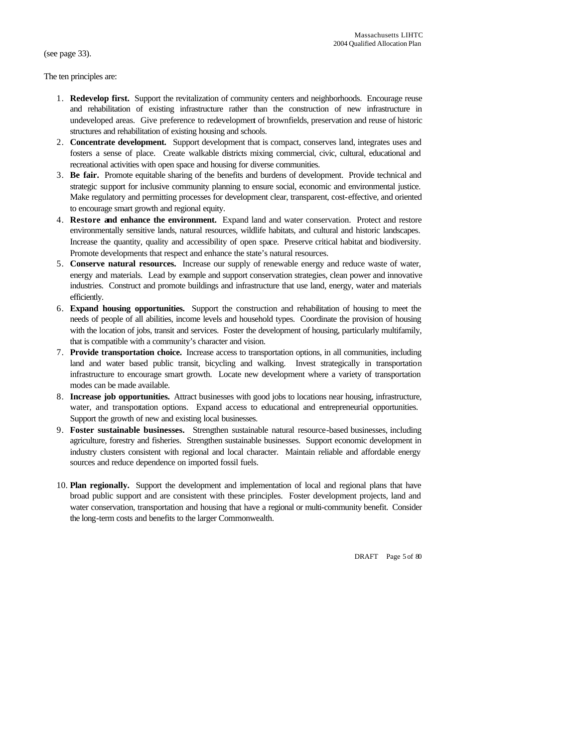(see page 33).

The ten principles are:

- 1. **Redevelop first.** Support the revitalization of community centers and neighborhoods. Encourage reuse and rehabilitation of existing infrastructure rather than the construction of new infrastructure in undeveloped areas. Give preference to redevelopment of brownfields, preservation and reuse of historic structures and rehabilitation of existing housing and schools.
- 2. **Concentrate development.** Support development that is compact, conserves land, integrates uses and fosters a sense of place. Create walkable districts mixing commercial, civic, cultural, educational and recreational activities with open space and housing for diverse communities.
- 3. **Be fair.** Promote equitable sharing of the benefits and burdens of development. Provide technical and strategic support for inclusive community planning to ensure social, economic and environmental justice. Make regulatory and permitting processes for development clear, transparent, cost-effective, and oriented to encourage smart growth and regional equity.
- 4. **Restore and enhance the environment.** Expand land and water conservation. Protect and restore environmentally sensitive lands, natural resources, wildlife habitats, and cultural and historic landscapes. Increase the quantity, quality and accessibility of open space. Preserve critical habitat and biodiversity. Promote developments that respect and enhance the state's natural resources.
- 5. **Conserve natural resources.** Increase our supply of renewable energy and reduce waste of water, energy and materials. Lead by example and support conservation strategies, clean power and innovative industries. Construct and promote buildings and infrastructure that use land, energy, water and materials efficiently.
- 6. **Expand housing opportunities.** Support the construction and rehabilitation of housing to meet the needs of people of all abilities, income levels and household types. Coordinate the provision of housing with the location of jobs, transit and services. Foster the development of housing, particularly multifamily, that is compatible with a community's character and vision.
- 7. **Provide transportation choice.** Increase access to transportation options, in all communities, including land and water based public transit, bicycling and walking. Invest strategically in transportation infrastructure to encourage smart growth. Locate new development where a variety of transportation modes can be made available.
- 8. **Increase job opportunities.** Attract businesses with good jobs to locations near housing, infrastructure, water, and transportation options. Expand access to educational and entrepreneurial opportunities. Support the growth of new and existing local businesses.
- 9. **Foster sustainable businesses.** Strengthen sustainable natural resource-based businesses, including agriculture, forestry and fisheries. Strengthen sustainable businesses. Support economic development in industry clusters consistent with regional and local character. Maintain reliable and affordable energy sources and reduce dependence on imported fossil fuels.
- 10. **Plan regionally.** Support the development and implementation of local and regional plans that have broad public support and are consistent with these principles. Foster development projects, land and water conservation, transportation and housing that have a regional or multi-community benefit. Consider the long-term costs and benefits to the larger Commonwealth.

DRAFT Page 5 of 80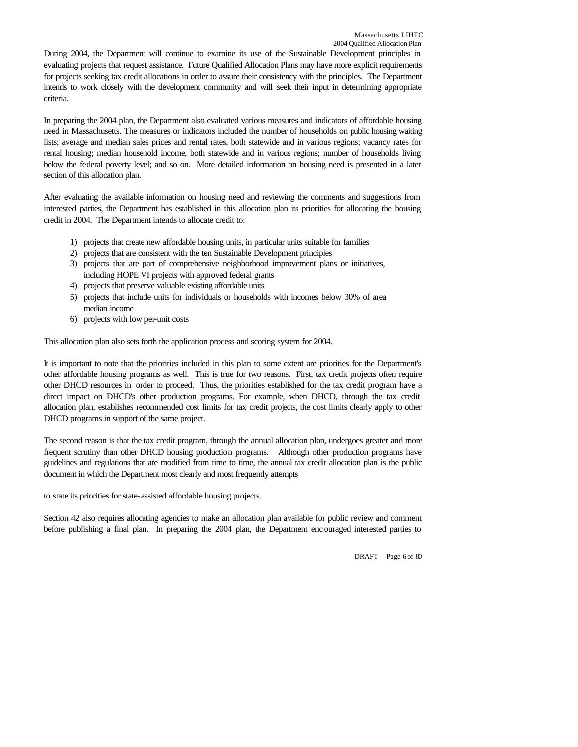During 2004, the Department will continue to examine its use of the Sustainable Development principles in evaluating projects that request assistance. Future Qualified Allocation Plans may have more explicit requirements for projects seeking tax credit allocations in order to assure their consistency with the principles. The Department intends to work closely with the development community and will seek their input in determining appropriate criteria.

In preparing the 2004 plan, the Department also evaluated various measures and indicators of affordable housing need in Massachusetts. The measures or indicators included the number of households on public housing waiting lists; average and median sales prices and rental rates, both statewide and in various regions; vacancy rates for rental housing; median household income, both statewide and in various regions; number of households living below the federal poverty level; and so on. More detailed information on housing need is presented in a later section of this allocation plan.

After evaluating the available information on housing need and reviewing the comments and suggestions from interested parties, the Department has established in this allocation plan its priorities for allocating the housing credit in 2004. The Department intends to allocate credit to:

- 1) projects that create new affordable housing units, in particular units suitable for families
- 2) projects that are consistent with the ten Sustainable Development principles
- 3) projects that are part of comprehensive neighborhood improvement plans or initiatives, including HOPE VI projects with approved federal grants
- 4) projects that preserve valuable existing affordable units
- 5) projects that include units for individuals or households with incomes below 30% of area median income
- 6) projects with low per-unit costs

This allocation plan also sets forth the application process and scoring system for 2004.

It is important to note that the priorities included in this plan to some extent are priorities for the Department's other affordable housing programs as well. This is true for two reasons. First, tax credit projects often require other DHCD resources in order to proceed. Thus, the priorities established for the tax credit program have a direct impact on DHCD's other production programs. For example, when DHCD, through the tax credit allocation plan, establishes recommended cost limits for tax credit projects, the cost limits clearly apply to other DHCD programs in support of the same project.

The second reason is that the tax credit program, through the annual allocation plan, undergoes greater and more frequent scrutiny than other DHCD housing production programs. Although other production programs have guidelines and regulations that are modified from time to time, the annual tax credit allocation plan is the public document in which the Department most clearly and most frequently attempts

to state its priorities for state-assisted affordable housing projects.

Section 42 also requires allocating agencies to make an allocation plan available for public review and comment before publishing a final plan. In preparing the 2004 plan, the Department encouraged interested parties to

DRAFT Page 6 of 80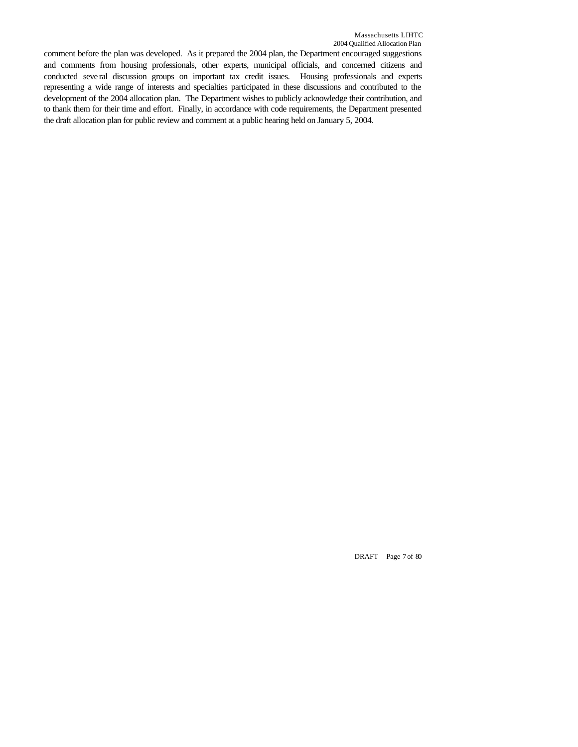#### Massachusetts LIHTC 2004 Qualified Allocation Plan

comment before the plan was developed. As it prepared the 2004 plan, the Department encouraged suggestions and comments from housing professionals, other experts, municipal officials, and concerned citizens and conducted seve ral discussion groups on important tax credit issues. Housing professionals and experts representing a wide range of interests and specialties participated in these discussions and contributed to the development of the 2004 allocation plan. The Department wishes to publicly acknowledge their contribution, and to thank them for their time and effort. Finally, in accordance with code requirements, the Department presented the draft allocation plan for public review and comment at a public hearing held on January 5, 2004.

DRAFT Page 7 of 80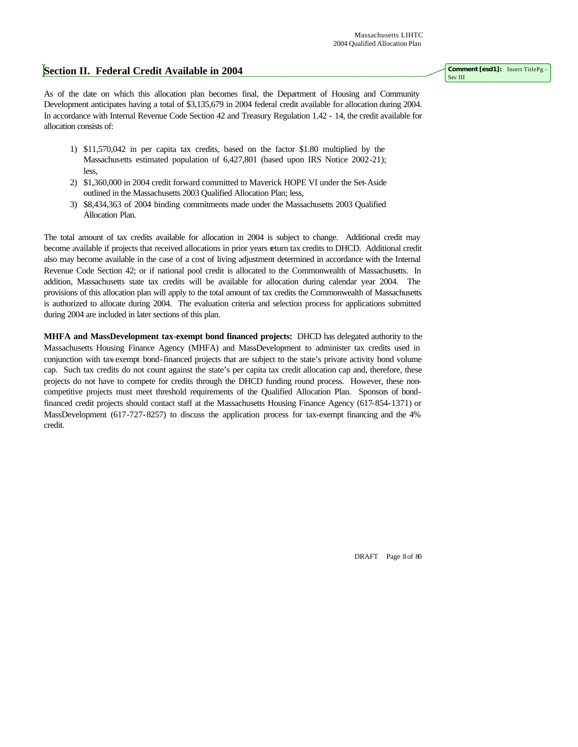## **Section II. Federal Credit Available in 2004**

As of the date on which this allocation plan becomes final, the Department of Housing and Community Development anticipates having a total of \$3,135,679 in 2004 federal credit available for allocation during 2004. In accordance with Internal Revenue Code Section 42 and Treasury Regulation 1.42 - 14, the credit available for allocation consists of:

- 1) \$11,570,042 in per capita tax credits, based on the factor \$1.80 multiplied by the Massachusetts estimated population of 6,427,801 (based upon IRS Notice 2002-21); less,
- 2) \$1,360,000 in 2004 credit forward committed to Maverick HOPE VI under the Set-Aside outlined in the Massachusetts 2003 Qualified Allocation Plan; less,
- 3) \$8,434,363 of 2004 binding commitments made under the Massachusetts 2003 Qualified Allocation Plan.

The total amount of tax credits available for allocation in 2004 is subject to change. Additional credit may become available if projects that received allocations in prior years return tax credits to DHCD. Additional credit also may become available in the case of a cost of living adjustment determined in accordance with the Internal Revenue Code Section 42; or if national pool credit is allocated to the Commonwealth of Massachusetts. In addition, Massachusetts state tax credits will be available for allocation during calendar year 2004. The provisions of this allocation plan will apply to the total amount of tax credits the Commonwealth of Massachusetts is authorized to allocate during 2004. The evaluation criteria and selection process for applications submitted during 2004 are included in later sections of this plan.

**MHFA and MassDevelopment tax-exempt bond financed projects:** DHCD has delegated authority to the Massachusetts Housing Finance Agency (MHFA) and MassDevelopment to administer tax credits used in conjunction with tax-exempt bond-financed projects that are subject to the state's private activity bond volume cap. Such tax credits do not count against the state's per capita tax credit allocation cap and, therefore, these projects do not have to compete for credits through the DHCD funding round process. However, these noncompetitive projects must meet threshold requirements of the Qualified Allocation Plan. Sponsors of bondfinanced credit projects should contact staff at the Massachusetts Housing Finance Agency (617-854-1371) or MassDevelopment (617-727-8257) to discuss the application process for tax-exempt financing and the 4% credit.

DRAFT Page 8 of 80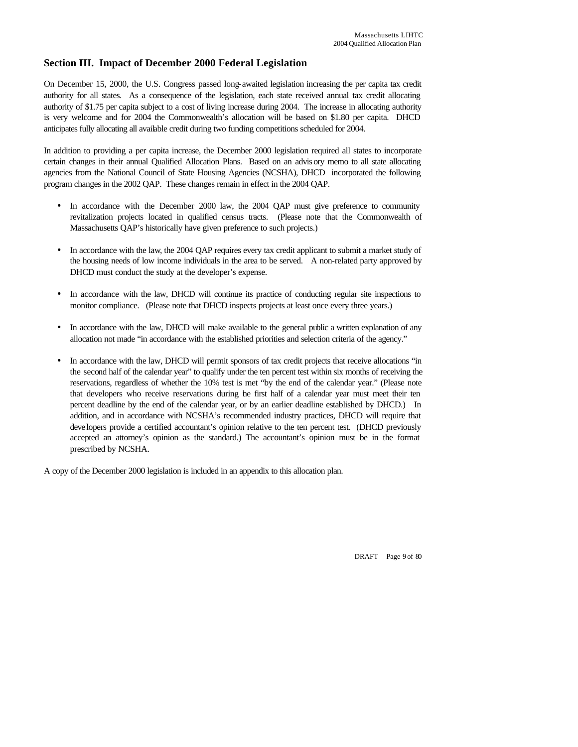## **Section III. Impact of December 2000 Federal Legislation**

On December 15, 2000, the U.S. Congress passed long-awaited legislation increasing the per capita tax credit authority for all states. As a consequence of the legislation, each state received annual tax credit allocating authority of \$1.75 per capita subject to a cost of living increase during 2004. The increase in allocating authority is very welcome and for 2004 the Commonwealth's allocation will be based on \$1.80 per capita. DHCD anticipates fully allocating all available credit during two funding competitions scheduled for 2004.

In addition to providing a per capita increase, the December 2000 legislation required all states to incorporate certain changes in their annual Qualified Allocation Plans. Based on an advisory memo to all state allocating agencies from the National Council of State Housing Agencies (NCSHA), DHCD incorporated the following program changes in the 2002 QAP. These changes remain in effect in the 2004 QAP.

- In accordance with the December 2000 law, the 2004 QAP must give preference to community revitalization projects located in qualified census tracts. (Please note that the Commonwealth of Massachusetts QAP's historically have given preference to such projects.)
- In accordance with the law, the 2004 QAP requires every tax credit applicant to submit a market study of the housing needs of low income individuals in the area to be served. A non-related party approved by DHCD must conduct the study at the developer's expense.
- In accordance with the law, DHCD will continue its practice of conducting regular site inspections to monitor compliance. (Please note that DHCD inspects projects at least once every three years.)
- In accordance with the law, DHCD will make available to the general public a written explanation of any allocation not made "in accordance with the established priorities and selection criteria of the agency."
- In accordance with the law, DHCD will permit sponsors of tax credit projects that receive allocations "in the second half of the calendar year" to qualify under the ten percent test within six months of receiving the reservations, regardless of whether the 10% test is met "by the end of the calendar year." (Please note that developers who receive reservations during he first half of a calendar year must meet their ten percent deadline by the end of the calendar year, or by an earlier deadline established by DHCD.) In addition, and in accordance with NCSHA's recommended industry practices, DHCD will require that developers provide a certified accountant's opinion relative to the ten percent test. (DHCD previously accepted an attorney's opinion as the standard.) The accountant's opinion must be in the format prescribed by NCSHA.

A copy of the December 2000 legislation is included in an appendix to this allocation plan.

DRAFT Page 9 of 80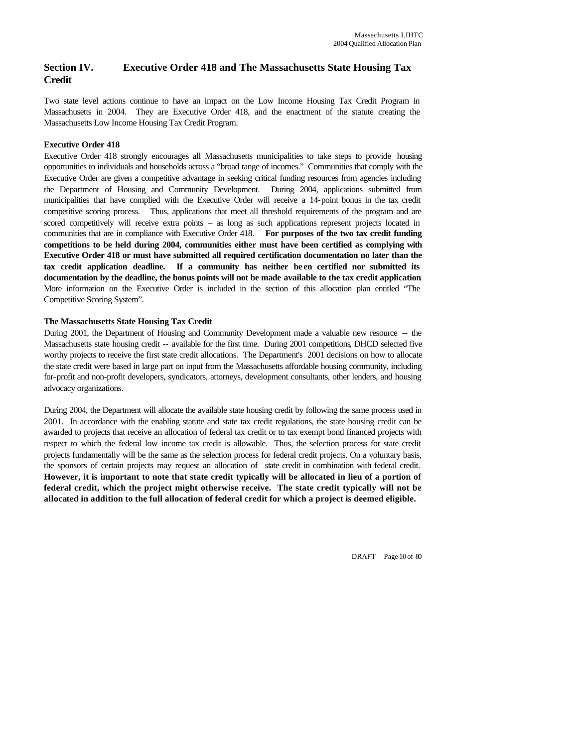## **Section IV. Executive Order 418 and The Massachusetts State Housing Tax Credit**

Two state level actions continue to have an impact on the Low Income Housing Tax Credit Program in Massachusetts in 2004. They are Executive Order 418, and the enactment of the statute creating the Massachusetts Low Income Housing Tax Credit Program.

#### **Executive Order 418**

Executive Order 418 strongly encourages all Massachusetts municipalities to take steps to provide housing opportunities to individuals and households across a "broad range of incomes." Communities that comply with the Executive Order are given a competitive advantage in seeking critical funding resources from agencies including the Department of Housing and Community Development. During 2004, applications submitted from municipalities that have complied with the Executive Order will receive a 14-point bonus in the tax credit competitive scoring process. Thus, applications that meet all threshold requirements of the program and are scored competitively will receive extra points – as long as such applications represent projects located in communities that are in compliance with Executive Order 418. **For purposes of the two tax credit funding competitions to be held during 2004, communities either must have been certified as complying with Executive Order 418 or must have submitted all required certification documentation no later than the tax credit application deadline. If a community has neither be en certified nor submitted its documentation by the deadline, the bonus points will not be made available to the tax credit application**. More information on the Executive Order is included in the section of this allocation plan entitled "The Competitive Scoring System".

#### **The Massachusetts State Housing Tax Credit**

During 2001, the Department of Housing and Community Development made a valuable new resource -- the Massachusetts state housing credit -- available for the first time. During 2001 competitions, DHCD selected five worthy projects to receive the first state credit allocations. The Department's 2001 decisions on how to allocate the state credit were based in large part on input from the Massachusetts affordable housing community, including for-profit and non-profit developers, syndicators, attorneys, development consultants, other lenders, and housing advocacy organizations.

During 2004, the Department will allocate the available state housing credit by following the same process used in 2001. In accordance with the enabling statute and state tax credit regulations, the state housing credit can be awarded to projects that receive an allocation of federal tax credit or to tax exempt bond financed projects with respect to which the federal low income tax credit is allowable. Thus, the selection process for state credit projects fundamentally will be the same as the selection process for federal credit projects. On a voluntary basis, the sponsors of certain projects may request an allocation of state credit in combination with federal credit. **However, it is important to note that state credit typically will be allocated in lieu of a portion of federal credit, which the project might otherwise receive. The state credit typically will not be allocated in addition to the full allocation of federal credit for which a project is deemed eligible.** 

DRAFT Page 10 of 80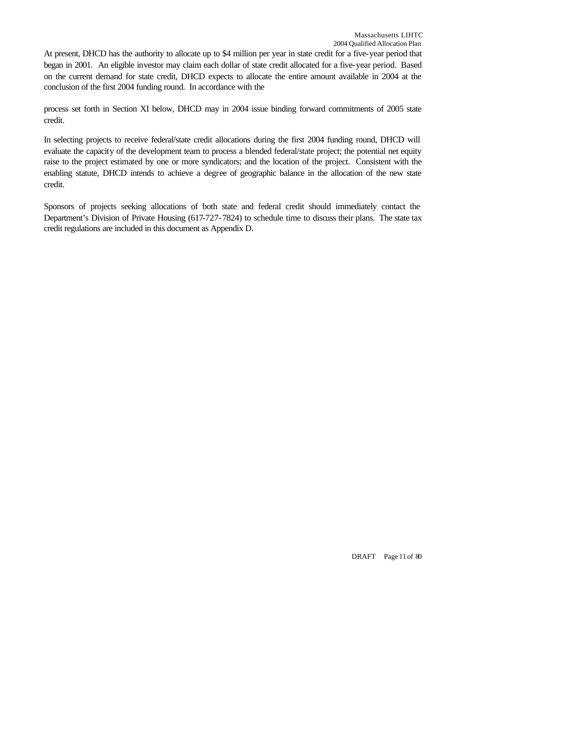At present, DHCD has the authority to allocate up to \$4 million per year in state credit for a five-year period that began in 2001. An eligible investor may claim each dollar of state credit allocated for a five-year period. Based on the current demand for state credit, DHCD expects to allocate the entire amount available in 2004 at the conclusion of the first 2004 funding round. In accordance with the

process set forth in Section XI below, DHCD may in 2004 issue binding forward commitments of 2005 state credit.

In selecting projects to receive federal/state credit allocations during the first 2004 funding round, DHCD will evaluate the capacity of the development team to process a blended federal/state project; the potential net equity raise to the project estimated by one or more syndicators; and the location of the project. Consistent with the enabling statute, DHCD intends to achieve a degree of geographic balance in the allocation of the new state credit.

Sponsors of projects seeking allocations of both state and federal credit should immediately contact the Department's Division of Private Housing (617-727-7824) to schedule time to discuss their plans. The state tax credit regulations are included in this document as Appendix D.

DRAFT Page 11 of 80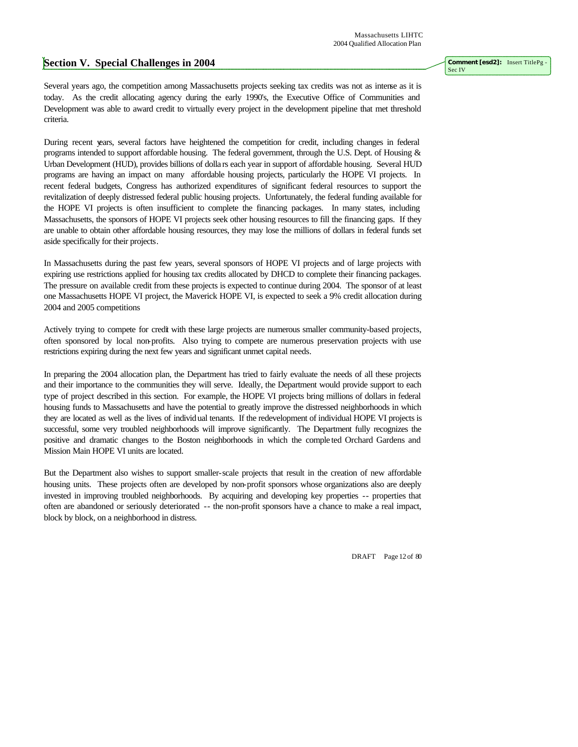**Comment [esd2]:** Insert TitlePg Sec IV

Several years ago, the competition among Massachusetts projects seeking tax credits was not as intense as it is today. As the credit allocating agency during the early 1990's, the Executive Office of Communities and Development was able to award credit to virtually every project in the development pipeline that met threshold criteria.

During recent years, several factors have heightened the competition for credit, including changes in federal programs intended to support affordable housing. The federal government, through the U.S. Dept. of Housing & Urban Development (HUD), provides billions of dolla rs each year in support of affordable housing. Several HUD programs are having an impact on many affordable housing projects, particularly the HOPE VI projects. In recent federal budgets, Congress has authorized expenditures of significant federal resources to support the revitalization of deeply distressed federal public housing projects. Unfortunately, the federal funding available for the HOPE VI projects is often insufficient to complete the financing packages. In many states, including Massachusetts, the sponsors of HOPE VI projects seek other housing resources to fill the financing gaps. If they are unable to obtain other affordable housing resources, they may lose the millions of dollars in federal funds set aside specifically for their projects.

In Massachusetts during the past few years, several sponsors of HOPE VI projects and of large projects with expiring use restrictions applied for housing tax credits allocated by DHCD to complete their financing packages. The pressure on available credit from these projects is expected to continue during 2004. The sponsor of at least one Massachusetts HOPE VI project, the Maverick HOPE VI, is expected to seek a 9% credit allocation during 2004 and 2005 competitions

Actively trying to compete for credit with these large projects are numerous smaller community-based projects, often sponsored by local non-profits. Also trying to compete are numerous preservation projects with use restrictions expiring during the next few years and significant unmet capital needs.

In preparing the 2004 allocation plan, the Department has tried to fairly evaluate the needs of all these projects and their importance to the communities they will serve. Ideally, the Department would provide support to each type of project described in this section. For example, the HOPE VI projects bring millions of dollars in federal housing funds to Massachusetts and have the potential to greatly improve the distressed neighborhoods in which they are located as well as the lives of individual tenants. If the redevelopment of individual HOPE VI projects is successful, some very troubled neighborhoods will improve significantly. The Department fully recognizes the positive and dramatic changes to the Boston neighborhoods in which the comple ted Orchard Gardens and Mission Main HOPE VI units are located.

But the Department also wishes to support smaller-scale projects that result in the creation of new affordable housing units. These projects often are developed by non-profit sponsors whose organizations also are deeply invested in improving troubled neighborhoods. By acquiring and developing key properties -- properties that often are abandoned or seriously deteriorated -- the non-profit sponsors have a chance to make a real impact, block by block, on a neighborhood in distress.

DRAFT Page 12 of 80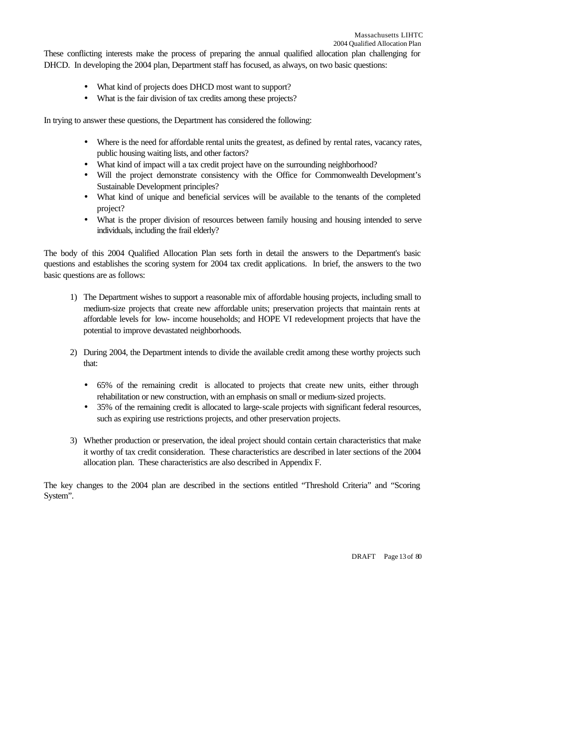#### Massachusetts LIHTC 2004 Qualified Allocation Plan

These conflicting interests make the process of preparing the annual qualified allocation plan challenging for DHCD. In developing the 2004 plan, Department staff has focused, as always, on two basic questions:

- What kind of projects does DHCD most want to support?
- What is the fair division of tax credits among these projects?

In trying to answer these questions, the Department has considered the following:

- Where is the need for affordable rental units the greatest, as defined by rental rates, vacancy rates, public housing waiting lists, and other factors?
- What kind of impact will a tax credit project have on the surrounding neighborhood?
- Will the project demonstrate consistency with the Office for Commonwealth Development's Sustainable Development principles?
- What kind of unique and beneficial services will be available to the tenants of the completed project?
- What is the proper division of resources between family housing and housing intended to serve individuals, including the frail elderly?

The body of this 2004 Qualified Allocation Plan sets forth in detail the answers to the Department's basic questions and establishes the scoring system for 2004 tax credit applications. In brief, the answers to the two basic questions are as follows:

- 1) The Department wishes to support a reasonable mix of affordable housing projects, including small to medium-size projects that create new affordable units; preservation projects that maintain rents at affordable levels for low- income households; and HOPE VI redevelopment projects that have the potential to improve devastated neighborhoods.
- 2) During 2004, the Department intends to divide the available credit among these worthy projects such that:
	- 65% of the remaining credit is allocated to projects that create new units, either through rehabilitation or new construction, with an emphasis on small or medium-sized projects.
	- 35% of the remaining credit is allocated to large-scale projects with significant federal resources, such as expiring use restrictions projects, and other preservation projects.
- 3) Whether production or preservation, the ideal project should contain certain characteristics that make it worthy of tax credit consideration. These characteristics are described in later sections of the 2004 allocation plan. These characteristics are also described in Appendix F.

The key changes to the 2004 plan are described in the sections entitled "Threshold Criteria" and "Scoring System".

DRAFT Page 13 of 80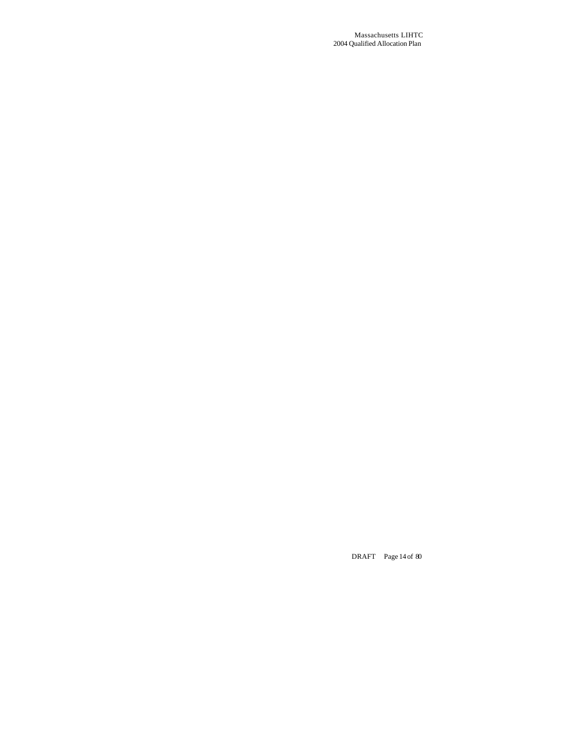Massachusetts LIHTC 2004 Qualified Allocation Plan

DRAFT Page 14 of 80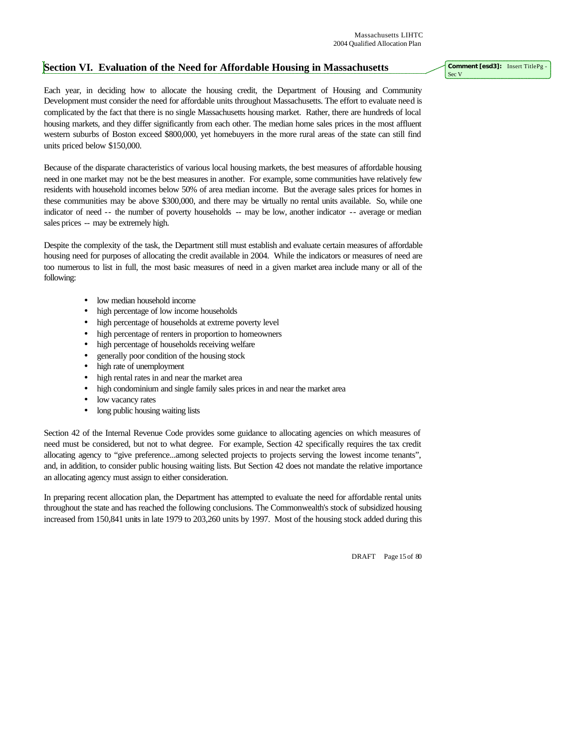## **Section VI. Evaluation of the Need for Affordable Housing in Massachusetts**

**Comment [esd3]:** Insert TitlePg - Sec V

Each year, in deciding how to allocate the housing credit, the Department of Housing and Community Development must consider the need for affordable units throughout Massachusetts. The effort to evaluate need is complicated by the fact that there is no single Massachusetts housing market. Rather, there are hundreds of local housing markets, and they differ significantly from each other. The median home sales prices in the most affluent western suburbs of Boston exceed \$800,000, yet homebuyers in the more rural areas of the state can still find units priced below \$150,000.

Because of the disparate characteristics of various local housing markets, the best measures of affordable housing need in one market may not be the best measures in another. For example, some communities have relatively few residents with household incomes below 50% of area median income. But the average sales prices for homes in these communities may be above \$300,000, and there may be virtually no rental units available. So, while one indicator of need -- the number of poverty households -- may be low, another indicator -- average or median sales prices -- may be extremely high.

Despite the complexity of the task, the Department still must establish and evaluate certain measures of affordable housing need for purposes of allocating the credit available in 2004. While the indicators or measures of need are too numerous to list in full, the most basic measures of need in a given market area include many or all of the following:

- low median household income
- high percentage of low income households
- high percentage of households at extreme poverty level
- high percentage of renters in proportion to homeowners
- high percentage of households receiving welfare
- generally poor condition of the housing stock
- high rate of unemployment
- high rental rates in and near the market area
- high condominium and single family sales prices in and near the market area
- low vacancy rates
- long public housing waiting lists

Section 42 of the Internal Revenue Code provides some guidance to allocating agencies on which measures of need must be considered, but not to what degree. For example, Section 42 specifically requires the tax credit allocating agency to "give preference...among selected projects to projects serving the lowest income tenants", and, in addition, to consider public housing waiting lists. But Section 42 does not mandate the relative importance an allocating agency must assign to either consideration.

In preparing recent allocation plan, the Department has attempted to evaluate the need for affordable rental units throughout the state and has reached the following conclusions. The Commonwealth's stock of subsidized housing increased from 150,841 units in late 1979 to 203,260 units by 1997. Most of the housing stock added during this

DRAFT Page 15 of 80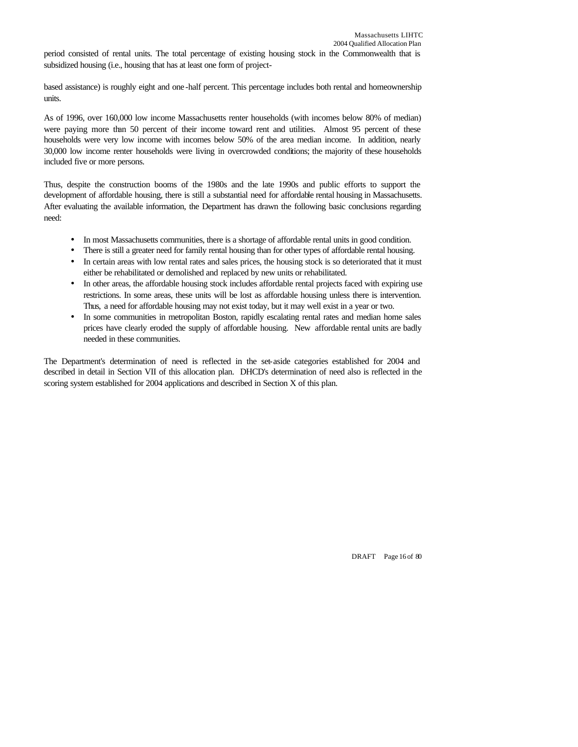period consisted of rental units. The total percentage of existing housing stock in the Commonwealth that is subsidized housing (i.e., housing that has at least one form of project-

based assistance) is roughly eight and one -half percent. This percentage includes both rental and homeownership units.

As of 1996, over 160,000 low income Massachusetts renter households (with incomes below 80% of median) were paying more than 50 percent of their income toward rent and utilities. Almost 95 percent of these households were very low income with incomes below 50% of the area median income. In addition, nearly 30,000 low income renter households were living in overcrowded conditions; the majority of these households included five or more persons.

Thus, despite the construction booms of the 1980s and the late 1990s and public efforts to support the development of affordable housing, there is still a substantial need for affordable rental housing in Massachusetts. After evaluating the available information, the Department has drawn the following basic conclusions regarding need:

- In most Massachusetts communities, there is a shortage of affordable rental units in good condition.
- There is still a greater need for family rental housing than for other types of affordable rental housing.
- In certain areas with low rental rates and sales prices, the housing stock is so deteriorated that it must either be rehabilitated or demolished and replaced by new units or rehabilitated.
- In other areas, the affordable housing stock includes affordable rental projects faced with expiring use restrictions. In some areas, these units will be lost as affordable housing unless there is intervention. Thus, a need for affordable housing may not exist today, but it may well exist in a year or two.
- In some communities in metropolitan Boston, rapidly escalating rental rates and median home sales prices have clearly eroded the supply of affordable housing. New affordable rental units are badly needed in these communities.

The Department's determination of need is reflected in the set-aside categories established for 2004 and described in detail in Section VII of this allocation plan. DHCD's determination of need also is reflected in the scoring system established for 2004 applications and described in Section X of this plan.

DRAFT Page 16 of 80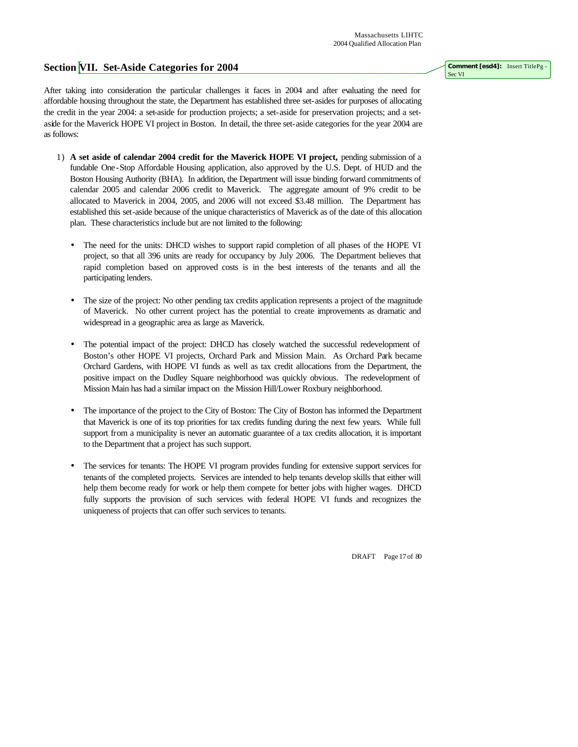## **Section VII. Set-Aside Categories for 2004**

After taking into consideration the particular challenges it faces in 2004 and after evaluating the need for affordable housing throughout the state, the Department has established three set-asides for purposes of allocating the credit in the year 2004: a set-aside for production projects; a set-aside for preservation projects; and a setaside for the Maverick HOPE VI project in Boston. In detail, the three set-aside categories for the year 2004 are as follows:

- 1) **A set aside of calendar 2004 credit for the Maverick HOPE VI project,** pending submission of a fundable One -Stop Affordable Housing application, also approved by the U.S. Dept. of HUD and the Boston Housing Authority (BHA). In addition, the Department will issue binding forward commitments of calendar 2005 and calendar 2006 credit to Maverick. The aggregate amount of 9% credit to be allocated to Maverick in 2004, 2005, and 2006 will not exceed \$3.48 million. The Department has established this set-aside because of the unique characteristics of Maverick as of the date of this allocation plan. These characteristics include but are not limited to the following:
	- The need for the units: DHCD wishes to support rapid completion of all phases of the HOPE VI project, so that all 396 units are ready for occupancy by July 2006. The Department believes that rapid completion based on approved costs is in the best interests of the tenants and all the participating lenders.
	- The size of the project: No other pending tax credits application represents a project of the magnitude of Maverick. No other current project has the potential to create improvements as dramatic and widespread in a geographic area as large as Maverick.
	- The potential impact of the project: DHCD has closely watched the successful redevelopment of Boston's other HOPE VI projects, Orchard Park and Mission Main. As Orchard Park became Orchard Gardens, with HOPE VI funds as well as tax credit allocations from the Department, the positive impact on the Dudley Square neighborhood was quickly obvious. The redevelopment of Mission Main has had a similar impact on the Mission Hill/Lower Roxbury neighborhood.
	- The importance of the project to the City of Boston: The City of Boston has informed the Department that Maverick is one of its top priorities for tax credits funding during the next few years. While full support from a municipality is never an automatic guarantee of a tax credits allocation, it is important to the Department that a project has such support.
	- The services for tenants: The HOPE VI program provides funding for extensive support services for tenants of the completed projects. Services are intended to help tenants develop skills that either will help them become ready for work or help them compete for better jobs with higher wages. DHCD fully supports the provision of such services with federal HOPE VI funds and recognizes the uniqueness of projects that can offer such services to tenants.

DRAFT Page 17 of 80

**Comment [esd4]:** Insert TitlePg - Sec VI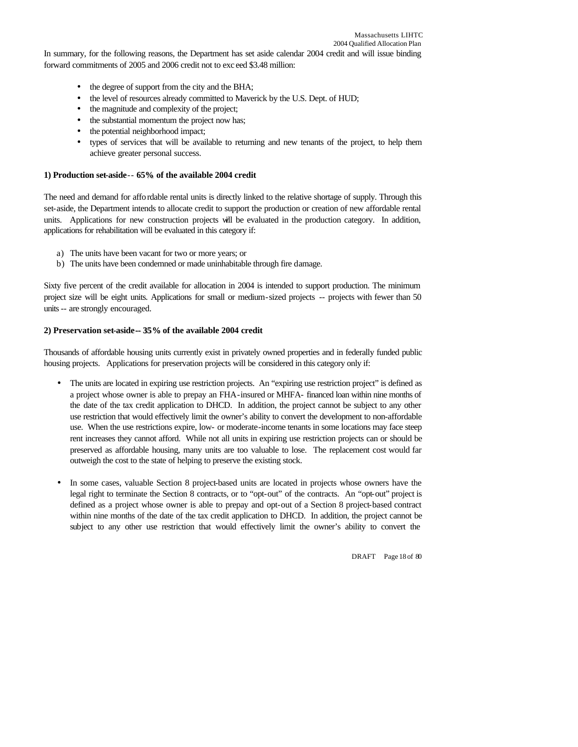#### Massachusetts LIHTC 2004 Qualified Allocation Plan

In summary, for the following reasons, the Department has set aside calendar 2004 credit and will issue binding forward commitments of 2005 and 2006 credit not to exc eed \$3.48 million:

- the degree of support from the city and the BHA;
- the level of resources already committed to Maverick by the U.S. Dept. of HUD;
- the magnitude and complexity of the project;
- the substantial momentum the project now has;
- the potential neighborhood impact;
- types of services that will be available to returning and new tenants of the project, to help them achieve greater personal success.

#### **1) Production set-aside**-- **65% of the available 2004 credit**

The need and demand for affo rdable rental units is directly linked to the relative shortage of supply. Through this set-aside, the Department intends to allocate credit to support the production or creation of new affordable rental units. Applications for new construction projects will be evaluated in the production category. In addition, applications for rehabilitation will be evaluated in this category if:

- a) The units have been vacant for two or more years; or
- b) The units have been condemned or made uninhabitable through fire damage.

Sixty five percent of the credit available for allocation in 2004 is intended to support production. The minimum project size will be eight units. Applications for small or medium-sized projects -- projects with fewer than 50 units -- are strongly encouraged.

## **2) Preservation set-aside -- 35% of the available 2004 credit**

Thousands of affordable housing units currently exist in privately owned properties and in federally funded public housing projects. Applications for preservation projects will be considered in this category only if:

- The units are located in expiring use restriction projects. An "expiring use restriction project" is defined as a project whose owner is able to prepay an FHA-insured or MHFA- financed loan within nine months of the date of the tax credit application to DHCD. In addition, the project cannot be subject to any other use restriction that would effectively limit the owner's ability to convert the development to non-affordable use. When the use restrictions expire, low- or moderate-income tenants in some locations may face steep rent increases they cannot afford. While not all units in expiring use restriction projects can or should be preserved as affordable housing, many units are too valuable to lose. The replacement cost would far outweigh the cost to the state of helping to preserve the existing stock.
- In some cases, valuable Section 8 project-based units are located in projects whose owners have the legal right to terminate the Section 8 contracts, or to "opt-out" of the contracts. An "opt-out" project is defined as a project whose owner is able to prepay and opt-out of a Section 8 project-based contract within nine months of the date of the tax credit application to DHCD. In addition, the project cannot be subject to any other use restriction that would effectively limit the owner's ability to convert the

DRAFT Page 18 of 80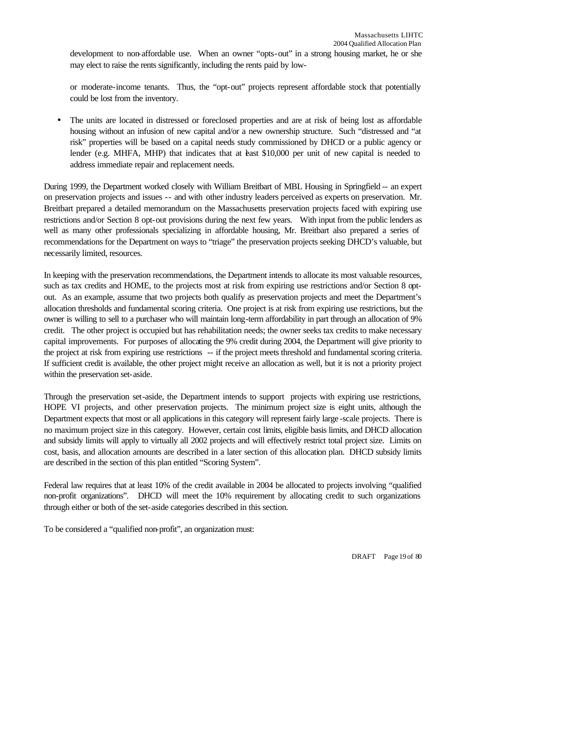development to non-affordable use. When an owner "opts-out" in a strong housing market, he or she may elect to raise the rents significantly, including the rents paid by low-

or moderate-income tenants. Thus, the "opt-out" projects represent affordable stock that potentially could be lost from the inventory.

The units are located in distressed or foreclosed properties and are at risk of being lost as affordable housing without an infusion of new capital and/or a new ownership structure. Such "distressed and "at risk" properties will be based on a capital needs study commissioned by DHCD or a public agency or lender (e.g. MHFA, MHP) that indicates that at least \$10,000 per unit of new capital is needed to address immediate repair and replacement needs.

During 1999, the Department worked closely with William Breitbart of MBL Housing in Springfield -- an expert on preservation projects and issues -- and with other industry leaders perceived as experts on preservation. Mr. Breitbart prepared a detailed memorandum on the Massachusetts preservation projects faced with expiring use restrictions and/or Section 8 opt-out provisions during the next few years. With input from the public lenders as well as many other professionals specializing in affordable housing, Mr. Breitbart also prepared a series of recommendations for the Department on ways to "triage" the preservation projects seeking DHCD's valuable, but necessarily limited, resources.

In keeping with the preservation recommendations, the Department intends to allocate its most valuable resources, such as tax credits and HOME, to the projects most at risk from expiring use restrictions and/or Section 8 optout. As an example, assume that two projects both qualify as preservation projects and meet the Department's allocation thresholds and fundamental scoring criteria. One project is at risk from expiring use restrictions, but the owner is willing to sell to a purchaser who will maintain long-term affordability in part through an allocation of 9% credit. The other project is occupied but has rehabilitation needs; the owner seeks tax credits to make necessary capital improvements. For purposes of allocating the 9% credit during 2004, the Department will give priority to the project at risk from expiring use restrictions -- if the project meets threshold and fundamental scoring criteria. If sufficient credit is available, the other project might receive an allocation as well, but it is not a priority project within the preservation set-aside.

Through the preservation set-aside, the Department intends to support projects with expiring use restrictions, HOPE VI projects, and other preservation projects. The minimum project size is eight units, although the Department expects that most or all applications in this category will represent fairly large -scale projects. There is no maximum project size in this category. However, certain cost limits, eligible basis limits, and DHCD allocation and subsidy limits will apply to virtually all 2002 projects and will effectively restrict total project size. Limits on cost, basis, and allocation amounts are described in a later section of this allocation plan. DHCD subsidy limits are described in the section of this plan entitled "Scoring System".

Federal law requires that at least 10% of the credit available in 2004 be allocated to projects involving "qualified non-profit organizations". DHCD will meet the 10% requirement by allocating credit to such organizations through either or both of the set-aside categories described in this section.

To be considered a "qualified non-profit", an organization must:

DRAFT Page 19 of 80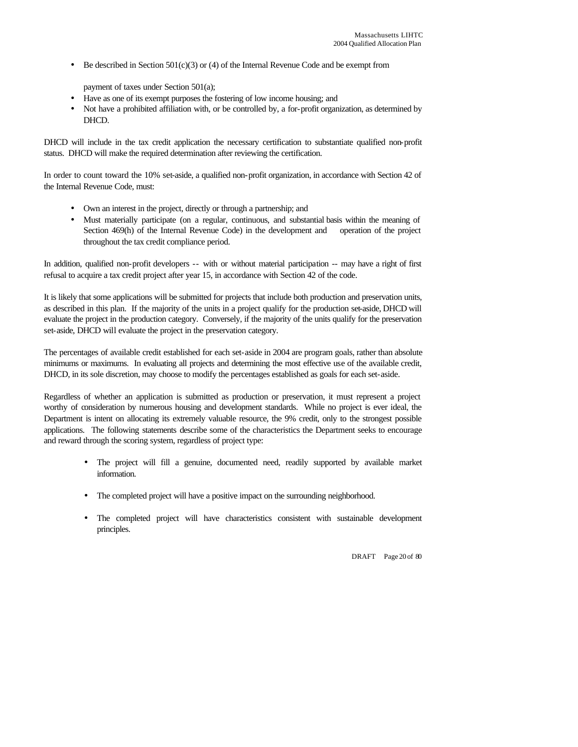• Be described in Section  $501(c)(3)$  or (4) of the Internal Revenue Code and be exempt from

payment of taxes under Section 501(a);

- Have as one of its exempt purposes the fostering of low income housing; and
- Not have a prohibited affiliation with, or be controlled by, a for-profit organization, as determined by DHCD.

DHCD will include in the tax credit application the necessary certification to substantiate qualified non-profit status. DHCD will make the required determination after reviewing the certification.

In order to count toward the 10% set-aside, a qualified non-profit organization, in accordance with Section 42 of the Internal Revenue Code, must:

- Own an interest in the project, directly or through a partnership; and
- Must materially participate (on a regular, continuous, and substantial basis within the meaning of Section 469(h) of the Internal Revenue Code) in the development and operation of the project throughout the tax credit compliance period.

In addition, qualified non-profit developers -- with or without material participation -- may have a right of first refusal to acquire a tax credit project after year 15, in accordance with Section 42 of the code.

It is likely that some applications will be submitted for projects that include both production and preservation units, as described in this plan. If the majority of the units in a project qualify for the production set-aside, DHCD will evaluate the project in the production category. Conversely, if the majority of the units qualify for the preservation set-aside, DHCD will evaluate the project in the preservation category.

The percentages of available credit established for each set-aside in 2004 are program goals, rather than absolute minimums or maximums. In evaluating all projects and determining the most effective use of the available credit, DHCD, in its sole discretion, may choose to modify the percentages established as goals for each set-aside.

Regardless of whether an application is submitted as production or preservation, it must represent a project worthy of consideration by numerous housing and development standards. While no project is ever ideal, the Department is intent on allocating its extremely valuable resource, the 9% credit, only to the strongest possible applications. The following statements describe some of the characteristics the Department seeks to encourage and reward through the scoring system, regardless of project type:

- The project will fill a genuine, documented need, readily supported by available market information.
- The completed project will have a positive impact on the surrounding neighborhood.
- The completed project will have characteristics consistent with sustainable development principles.

DRAFT Page 20 of 80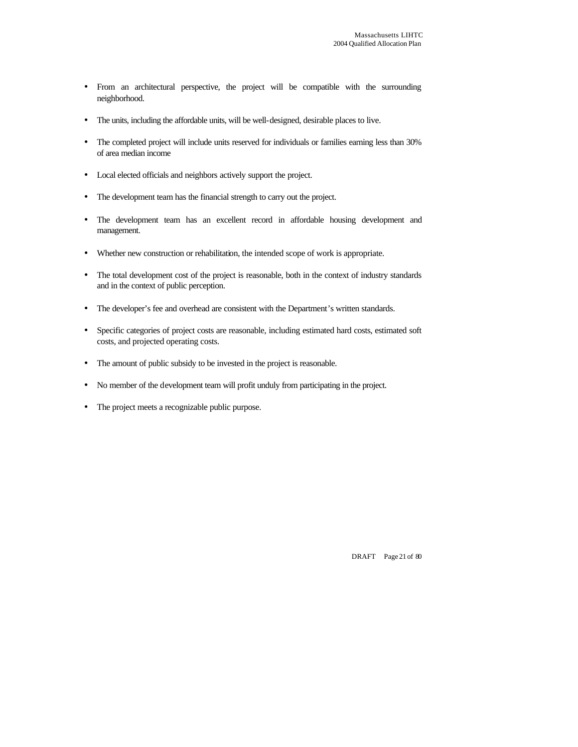- From an architectural perspective, the project will be compatible with the surrounding neighborhood.
- The units, including the affordable units, will be well-designed, desirable places to live.
- The completed project will include units reserved for individuals or families earning less than 30% of area median income
- Local elected officials and neighbors actively support the project.
- The development team has the financial strength to carry out the project.
- The development team has an excellent record in affordable housing development and management.
- Whether new construction or rehabilitation, the intended scope of work is appropriate.
- The total development cost of the project is reasonable, both in the context of industry standards and in the context of public perception.
- The developer's fee and overhead are consistent with the Department's written standards.
- Specific categories of project costs are reasonable, including estimated hard costs, estimated soft costs, and projected operating costs.
- The amount of public subsidy to be invested in the project is reasonable.
- No member of the development team will profit unduly from participating in the project.
- The project meets a recognizable public purpose.

DRAFT Page 21 of 80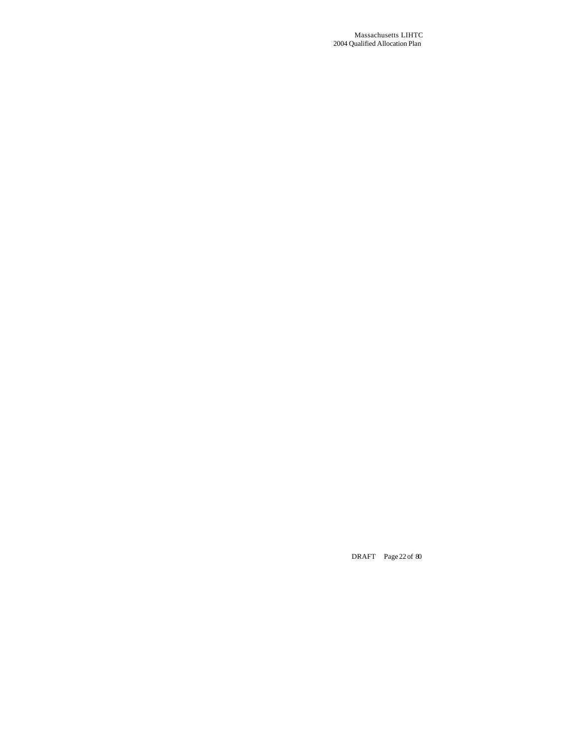Massachusetts LIHTC 2004 Qualified Allocation Plan

DRAFT Page 22 of 80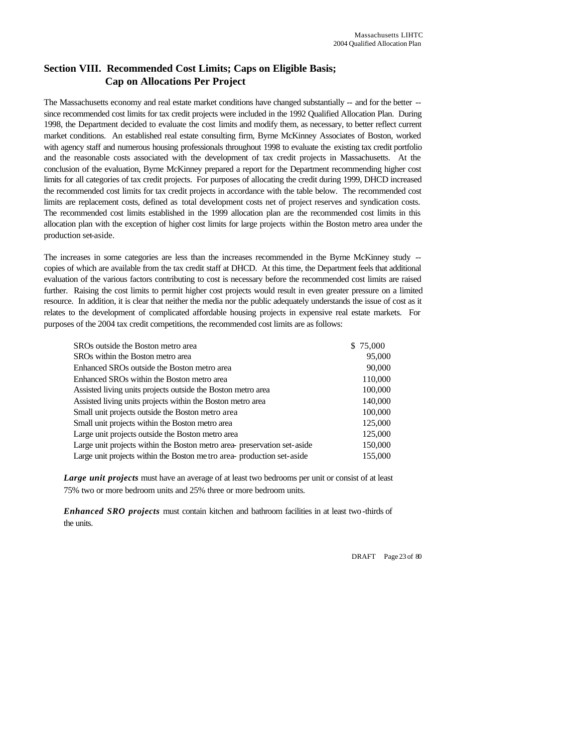## **Section VIII. Recommended Cost Limits; Caps on Eligible Basis; Cap on Allocations Per Project**

The Massachusetts economy and real estate market conditions have changed substantially -- and for the better -since recommended cost limits for tax credit projects were included in the 1992 Qualified Allocation Plan. During 1998, the Department decided to evaluate the cost limits and modify them, as necessary, to better reflect current market conditions. An established real estate consulting firm, Byrne McKinney Associates of Boston, worked with agency staff and numerous housing professionals throughout 1998 to evaluate the existing tax credit portfolio and the reasonable costs associated with the development of tax credit projects in Massachusetts. At the conclusion of the evaluation, Byrne McKinney prepared a report for the Department recommending higher cost limits for all categories of tax credit projects. For purposes of allocating the credit during 1999, DHCD increased the recommended cost limits for tax credit projects in accordance with the table below. The recommended cost limits are replacement costs, defined as total development costs net of project reserves and syndication costs. The recommended cost limits established in the 1999 allocation plan are the recommended cost limits in this allocation plan with the exception of higher cost limits for large projects within the Boston metro area under the production set-aside.

The increases in some categories are less than the increases recommended in the Byrne McKinney study - copies of which are available from the tax credit staff at DHCD. At this time, the Department feels that additional evaluation of the various factors contributing to cost is necessary before the recommended cost limits are raised further. Raising the cost limits to permit higher cost projects would result in even greater pressure on a limited resource. In addition, it is clear that neither the media nor the public adequately understands the issue of cost as it relates to the development of complicated affordable housing projects in expensive real estate markets. For purposes of the 2004 tax credit competitions, the recommended cost limits are as follows:

| SRO <sub>s</sub> outside the Boston metro area                           | \$75,000 |
|--------------------------------------------------------------------------|----------|
| SROs within the Boston metro area                                        | 95,000   |
| Enhanced SROs outside the Boston metro area                              | 90,000   |
| Enhanced SROs within the Boston metro area                               | 110,000  |
| Assisted living units projects outside the Boston metro area             | 100,000  |
| Assisted living units projects within the Boston metro area              | 140,000  |
| Small unit projects outside the Boston metro area                        | 100,000  |
| Small unit projects within the Boston metro area                         | 125,000  |
| Large unit projects outside the Boston metro area                        | 125,000  |
| Large unit projects within the Boston metro area- preservation set-aside | 150,000  |
| Large unit projects within the Boston me tro area- production set-aside  | 155,000  |

*Large unit projects* must have an average of at least two bedrooms per unit or consist of at least 75% two or more bedroom units and 25% three or more bedroom units.

*Enhanced SRO projects* must contain kitchen and bathroom facilities in at least two-thirds of the units.

DRAFT Page 23 of 80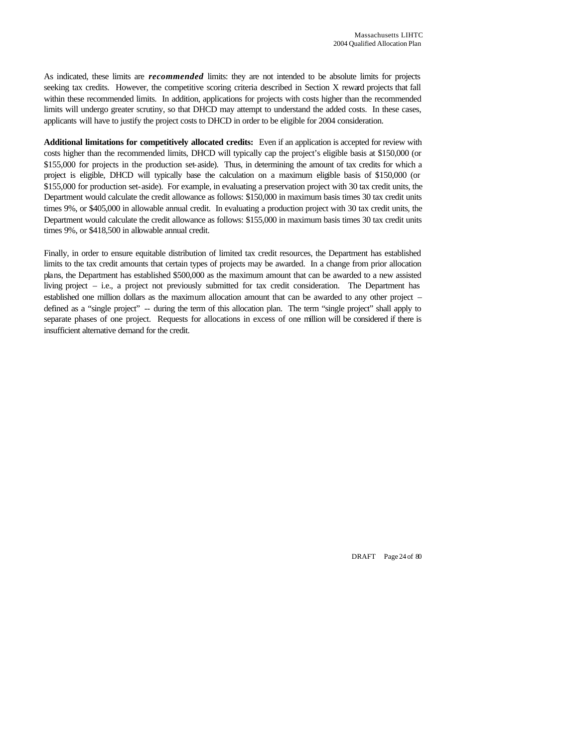As indicated, these limits are *recommended* limits: they are not intended to be absolute limits for projects seeking tax credits. However, the competitive scoring criteria described in Section X reward projects that fall within these recommended limits. In addition, applications for projects with costs higher than the recommended limits will undergo greater scrutiny, so that DHCD may attempt to understand the added costs. In these cases, applicants will have to justify the project costs to DHCD in order to be eligible for 2004 consideration.

**Additional limitations for competitively allocated credits:** Even if an application is accepted for review with costs higher than the recommended limits, DHCD will typically cap the project's eligible basis at \$150,000 (or \$155,000 for projects in the production set-aside). Thus, in determining the amount of tax credits for which a project is eligible, DHCD will typically base the calculation on a maximum eligible basis of \$150,000 (or \$155,000 for production set-aside). For example, in evaluating a preservation project with 30 tax credit units, the Department would calculate the credit allowance as follows: \$150,000 in maximum basis times 30 tax credit units times 9%, or \$405,000 in allowable annual credit. In evaluating a production project with 30 tax credit units, the Department would calculate the credit allowance as follows: \$155,000 in maximum basis times 30 tax credit units times 9%, or \$418,500 in allowable annual credit.

Finally, in order to ensure equitable distribution of limited tax credit resources, the Department has established limits to the tax credit amounts that certain types of projects may be awarded. In a change from prior allocation plans, the Department has established \$500,000 as the maximum amount that can be awarded to a new assisted living project – i.e., a project not previously submitted for tax credit consideration. The Department has established one million dollars as the maximum allocation amount that can be awarded to any other project – defined as a "single project" -- during the term of this allocation plan. The term "single project" shall apply to separate phases of one project. Requests for allocations in excess of one million will be considered if there is insufficient alternative demand for the credit.

DRAFT Page 24 of 80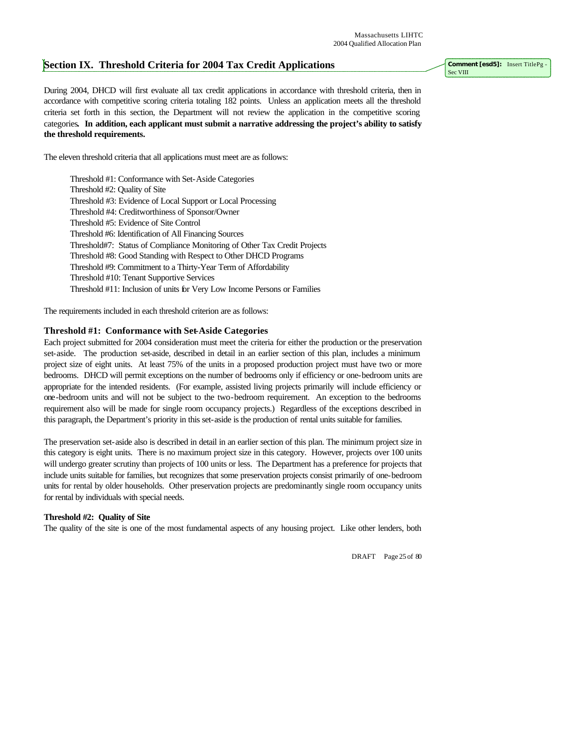## **Section IX. Threshold Criteria for 2004 Tax Credit Applications**

**Comment [esd5]:** Insert TitlePg Sec VIII

During 2004, DHCD will first evaluate all tax credit applications in accordance with threshold criteria, then in accordance with competitive scoring criteria totaling 182 points. Unless an application meets all the threshold criteria set forth in this section, the Department will not review the application in the competitive scoring categories**. In addition, each applicant must submit a narrative addressing the project's ability to satisfy the threshold requirements.** 

The eleven threshold criteria that all applications must meet are as follows:

Threshold #1: Conformance with Set-Aside Categories Threshold #2: Quality of Site Threshold #3: Evidence of Local Support or Local Processing Threshold #4: Creditworthiness of Sponsor/Owner Threshold #5: Evidence of Site Control Threshold #6: Identification of All Financing Sources Threshold#7: Status of Compliance Monitoring of Other Tax Credit Projects Threshold #8: Good Standing with Respect to Other DHCD Programs Threshold #9: Commitment to a Thirty-Year Term of Affordability Threshold #10: Tenant Supportive Services Threshold #11: Inclusion of units for Very Low Income Persons or Families

The requirements included in each threshold criterion are as follows:

## **Threshold #1: Conformance with Set-Aside Categories**

Each project submitted for 2004 consideration must meet the criteria for either the production or the preservation set-aside. The production set-aside, described in detail in an earlier section of this plan, includes a minimum project size of eight units. At least 75% of the units in a proposed production project must have two or more bedrooms. DHCD will permit exceptions on the number of bedrooms only if efficiency or one-bedroom units are appropriate for the intended residents. (For example, assisted living projects primarily will include efficiency or one-bedroom units and will not be subject to the two-bedroom requirement. An exception to the bedrooms requirement also will be made for single room occupancy projects.) Regardless of the exceptions described in this paragraph, the Department's priority in this set-aside is the production of rental units suitable for families.

The preservation set-aside also is described in detail in an earlier section of this plan. The minimum project size in this category is eight units. There is no maximum project size in this category. However, projects over 100 units will undergo greater scrutiny than projects of 100 units or less. The Department has a preference for projects that include units suitable for families, but recognizes that some preservation projects consist primarily of one-bedroom units for rental by older households. Other preservation projects are predominantly single room occupancy units for rental by individuals with special needs.

## **Threshold #2: Quality of Site**

The quality of the site is one of the most fundamental aspects of any housing project. Like other lenders, both

DRAFT Page 25 of 80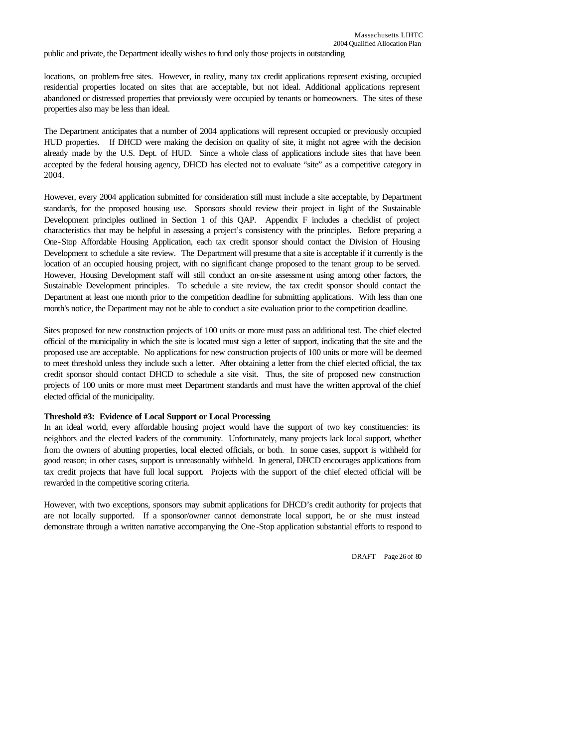public and private, the Department ideally wishes to fund only those projects in outstanding

locations, on problem-free sites. However, in reality, many tax credit applications represent existing, occupied residential properties located on sites that are acceptable, but not ideal. Additional applications represent abandoned or distressed properties that previously were occupied by tenants or homeowners. The sites of these properties also may be less than ideal.

The Department anticipates that a number of 2004 applications will represent occupied or previously occupied HUD properties. If DHCD were making the decision on quality of site, it might not agree with the decision already made by the U.S. Dept. of HUD. Since a whole class of applications include sites that have been accepted by the federal housing agency, DHCD has elected not to evaluate "site" as a competitive category in 2004.

However, every 2004 application submitted for consideration still must include a site acceptable, by Department standards, for the proposed housing use. Sponsors should review their project in light of the Sustainable Development principles outlined in Section 1 of this QAP. Appendix F includes a checklist of project characteristics that may be helpful in assessing a project's consistency with the principles. Before preparing a One-Stop Affordable Housing Application, each tax credit sponsor should contact the Division of Housing Development to schedule a site review. The Department will presume that a site is acceptable if it currently is the location of an occupied housing project, with no significant change proposed to the tenant group to be served. However, Housing Development staff will still conduct an on-site assessment using among other factors, the Sustainable Development principles. To schedule a site review, the tax credit sponsor should contact the Department at least one month prior to the competition deadline for submitting applications. With less than one month's notice, the Department may not be able to conduct a site evaluation prior to the competition deadline.

Sites proposed for new construction projects of 100 units or more must pass an additional test. The chief elected official of the municipality in which the site is located must sign a letter of support, indicating that the site and the proposed use are acceptable. No applications for new construction projects of 100 units or more will be deemed to meet threshold unless they include such a letter. After obtaining a letter from the chief elected official, the tax credit sponsor should contact DHCD to schedule a site visit. Thus, the site of proposed new construction projects of 100 units or more must meet Department standards and must have the written approval of the chief elected official of the municipality.

#### **Threshold #3: Evidence of Local Support or Local Processing**

In an ideal world, every affordable housing project would have the support of two key constituencies: its neighbors and the elected leaders of the community. Unfortunately, many projects lack local support, whether from the owners of abutting properties, local elected officials, or both. In some cases, support is withheld for good reason; in other cases, support is unreasonably withheld. In general, DHCD encourages applications from tax credit projects that have full local support. Projects with the support of the chief elected official will be rewarded in the competitive scoring criteria.

However, with two exceptions, sponsors may submit applications for DHCD's credit authority for projects that are not locally supported. If a sponsor/owner cannot demonstrate local support, he or she must instead demonstrate through a written narrative accompanying the One -Stop application substantial efforts to respond to

DRAFT Page 26 of 80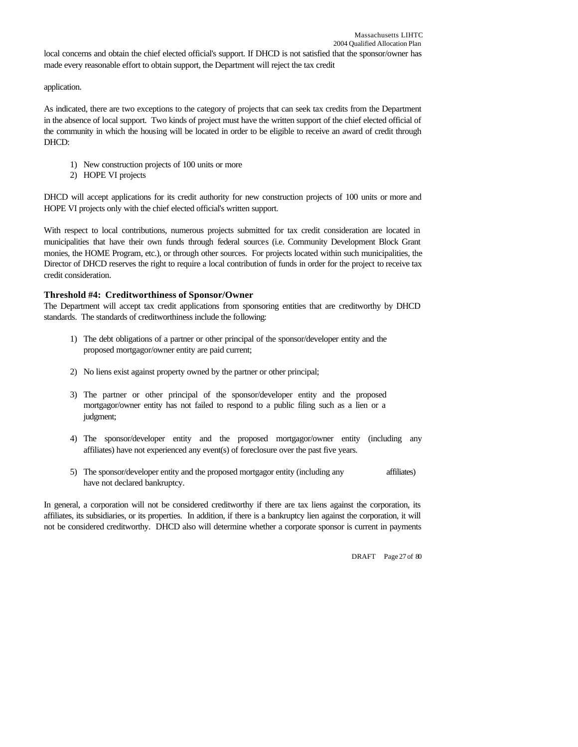Massachusetts LIHTC 2004 Qualified Allocation Plan

local concerns and obtain the chief elected official's support. If DHCD is not satisfied that the sponsor/owner has made every reasonable effort to obtain support, the Department will reject the tax credit

application.

As indicated, there are two exceptions to the category of projects that can seek tax credits from the Department in the absence of local support. Two kinds of project must have the written support of the chief elected official of the community in which the housing will be located in order to be eligible to receive an award of credit through DHCD:

- 1) New construction projects of 100 units or more
- 2) HOPE VI projects

DHCD will accept applications for its credit authority for new construction projects of 100 units or more and HOPE VI projects only with the chief elected official's written support.

With respect to local contributions, numerous projects submitted for tax credit consideration are located in municipalities that have their own funds through federal sources (i.e. Community Development Block Grant monies, the HOME Program, etc.), or through other sources. For projects located within such municipalities, the Director of DHCD reserves the right to require a local contribution of funds in order for the project to receive tax credit consideration.

## **Threshold #4: Creditworthiness of Sponsor/Owner**

The Department will accept tax credit applications from sponsoring entities that are creditworthy by DHCD standards. The standards of creditworthiness include the following:

- 1) The debt obligations of a partner or other principal of the sponsor/developer entity and the proposed mortgagor/owner entity are paid current;
- 2) No liens exist against property owned by the partner or other principal;
- 3) The partner or other principal of the sponsor/developer entity and the proposed mortgagor/owner entity has not failed to respond to a public filing such as a lien or a judgment;
- 4) The sponsor/developer entity and the proposed mortgagor/owner entity (including any affiliates) have not experienced any event(s) of foreclosure over the past five years.
- 5) The sponsor/developer entity and the proposed mortgagor entity (including any affiliates) have not declared bankruptcy.

In general, a corporation will not be considered creditworthy if there are tax liens against the corporation, its affiliates, its subsidiaries, or its properties. In addition, if there is a bankruptcy lien against the corporation, it will not be considered creditworthy. DHCD also will determine whether a corporate sponsor is current in payments

DRAFT Page 27 of 80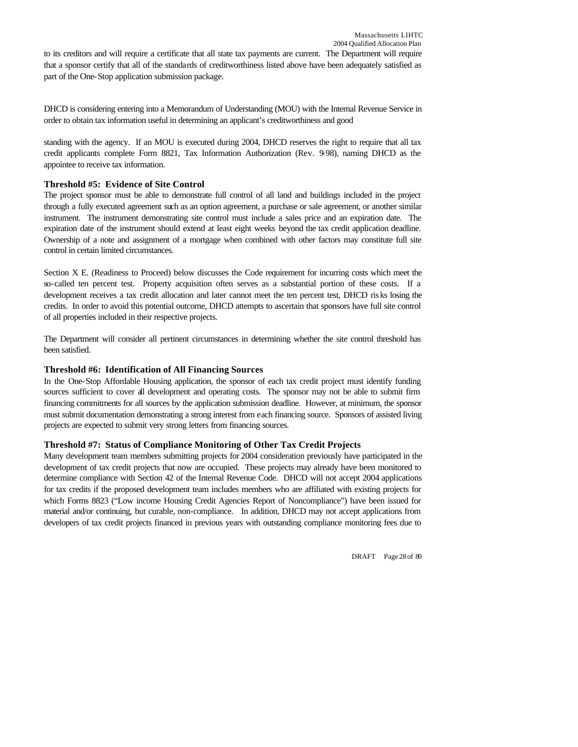to its creditors and will require a certificate that all state tax payments are current. The Department will require that a sponsor certify that all of the standards of creditworthiness listed above have been adequately satisfied as part of the One-Stop application submission package.

DHCD is considering entering into a Memorandum of Understanding (MOU) with the Internal Revenue Service in order to obtain tax information useful in determining an applicant's creditworthiness and good

standing with the agency. If an MOU is executed during 2004, DHCD reserves the right to require that all tax credit applicants complete Form 8821, Tax Information Authorization (Rev. 9-98), naming DHCD as the appointee to receive tax information.

#### **Threshold #5: Evidence of Site Control**

The project sponsor must be able to demonstrate full control of all land and buildings included in the project through a fully executed agreement such as an option agreement, a purchase or sale agreement, or another similar instrument. The instrument demonstrating site control must include a sales price and an expiration date. The expiration date of the instrument should extend at least eight weeks beyond the tax credit application deadline. Ownership of a note and assignment of a mortgage when combined with other factors may constitute full site control in certain limited circumstances.

Section X E. (Readiness to Proceed) below discusses the Code requirement for incurring costs which meet the so-called ten percent test. Property acquisition often serves as a substantial portion of these costs. If a development receives a tax credit allocation and later cannot meet the ten percent test, DHCD ris ks losing the credits. In order to avoid this potential outcome, DHCD attempts to ascertain that sponsors have full site control of all properties included in their respective projects.

The Department will consider all pertinent circumstances in determining whether the site control threshold has been satisfied.

#### **Threshold #6: Identification of All Financing Sources**

In the One-Stop Affordable Housing application, the sponsor of each tax credit project must identify funding sources sufficient to cover all development and operating costs. The sponsor may not be able to submit firm financing commitments for all sources by the application submission deadline. However, at minimum, the sponsor must submit documentation demonstrating a strong interest from each financing source. Sponsors of assisted living projects are expected to submit very strong letters from financing sources.

#### **Threshold #7: Status of Compliance Monitoring of Other Tax Credit Projects**

Many development team members submitting projects for 2004 consideration previously have participated in the development of tax credit projects that now are occupied. These projects may already have been monitored to determine compliance with Section 42 of the Internal Revenue Code. DHCD will not accept 2004 applications for tax credits if the proposed development team includes members who are affiliated with existing projects for which Forms 8823 ("Low income Housing Credit Agencies Report of Noncompliance") have been issued for material and/or continuing, but curable, non-compliance. In addition, DHCD may not accept applications from developers of tax credit projects financed in previous years with outstanding compliance monitoring fees due to

DRAFT Page 28 of 80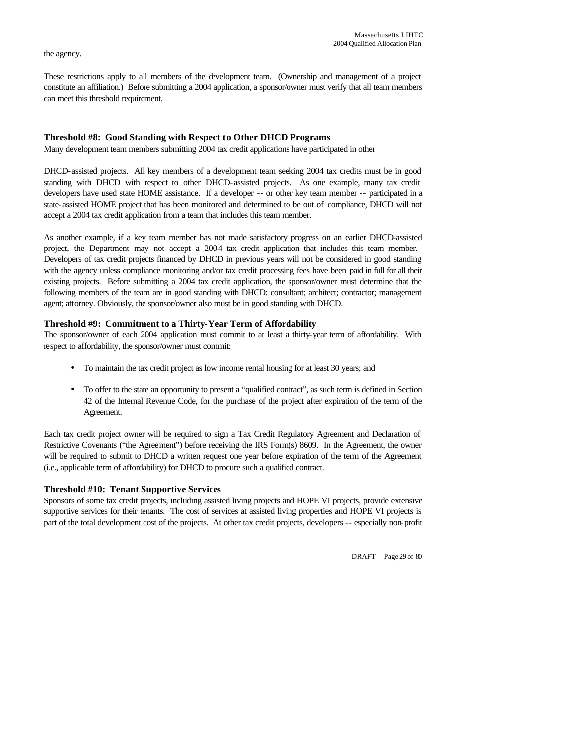These restrictions apply to all members of the development team. (Ownership and management of a project constitute an affiliation.) Before submitting a 2004 application, a sponsor/owner must verify that all team members can meet this threshold requirement.

## **Threshold #8: Good Standing with Respect to Other DHCD Programs**

Many development team members submitting 2004 tax credit applications have participated in other

DHCD-assisted projects. All key members of a development team seeking 2004 tax credits must be in good standing with DHCD with respect to other DHCD-assisted projects. As one example, many tax credit developers have used state HOME assistance. If a developer -- or other key team member -- participated in a state-assisted HOME project that has been monitored and determined to be out of compliance, DHCD will not accept a 2004 tax credit application from a team that includes this team member.

As another example, if a key team member has not made satisfactory progress on an earlier DHCD-assisted project, the Department may not accept a 2004 tax credit application that includes this team member. Developers of tax credit projects financed by DHCD in previous years will not be considered in good standing with the agency unless compliance monitoring and/or tax credit processing fees have been paid in full for all their existing projects. Before submitting a 2004 tax credit application, the sponsor/owner must determine that the following members of the team are in good standing with DHCD: consultant; architect; contractor; management agent; attorney. Obviously, the sponsor/owner also must be in good standing with DHCD.

## **Threshold #9: Commitment to a Thirty-Year Term of Affordability**

The sponsor/owner of each 2004 application must commit to at least a thirty-year term of affordability. With respect to affordability, the sponsor/owner must commit:

- To maintain the tax credit project as low income rental housing for at least 30 years; and
- To offer to the state an opportunity to present a "qualified contract", as such term is defined in Section 42 of the Internal Revenue Code, for the purchase of the project after expiration of the term of the Agreement.

Each tax credit project owner will be required to sign a Tax Credit Regulatory Agreement and Declaration of Restrictive Covenants ("the Agreement") before receiving the IRS Form(s) 8609. In the Agreement, the owner will be required to submit to DHCD a written request one year before expiration of the term of the Agreement (i.e., applicable term of affordability) for DHCD to procure such a qualified contract.

## **Threshold #10: Tenant Supportive Services**

Sponsors of some tax credit projects, including assisted living projects and HOPE VI projects, provide extensive supportive services for their tenants. The cost of services at assisted living properties and HOPE VI projects is part of the total development cost of the projects. At other tax credit projects, developers -- especially non-profit

DRAFT Page 29 of 80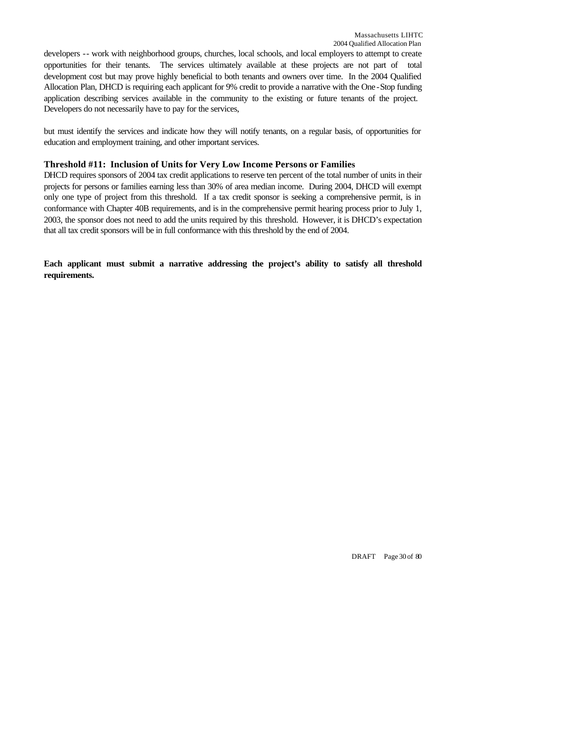developers -- work with neighborhood groups, churches, local schools, and local employers to attempt to create opportunities for their tenants. The services ultimately available at these projects are not part of total development cost but may prove highly beneficial to both tenants and owners over time. In the 2004 Qualified Allocation Plan, DHCD is requiring each applicant for 9% credit to provide a narrative with the One -Stop funding application describing services available in the community to the existing or future tenants of the project. Developers do not necessarily have to pay for the services,

but must identify the services and indicate how they will notify tenants, on a regular basis, of opportunities for education and employment training, and other important services.

#### **Threshold #11: Inclusion of Units for Very Low Income Persons or Families**

DHCD requires sponsors of 2004 tax credit applications to reserve ten percent of the total number of units in their projects for persons or families earning less than 30% of area median income. During 2004, DHCD will exempt only one type of project from this threshold. If a tax credit sponsor is seeking a comprehensive permit, is in conformance with Chapter 40B requirements, and is in the comprehensive permit hearing process prior to July 1, 2003, the sponsor does not need to add the units required by this threshold. However, it is DHCD's expectation that all tax credit sponsors will be in full conformance with this threshold by the end of 2004.

**Each applicant must submit a narrative addressing the project's ability to satisfy all threshold requirements.** 

DRAFT Page 30 of 80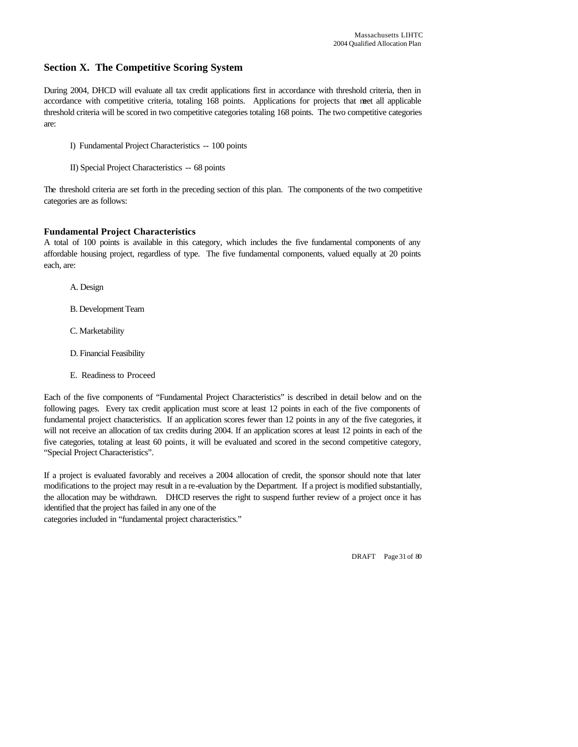## **Section X. The Competitive Scoring System**

During 2004, DHCD will evaluate all tax credit applications first in accordance with threshold criteria, then in accordance with competitive criteria, totaling 168 points. Applications for projects that meet all applicable threshold criteria will be scored in two competitive categories totaling 168 points. The two competitive categories are:

- I) Fundamental Project Characteristics -- 100 points
- II) Special Project Characteristics -- 68 points

The threshold criteria are set forth in the preceding section of this plan. The components of the two competitive categories are as follows:

## **Fundamental Project Characteristics**

A total of 100 points is available in this category, which includes the five fundamental components of any affordable housing project, regardless of type. The five fundamental components, valued equally at 20 points each, are:

- A. Design
- B. Development Team
- C. Marketability
- D. Financial Feasibility
- E. Readiness to Proceed

Each of the five components of "Fundamental Project Characteristics" is described in detail below and on the following pages. Every tax credit application must score at least 12 points in each of the five components of fundamental project characteristics. If an application scores fewer than 12 points in any of the five categories, it will not receive an allocation of tax credits during 2004. If an application scores at least 12 points in each of the five categories, totaling at least 60 points, it will be evaluated and scored in the second competitive category, "Special Project Characteristics".

If a project is evaluated favorably and receives a 2004 allocation of credit, the sponsor should note that later modifications to the project may result in a re-evaluation by the Department. If a project is modified substantially, the allocation may be withdrawn. DHCD reserves the right to suspend further review of a project once it has identified that the project has failed in any one of the

categories included in "fundamental project characteristics."

DRAFT Page 31 of 80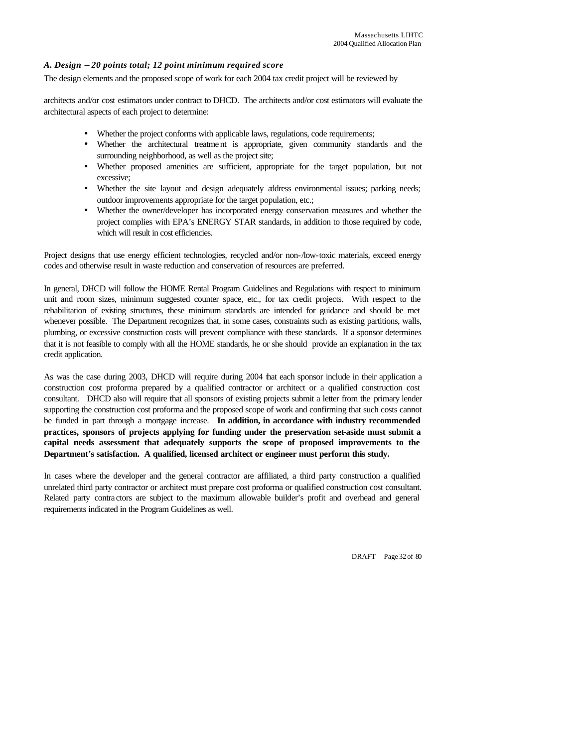## *A. Design -- 20 points total; 12 point minimum required score*

The design elements and the proposed scope of work for each 2004 tax credit project will be reviewed by

architects and/or cost estimators under contract to DHCD. The architects and/or cost estimators will evaluate the architectural aspects of each project to determine:

- Whether the project conforms with applicable laws, regulations, code requirements;
- Whether the architectural treatment is appropriate, given community standards and the surrounding neighborhood, as well as the project site;
- Whether proposed amenities are sufficient, appropriate for the target population, but not excessive;
- Whether the site layout and design adequately address environmental issues; parking needs; outdoor improvements appropriate for the target population, etc.;
- Whether the owner/developer has incorporated energy conservation measures and whether the project complies with EPA's ENERGY STAR standards, in addition to those required by code, which will result in cost efficiencies.

Project designs that use energy efficient technologies, recycled and/or non-/low-toxic materials, exceed energy codes and otherwise result in waste reduction and conservation of resources are preferred.

In general, DHCD will follow the HOME Rental Program Guidelines and Regulations with respect to minimum unit and room sizes, minimum suggested counter space, etc., for tax credit projects. With respect to the rehabilitation of existing structures, these minimum standards are intended for guidance and should be met whenever possible. The Department recognizes that, in some cases, constraints such as existing partitions, walls, plumbing, or excessive construction costs will prevent compliance with these standards. If a sponsor determines that it is not feasible to comply with all the HOME standards, he or she should provide an explanation in the tax credit application.

As was the case during 2003, DHCD will require during 2004 that each sponsor include in their application a construction cost proforma prepared by a qualified contractor or architect or a qualified construction cost consultant. DHCD also will require that all sponsors of existing projects submit a letter from the primary lender supporting the construction cost proforma and the proposed scope of work and confirming that such costs cannot be funded in part through a mortgage increase. **In addition, in accordance with industry recommended practices, sponsors of projects applying for funding under the preservation set-aside must submit a capital needs assessment that adequately supports the scope of proposed improvements to the Department's satisfaction. A qualified, licensed architect or engineer must perform this study.** 

In cases where the developer and the general contractor are affiliated, a third party construction a qualified unrelated third party contractor or architect must prepare cost proforma or qualified construction cost consultant. Related party contra ctors are subject to the maximum allowable builder's profit and overhead and general requirements indicated in the Program Guidelines as well.

DRAFT Page 32 of 80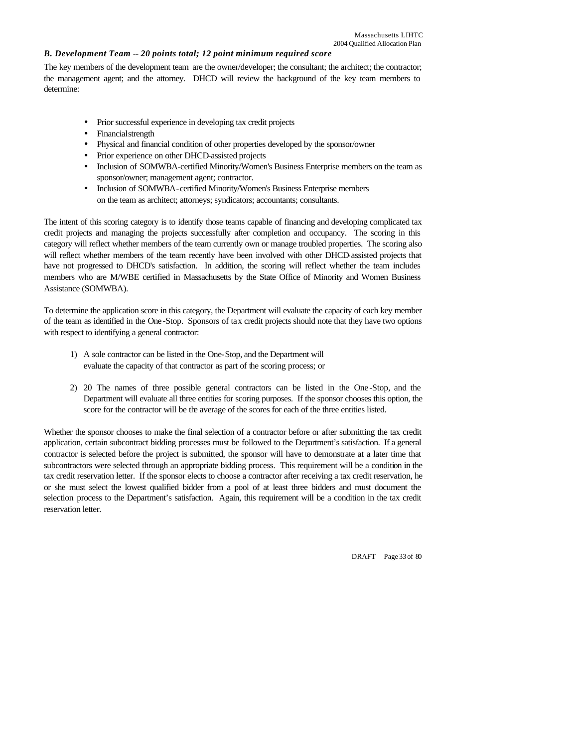## *B. Development Team -- 20 points total; 12 point minimum required score*

The key members of the development team are the owner/developer; the consultant; the architect; the contractor; the management agent; and the attorney. DHCD will review the background of the key team members to determine:

- Prior successful experience in developing tax credit projects
- Financial strength
- Physical and financial condition of other properties developed by the sponsor/owner
- Prior experience on other DHCD-assisted projects
- Inclusion of SOMWBA-certified Minority/Women's Business Enterprise members on the team as sponsor/owner; management agent; contractor.
- Inclusion of SOMWBA-certified Minority/Women's Business Enterprise members on the team as architect; attorneys; syndicators; accountants; consultants.

The intent of this scoring category is to identify those teams capable of financing and developing complicated tax credit projects and managing the projects successfully after completion and occupancy. The scoring in this category will reflect whether members of the team currently own or manage troubled properties. The scoring also will reflect whether members of the team recently have been involved with other DHCD-assisted projects that have not progressed to DHCD's satisfaction. In addition, the scoring will reflect whether the team includes members who are M/WBE certified in Massachusetts by the State Office of Minority and Women Business Assistance (SOMWBA).

To determine the application score in this category, the Department will evaluate the capacity of each key member of the team as identified in the One -Stop. Sponsors of tax credit projects should note that they have two options with respect to identifying a general contractor:

- 1) A sole contractor can be listed in the One-Stop, and the Department will evaluate the capacity of that contractor as part of the scoring process; or
- 2) 20 The names of three possible general contractors can be listed in the One -Stop, and the Department will evaluate all three entities for scoring purposes. If the sponsor chooses this option, the score for the contractor will be the average of the scores for each of the three entities listed.

Whether the sponsor chooses to make the final selection of a contractor before or after submitting the tax credit application, certain subcontract bidding processes must be followed to the Department's satisfaction. If a general contractor is selected before the project is submitted, the sponsor will have to demonstrate at a later time that subcontractors were selected through an appropriate bidding process. This requirement will be a condition in the tax credit reservation letter. If the sponsor elects to choose a contractor after receiving a tax credit reservation, he or she must select the lowest qualified bidder from a pool of at least three bidders and must document the selection process to the Department's satisfaction. Again, this requirement will be a condition in the tax credit reservation letter.

DRAFT Page 33 of 80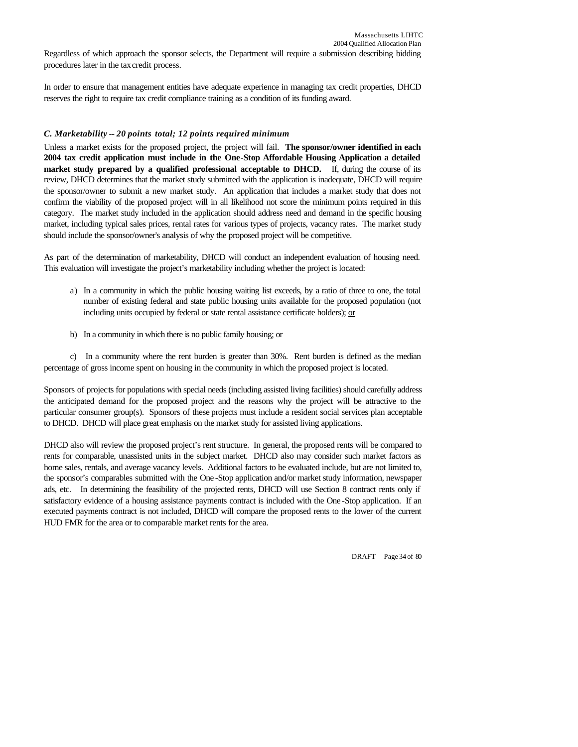Regardless of which approach the sponsor selects, the Department will require a submission describing bidding procedures later in the tax credit process.

In order to ensure that management entities have adequate experience in managing tax credit properties, DHCD reserves the right to require tax credit compliance training as a condition of its funding award.

#### *C. Marketability -- 20 points total; 12 points required minimum*

Unless a market exists for the proposed project, the project will fail. **The sponsor/owner identified in each 2004 tax credit application must include in the One-Stop Affordable Housing Application a detailed market study prepared by a qualified professional acceptable to DHCD.** If, during the course of its review, DHCD determines that the market study submitted with the application is inadequate, DHCD will require the sponsor/owner to submit a new market study. An application that includes a market study that does not confirm the viability of the proposed project will in all likelihood not score the minimum points required in this category. The market study included in the application should address need and demand in the specific housing market, including typical sales prices, rental rates for various types of projects, vacancy rates. The market study should include the sponsor/owner's analysis of why the proposed project will be competitive.

As part of the determination of marketability, DHCD will conduct an independent evaluation of housing need. This evaluation will investigate the project's marketability including whether the project is located:

- a) In a community in which the public housing waiting list exceeds, by a ratio of three to one, the total number of existing federal and state public housing units available for the proposed population (not including units occupied by federal or state rental assistance certificate holders); or
- b) In a community in which there is no public family housing; or

c) In a community where the rent burden is greater than 30%. Rent burden is defined as the median percentage of gross income spent on housing in the community in which the proposed project is located.

Sponsors of projects for populations with special needs (including assisted living facilities) should carefully address the anticipated demand for the proposed project and the reasons why the project will be attractive to the particular consumer group(s). Sponsors of these projects must include a resident social services plan acceptable to DHCD. DHCD will place great emphasis on the market study for assisted living applications.

DHCD also will review the proposed project's rent structure. In general, the proposed rents will be compared to rents for comparable, unassisted units in the subject market. DHCD also may consider such market factors as home sales, rentals, and average vacancy levels. Additional factors to be evaluated include, but are not limited to, the sponsor's comparables submitted with the One -Stop application and/or market study information, newspaper ads, etc. In determining the feasibility of the projected rents, DHCD will use Section 8 contract rents only if satisfactory evidence of a housing assistance payments contract is included with the One -Stop application. If an executed payments contract is not included, DHCD will compare the proposed rents to the lower of the current HUD FMR for the area or to comparable market rents for the area.

DRAFT Page 34 of 80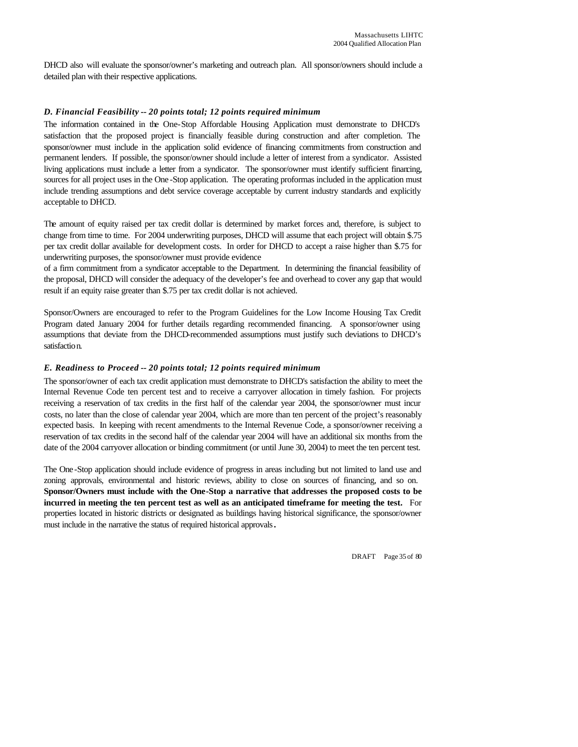DHCD also will evaluate the sponsor/owner's marketing and outreach plan. All sponsor/owners should include a detailed plan with their respective applications.

#### *D. Financial Feasibility -- 20 points total; 12 points required minimum*

The information contained in the One-Stop Affordable Housing Application must demonstrate to DHCD's satisfaction that the proposed project is financially feasible during construction and after completion. The sponsor/owner must include in the application solid evidence of financing commitments from construction and permanent lenders. If possible, the sponsor/owner should include a letter of interest from a syndicator. Assisted living applications must include a letter from a syndicator. The sponsor/owner must identify sufficient financing, sources for all project uses in the One -Stop application. The operating proformas included in the application must include trending assumptions and debt service coverage acceptable by current industry standards and explicitly acceptable to DHCD.

The amount of equity raised per tax credit dollar is determined by market forces and, therefore, is subject to change from time to time. For 2004 underwriting purposes, DHCD will assume that each project will obtain \$.75 per tax credit dollar available for development costs. In order for DHCD to accept a raise higher than \$.75 for underwriting purposes, the sponsor/owner must provide evidence

of a firm commitment from a syndicator acceptable to the Department. In determining the financial feasibility of the proposal, DHCD will consider the adequacy of the developer's fee and overhead to cover any gap that would result if an equity raise greater than \$.75 per tax credit dollar is not achieved.

Sponsor/Owners are encouraged to refer to the Program Guidelines for the Low Income Housing Tax Credit Program dated January 2004 for further details regarding recommended financing. A sponsor/owner using assumptions that deviate from the DHCD-recommended assumptions must justify such deviations to DHCD's satisfaction.

#### *E. Readiness to Proceed -- 20 points total; 12 points required minimum*

The sponsor/owner of each tax credit application must demonstrate to DHCD's satisfaction the ability to meet the Internal Revenue Code ten percent test and to receive a carryover allocation in timely fashion. For projects receiving a reservation of tax credits in the first half of the calendar year 2004, the sponsor/owner must incur costs, no later than the close of calendar year 2004, which are more than ten percent of the project's reasonably expected basis. In keeping with recent amendments to the Internal Revenue Code, a sponsor/owner receiving a reservation of tax credits in the second half of the calendar year 2004 will have an additional six months from the date of the 2004 carryover allocation or binding commitment (or until June 30, 2004) to meet the ten percent test.

The One -Stop application should include evidence of progress in areas including but not limited to land use and zoning approvals, environmental and historic reviews, ability to close on sources of financing, and so on. **Sponsor/Owners must include with the One-Stop a narrative that addresses the proposed costs to be incurred in meeting the ten percent test as well as an anticipated timeframe for meeting the test.** For properties located in historic districts or designated as buildings having historical significance, the sponsor/owner must include in the narrative the status of required historical approvals**.** 

DRAFT Page 35 of 80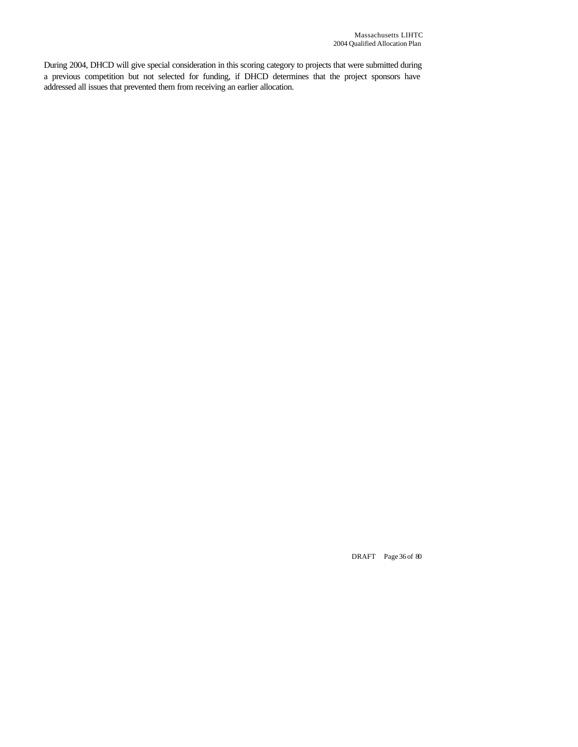During 2004, DHCD will give special consideration in this scoring category to projects that were submitted during a previous competition but not selected for funding, if DHCD determines that the project sponsors have addressed all issues that prevented them from receiving an earlier allocation.

DRAFT Page 36 of 80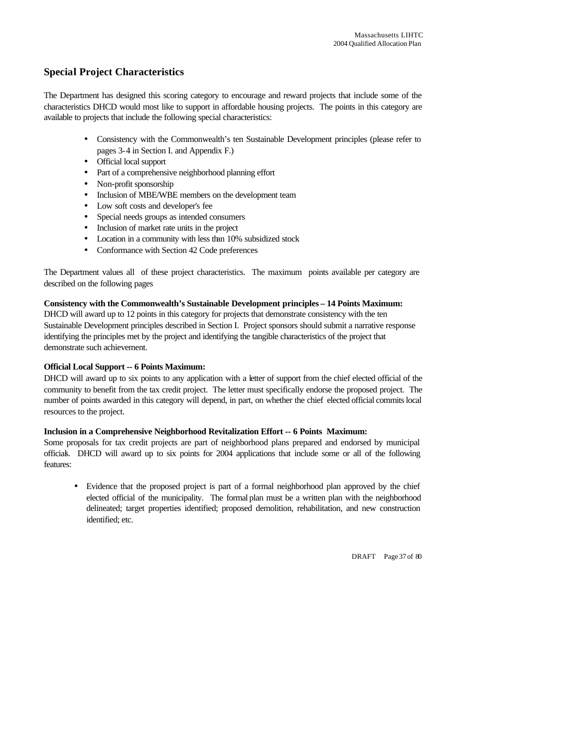## **Special Project Characteristics**

The Department has designed this scoring category to encourage and reward projects that include some of the characteristics DHCD would most like to support in affordable housing projects. The points in this category are available to projects that include the following special characteristics:

- Consistency with the Commonwealth's ten Sustainable Development principles (please refer to pages 3-4 in Section I. and Appendix F.)
- Official local support
- Part of a comprehensive neighborhood planning effort
- Non-profit sponsorship
- Inclusion of MBE/WBE members on the development team
- Low soft costs and developer's fee
- Special needs groups as intended consumers
- Inclusion of market rate units in the project
- Location in a community with less than 10% subsidized stock
- Conformance with Section 42 Code preferences

The Department values all of these project characteristics. The maximum points available per category are described on the following pages

## **Consistency with the Commonwealth's Sustainable Development principles – 14 Points Maximum:**

DHCD will award up to 12 points in this category for projects that demonstrate consistency with the ten Sustainable Development principles described in Section I. Project sponsors should submit a narrative response identifying the principles met by the project and identifying the tangible characteristics of the project that demonstrate such achievement.

## **Official Local Support -- 6 Points Maximum:**

DHCD will award up to six points to any application with a letter of support from the chief elected official of the community to benefit from the tax credit project. The letter must specifically endorse the proposed project. The number of points awarded in this category will depend, in part, on whether the chief elected official commits local resources to the project.

## **Inclusion in a Comprehensive Neighborhood Revitalization Effort -- 6 Points Maximum:**

Some proposals for tax credit projects are part of neighborhood plans prepared and endorsed by municipal officials. DHCD will award up to six points for 2004 applications that include some or all of the following features:

• Evidence that the proposed project is part of a formal neighborhood plan approved by the chief elected official of the municipality. The formal plan must be a written plan with the neighborhood delineated; target properties identified; proposed demolition, rehabilitation, and new construction identified; etc.

DRAFT Page 37 of 80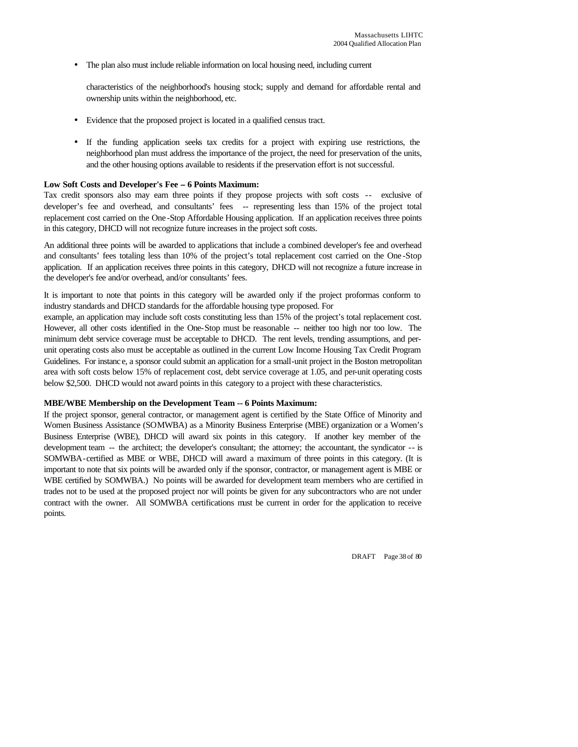• The plan also must include reliable information on local housing need, including current

characteristics of the neighborhood's housing stock; supply and demand for affordable rental and ownership units within the neighborhood, etc.

- Evidence that the proposed project is located in a qualified census tract.
- If the funding application seeks tax credits for a project with expiring use restrictions, the neighborhood plan must address the importance of the project, the need for preservation of the units, and the other housing options available to residents if the preservation effort is not successful.

#### Low Soft Costs and Developer's Fee - 6 Points Maximum:

Tax credit sponsors also may earn three points if they propose projects with soft costs -- exclusive of developer's fee and overhead, and consultants' fees -- representing less than 15% of the project total replacement cost carried on the One -Stop Affordable Housing application. If an application receives three points in this category, DHCD will not recognize future increases in the project soft costs.

An additional three points will be awarded to applications that include a combined developer's fee and overhead and consultants' fees totaling less than 10% of the project's total replacement cost carried on the One -Stop application. If an application receives three points in this category, DHCD will not recognize a future increase in the developer's fee and/or overhead, and/or consultants' fees.

It is important to note that points in this category will be awarded only if the project proformas conform to industry standards and DHCD standards for the affordable housing type proposed. For

example, an application may include soft costs constituting less than 15% of the project's total replacement cost. However, all other costs identified in the One-Stop must be reasonable -- neither too high nor too low. The minimum debt service coverage must be acceptable to DHCD. The rent levels, trending assumptions, and perunit operating costs also must be acceptable as outlined in the current Low Income Housing Tax Credit Program Guidelines. For instanc e, a sponsor could submit an application for a small-unit project in the Boston metropolitan area with soft costs below 15% of replacement cost, debt service coverage at 1.05, and per-unit operating costs below \$2,500. DHCD would not award points in this category to a project with these characteristics.

#### **MBE/WBE Membership on the Development Team -- 6 Points Maximum:**

If the project sponsor, general contractor, or management agent is certified by the State Office of Minority and Women Business Assistance (SOMWBA) as a Minority Business Enterprise (MBE) organization or a Women's Business Enterprise (WBE), DHCD will award six points in this category. If another key member of the development team -- the architect; the developer's consultant; the attorney; the accountant, the syndicator -- is SOMWBA-certified as MBE or WBE, DHCD will award a maximum of three points in this category. (It is important to note that six points will be awarded only if the sponsor, contractor, or management agent is MBE or WBE certified by SOMWBA.) No points will be awarded for development team members who are certified in trades not to be used at the proposed project nor will points be given for any subcontractors who are not under contract with the owner. All SOMWBA certifications must be current in order for the application to receive points.

DRAFT Page 38 of 80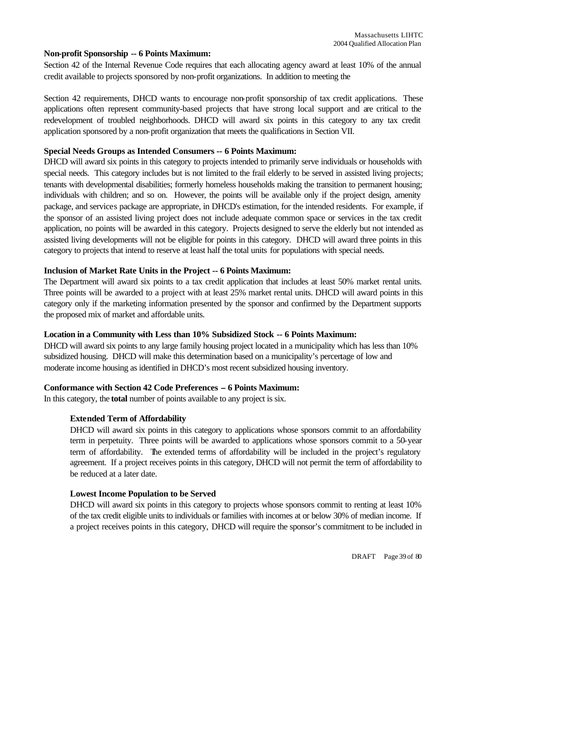#### **Non-profit Sponsorship -- 6 Points Maximum:**

Section 42 of the Internal Revenue Code requires that each allocating agency award at least 10% of the annual credit available to projects sponsored by non-profit organizations. In addition to meeting the

Section 42 requirements, DHCD wants to encourage non-profit sponsorship of tax credit applications. These applications often represent community-based projects that have strong local support and are critical to the redevelopment of troubled neighborhoods. DHCD will award six points in this category to any tax credit application sponsored by a non-profit organization that meets the qualifications in Section VII.

#### **Special Needs Groups as Intended Consumers -- 6 Points Maximum:**

DHCD will award six points in this category to projects intended to primarily serve individuals or households with special needs. This category includes but is not limited to the frail elderly to be served in assisted living projects; tenants with developmental disabilities; formerly homeless households making the transition to permanent housing; individuals with children; and so on. However, the points will be available only if the project design, amenity package, and services package are appropriate, in DHCD's estimation, for the intended residents. For example, if the sponsor of an assisted living project does not include adequate common space or services in the tax credit application, no points will be awarded in this category. Projects designed to serve the elderly but not intended as assisted living developments will not be eligible for points in this category. DHCD will award three points in this category to projects that intend to reserve at least half the total units for populations with special needs.

#### **Inclusion of Market Rate Units in the Project -- 6 Points Maximum:**

The Department will award six points to a tax credit application that includes at least 50% market rental units. Three points will be awarded to a project with at least 25% market rental units. DHCD will award points in this category only if the marketing information presented by the sponsor and confirmed by the Department supports the proposed mix of market and affordable units.

#### **Location in a Community with Less than 10% Subsidized Stock -- 6 Points Maximum:**

DHCD will award six points to any large family housing project located in a municipality which has less than 10% subsidized housing. DHCD will make this determination based on a municipality's percentage of low and moderate income housing as identified in DHCD's most recent subsidized housing inventory.

# Conformance with Section 42 Code Preferences - 6 Points Maximum:

In this category, the **total** number of points available to any project is six.

# **Extended Term of Affordability**

DHCD will award six points in this category to applications whose sponsors commit to an affordability term in perpetuity. Three points will be awarded to applications whose sponsors commit to a 50-year term of affordability. The extended terms of affordability will be included in the project's regulatory agreement. If a project receives points in this category, DHCD will not permit the term of affordability to be reduced at a later date.

#### **Lowest Income Population to be Served**

DHCD will award six points in this category to projects whose sponsors commit to renting at least 10% of the tax credit eligible units to individuals or families with incomes at or below 30% of median income. If a project receives points in this category, DHCD will require the sponsor's commitment to be included in

DRAFT Page 39 of 80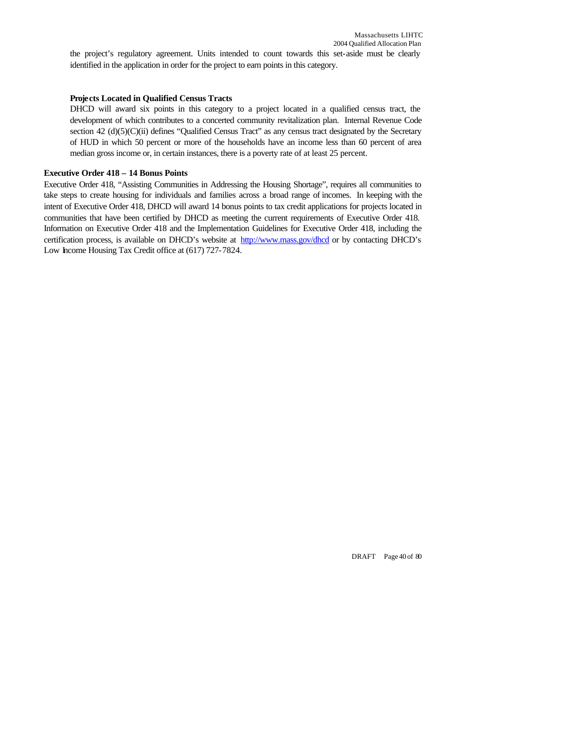the project's regulatory agreement. Units intended to count towards this set-aside must be clearly identified in the application in order for the project to earn points in this category.

#### **Projects Located in Qualified Census Tracts**

DHCD will award six points in this category to a project located in a qualified census tract, the development of which contributes to a concerted community revitalization plan. Internal Revenue Code section 42 (d)(5)(C)(ii) defines "Qualified Census Tract" as any census tract designated by the Secretary of HUD in which 50 percent or more of the households have an income less than 60 percent of area median gross income or, in certain instances, there is a poverty rate of at least 25 percent.

### **Executive Order 418 – 14 Bonus Points**

Executive Order 418, "Assisting Communities in Addressing the Housing Shortage", requires all communities to take steps to create housing for individuals and families across a broad range of incomes. In keeping with the intent of Executive Order 418, DHCD will award 14 bonus points to tax credit applications for projects located in communities that have been certified by DHCD as meeting the current requirements of Executive Order 418. Information on Executive Order 418 and the Implementation Guidelines for Executive Order 418, including the certification process, is available on DHCD's website at http://www.mass.gov/dhcd or by contacting DHCD's Low Income Housing Tax Credit office at (617) 727-7824.

DRAFT Page 40 of 80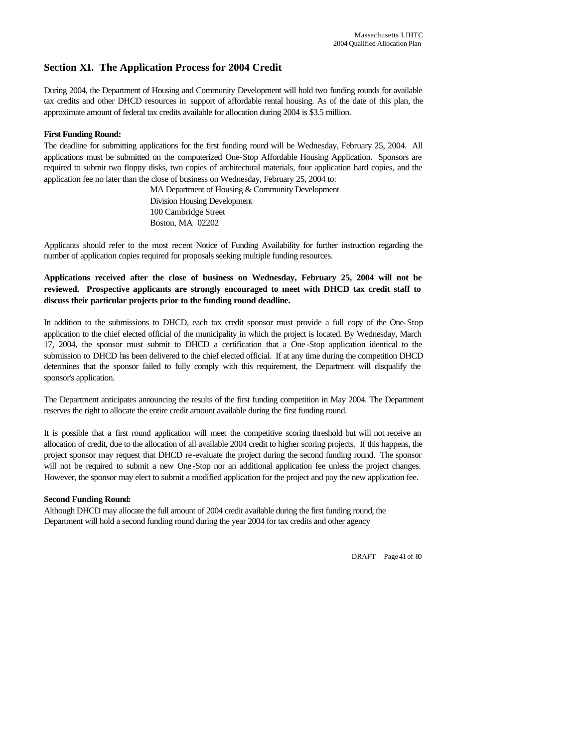# **Section XI. The Application Process for 2004 Credit**

During 2004, the Department of Housing and Community Development will hold two funding rounds for available tax credits and other DHCD resources in support of affordable rental housing. As of the date of this plan, the approximate amount of federal tax credits available for allocation during 2004 is \$3.5 million.

## **First Funding Round:**

The deadline for submitting applications for the first funding round will be Wednesday, February 25, 2004. All applications must be submitted on the computerized One-Stop Affordable Housing Application. Sponsors are required to submit two floppy disks, two copies of architectural materials, four application hard copies, and the application fee no later than the close of business on Wednesday, February 25, 2004 to:

> MA Department of Housing & Community Development Division Housing Development 100 Cambridge Street Boston, MA 02202

Applicants should refer to the most recent Notice of Funding Availability for further instruction regarding the number of application copies required for proposals seeking multiple funding resources.

**Applications received after the close of business on Wednesday, February 25, 2004 will not be reviewed. Prospective applicants are strongly encouraged to meet with DHCD tax credit staff to discuss their particular projects prior to the funding round deadline.**

In addition to the submissions to DHCD, each tax credit sponsor must provide a full copy of the One-Stop application to the chief elected official of the municipality in which the project is located. By Wednesday, March 17, 2004, the sponsor must submit to DHCD a certification that a One -Stop application identical to the submission to DHCD has been delivered to the chief elected official. If at any time during the competition DHCD determines that the sponsor failed to fully comply with this requirement, the Department will disqualify the sponsor's application.

The Department anticipates announcing the results of the first funding competition in May 2004. The Department reserves the right to allocate the entire credit amount available during the first funding round.

It is possible that a first round application will meet the competitive scoring threshold but will not receive an allocation of credit, due to the allocation of all available 2004 credit to higher scoring projects. If this happens, the project sponsor may request that DHCD re-evaluate the project during the second funding round. The sponsor will not be required to submit a new One -Stop nor an additional application fee unless the project changes. However, the sponsor may elect to submit a modified application for the project and pay the new application fee.

#### **Second Funding Round:**

Although DHCD may allocate the full amount of 2004 credit available during the first funding round, the Department will hold a second funding round during the year 2004 for tax credits and other agency

DRAFT Page 41 of 80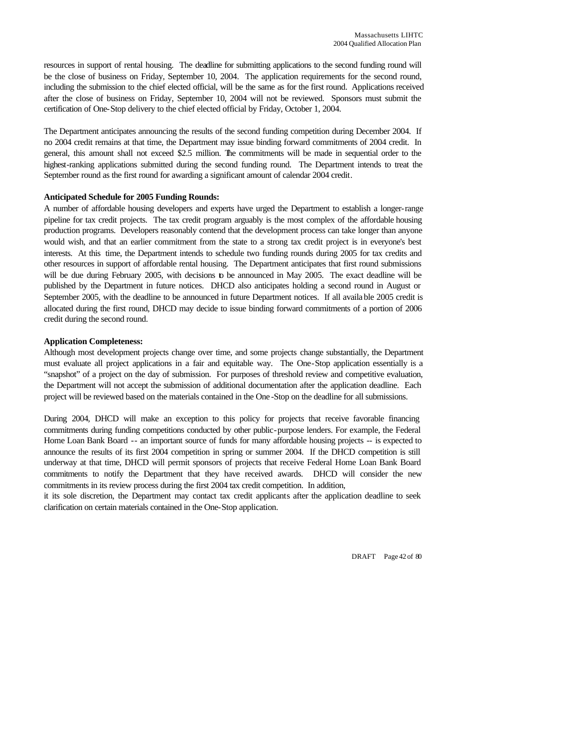resources in support of rental housing. The deadline for submitting applications to the second funding round will be the close of business on Friday, September 10, 2004. The application requirements for the second round, including the submission to the chief elected official, will be the same as for the first round. Applications received after the close of business on Friday, September 10, 2004 will not be reviewed. Sponsors must submit the certification of One-Stop delivery to the chief elected official by Friday, October 1, 2004.

The Department anticipates announcing the results of the second funding competition during December 2004. If no 2004 credit remains at that time, the Department may issue binding forward commitments of 2004 credit. In general, this amount shall not exceed \$2.5 million. The commitments will be made in sequential order to the highest-ranking applications submitted during the second funding round. The Department intends to treat the September round as the first round for awarding a significant amount of calendar 2004 credit.

#### **Anticipated Schedule for 2005 Funding Rounds:**

A number of affordable housing developers and experts have urged the Department to establish a longer-range pipeline for tax credit projects. The tax credit program arguably is the most complex of the affordable housing production programs. Developers reasonably contend that the development process can take longer than anyone would wish, and that an earlier commitment from the state to a strong tax credit project is in everyone's best interests. At this time, the Department intends to schedule two funding rounds during 2005 for tax credits and other resources in support of affordable rental housing. The Department anticipates that first round submissions will be due during February 2005, with decisions to be announced in May 2005. The exact deadline will be published by the Department in future notices. DHCD also anticipates holding a second round in August or September 2005, with the deadline to be announced in future Department notices. If all availa ble 2005 credit is allocated during the first round, DHCD may decide to issue binding forward commitments of a portion of 2006 credit during the second round.

#### **Application Completeness:**

Although most development projects change over time, and some projects change substantially, the Department must evaluate all project applications in a fair and equitable way. The One-Stop application essentially is a "snapshot" of a project on the day of submission. For purposes of threshold review and competitive evaluation, the Department will not accept the submission of additional documentation after the application deadline. Each project will be reviewed based on the materials contained in the One -Stop on the deadline for all submissions.

During 2004, DHCD will make an exception to this policy for projects that receive favorable financing commitments during funding competitions conducted by other public-purpose lenders. For example, the Federal Home Loan Bank Board -- an important source of funds for many affordable housing projects -- is expected to announce the results of its first 2004 competition in spring or summer 2004. If the DHCD competition is still underway at that time, DHCD will permit sponsors of projects that receive Federal Home Loan Bank Board commitments to notify the Department that they have received awards. DHCD will consider the new commitments in its review process during the first 2004 tax credit competition. In addition,

it its sole discretion, the Department may contact tax credit applicants after the application deadline to seek clarification on certain materials contained in the One-Stop application.

DRAFT Page 42 of 80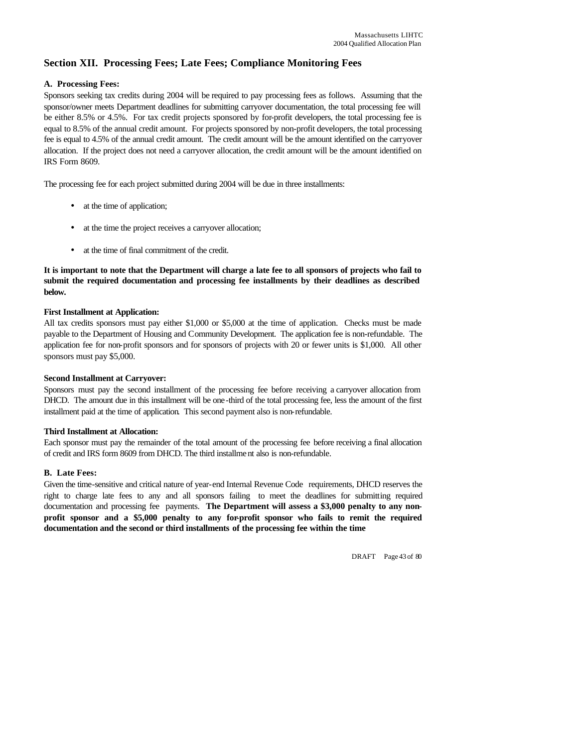# **Section XII. Processing Fees; Late Fees; Compliance Monitoring Fees**

## **A. Processing Fees:**

Sponsors seeking tax credits during 2004 will be required to pay processing fees as follows. Assuming that the sponsor/owner meets Department deadlines for submitting carryover documentation, the total processing fee will be either 8.5% or 4.5%. For tax credit projects sponsored by for-profit developers, the total processing fee is equal to 8.5% of the annual credit amount. For projects sponsored by non-profit developers, the total processing fee is equal to 4.5% of the annual credit amount. The credit amount will be the amount identified on the carryover allocation. If the project does not need a carryover allocation, the credit amount will be the amount identified on IRS Form 8609.

The processing fee for each project submitted during 2004 will be due in three installments:

- at the time of application;
- at the time the project receives a carryover allocation;
- at the time of final commitment of the credit.

**It is important to note that the Department will charge a late fee to all sponsors of projects who fail to submit the required documentation and processing fee installments by their deadlines as described below.**

## **First Installment at Application:**

All tax credits sponsors must pay either \$1,000 or \$5,000 at the time of application. Checks must be made payable to the Department of Housing and Community Development. The application fee is non-refundable. The application fee for non-profit sponsors and for sponsors of projects with 20 or fewer units is \$1,000. All other sponsors must pay \$5,000.

## **Second Installment at Carryover:**

Sponsors must pay the second installment of the processing fee before receiving a carryover allocation from DHCD. The amount due in this installment will be one -third of the total processing fee, less the amount of the first installment paid at the time of application. This second payment also is non-refundable.

#### **Third Installment at Allocation:**

Each sponsor must pay the remainder of the total amount of the processing fee before receiving a final allocation of credit and IRS form 8609 from DHCD. The third installment also is non-refundable.

# **B. Late Fees:**

Given the time-sensitive and critical nature of year-end Internal Revenue Code requirements, DHCD reserves the right to charge late fees to any and all sponsors failing to meet the deadlines for submitting required documentation and processing fee payments. **The Department will assess a \$3,000 penalty to any nonprofit sponsor and a \$5,000 penalty to any for-profit sponsor who fails to remit the required documentation and the second or third installments of the processing fee within the time** 

DRAFT Page 43 of 80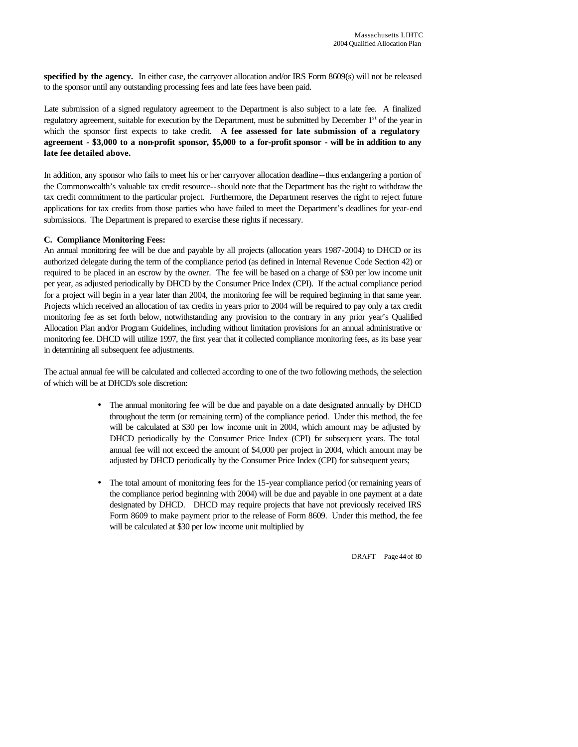**specified by the agency.** In either case, the carryover allocation and/or IRS Form 8609(s) will not be released to the sponsor until any outstanding processing fees and late fees have been paid.

Late submission of a signed regulatory agreement to the Department is also subject to a late fee. A finalized regulatory agreement, suitable for execution by the Department, must be submitted by December 1<sup>st</sup> of the year in which the sponsor first expects to take credit. **A fee assessed for late submission of a regulatory agreement - \$3,000 to a non-profit sponsor, \$5,000 to a for-profit sponsor - will be in addition to any late fee detailed above.**

In addition, any sponsor who fails to meet his or her carryover allocation deadline--thus endangering a portion of the Commonwealth's valuable tax credit resource--should note that the Department has the right to withdraw the tax credit commitment to the particular project. Furthermore, the Department reserves the right to reject future applications for tax credits from those parties who have failed to meet the Department's deadlines for year-end submissions. The Department is prepared to exercise these rights if necessary.

#### **C. Compliance Monitoring Fees:**

An annual monitoring fee will be due and payable by all projects (allocation years 1987-2004) to DHCD or its authorized delegate during the term of the compliance period (as defined in Internal Revenue Code Section 42) or required to be placed in an escrow by the owner. The fee will be based on a charge of \$30 per low income unit per year, as adjusted periodically by DHCD by the Consumer Price Index (CPI). If the actual compliance period for a project will begin in a year later than 2004, the monitoring fee will be required beginning in that same year. Projects which received an allocation of tax credits in years prior to 2004 will be required to pay only a tax credit monitoring fee as set forth below, notwithstanding any provision to the contrary in any prior year's Qualified Allocation Plan and/or Program Guidelines, including without limitation provisions for an annual administrative or monitoring fee. DHCD will utilize 1997, the first year that it collected compliance monitoring fees, as its base year in determining all subsequent fee adjustments.

The actual annual fee will be calculated and collected according to one of the two following methods, the selection of which will be at DHCD's sole discretion:

- The annual monitoring fee will be due and payable on a date designated annually by DHCD throughout the term (or remaining term) of the compliance period. Under this method, the fee will be calculated at \$30 per low income unit in 2004, which amount may be adjusted by DHCD periodically by the Consumer Price Index (CPI) for subsequent years. The total annual fee will not exceed the amount of \$4,000 per project in 2004, which amount may be adjusted by DHCD periodically by the Consumer Price Index (CPI) for subsequent years;
- The total amount of monitoring fees for the 15-year compliance period (or remaining years of the compliance period beginning with 2004) will be due and payable in one payment at a date designated by DHCD. DHCD may require projects that have not previously received IRS Form 8609 to make payment prior to the release of Form 8609. Under this method, the fee will be calculated at \$30 per low income unit multiplied by

DRAFT Page 44 of 80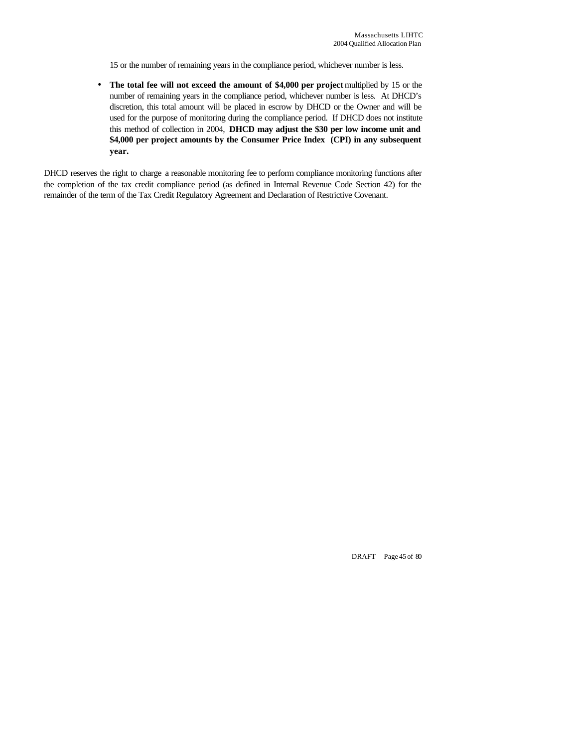15 or the number of remaining years in the compliance period, whichever number is less.

• **The total fee will not exceed the amount of \$4,000 per project** multiplied by 15 or the number of remaining years in the compliance period, whichever number is less. At DHCD's discretion, this total amount will be placed in escrow by DHCD or the Owner and will be used for the purpose of monitoring during the compliance period. If DHCD does not institute this method of collection in 2004, **DHCD may adjust the \$30 per low income unit and \$4,000 per project amounts by the Consumer Price Index (CPI) in any subsequent year.** 

DHCD reserves the right to charge a reasonable monitoring fee to perform compliance monitoring functions after the completion of the tax credit compliance period (as defined in Internal Revenue Code Section 42) for the remainder of the term of the Tax Credit Regulatory Agreement and Declaration of Restrictive Covenant.

DRAFT Page 45 of 80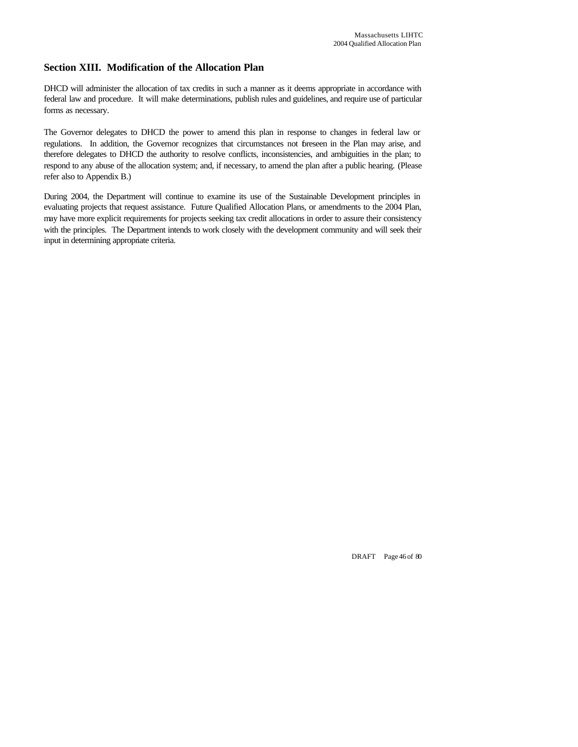# **Section XIII. Modification of the Allocation Plan**

DHCD will administer the allocation of tax credits in such a manner as it deems appropriate in accordance with federal law and procedure. It will make determinations, publish rules and guidelines, and require use of particular forms as necessary.

The Governor delegates to DHCD the power to amend this plan in response to changes in federal law or regulations. In addition, the Governor recognizes that circumstances not foreseen in the Plan may arise, and therefore delegates to DHCD the authority to resolve conflicts, inconsistencies, and ambiguities in the plan; to respond to any abuse of the allocation system; and, if necessary, to amend the plan after a public hearing. (Please refer also to Appendix B.)

During 2004, the Department will continue to examine its use of the Sustainable Development principles in evaluating projects that request assistance. Future Qualified Allocation Plans, or amendments to the 2004 Plan, may have more explicit requirements for projects seeking tax credit allocations in order to assure their consistency with the principles. The Department intends to work closely with the development community and will seek their input in determining appropriate criteria.

DRAFT Page 46 of 80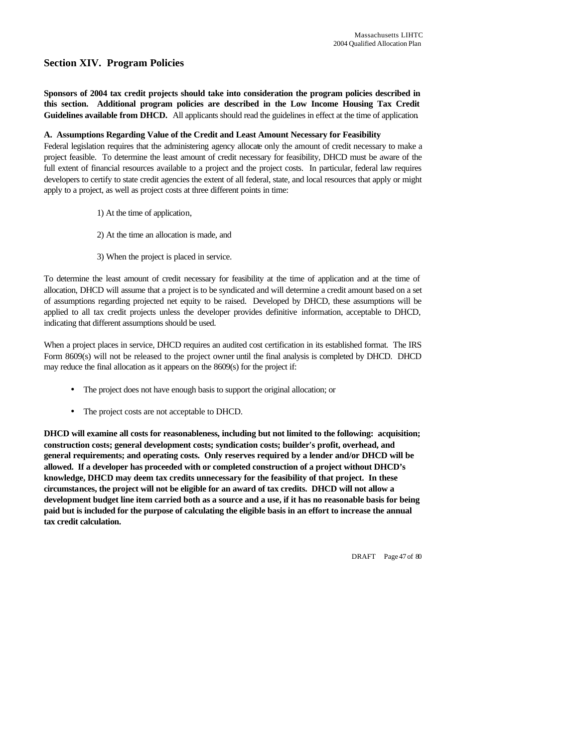# **Section XIV. Program Policies**

**Sponsors of 2004 tax credit projects should take into consideration the program policies described in this section. Additional program policies are described in the Low Income Housing Tax Credit Guidelines available from DHCD.** All applicants should read the guidelines in effect at the time of application**.**

# **A. Assumptions Regarding Value of the Credit and Least Amount Necessary for Feasibility**

Federal legislation requires that the administering agency allocate only the amount of credit necessary to make a project feasible. To determine the least amount of credit necessary for feasibility, DHCD must be aware of the full extent of financial resources available to a project and the project costs. In particular, federal law requires developers to certify to state credit agencies the extent of all federal, state, and local resources that apply or might apply to a project, as well as project costs at three different points in time:

- 1) At the time of application,
- 2) At the time an allocation is made, and
- 3) When the project is placed in service.

To determine the least amount of credit necessary for feasibility at the time of application and at the time of allocation, DHCD will assume that a project is to be syndicated and will determine a credit amount based on a set of assumptions regarding projected net equity to be raised. Developed by DHCD, these assumptions will be applied to all tax credit projects unless the developer provides definitive information, acceptable to DHCD, indicating that different assumptions should be used.

When a project places in service, DHCD requires an audited cost certification in its established format. The IRS Form 8609(s) will not be released to the project owner until the final analysis is completed by DHCD. DHCD may reduce the final allocation as it appears on the 8609(s) for the project if:

- The project does not have enough basis to support the original allocation; or
- The project costs are not acceptable to DHCD.

**DHCD will examine all costs for reasonableness, including but not limited to the following: acquisition; construction costs; general development costs; syndication costs; builder's profit, overhead, and general requirements; and operating costs. Only reserves required by a lender and/or DHCD will be allowed. If a developer has proceeded with or completed construction of a project without DHCD's knowledge, DHCD may deem tax credits unnecessary for the feasibility of that project. In these circumstances, the project will not be eligible for an award of tax credits. DHCD will not allow a development budget line item carried both as a source and a use, if it has no reasonable basis for being paid but is included for the purpose of calculating the eligible basis in an effort to increase the annual tax credit calculation.**

DRAFT Page 47 of 80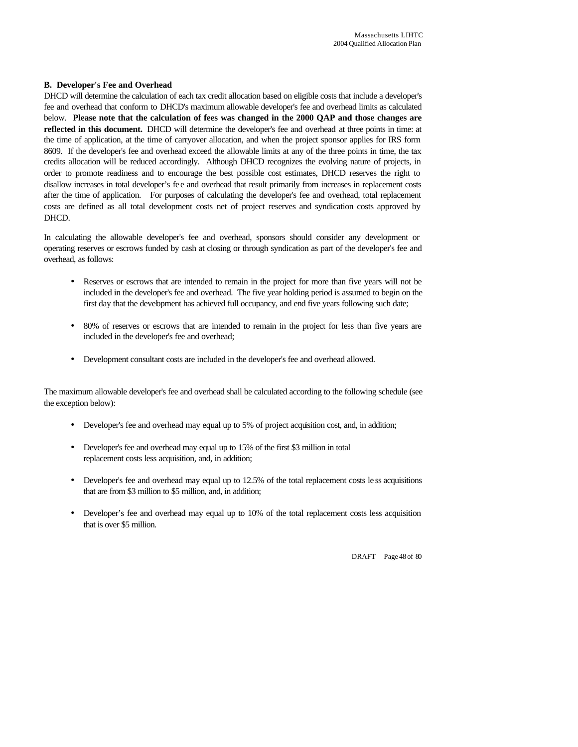## **B. Developer's Fee and Overhead**

DHCD will determine the calculation of each tax credit allocation based on eligible costs that include a developer's fee and overhead that conform to DHCD's maximum allowable developer's fee and overhead limits as calculated below. **Please note that the calculation of fees was changed in the 2000 QAP and those changes are reflected in this document.** DHCD will determine the developer's fee and overhead at three points in time: at the time of application, at the time of carryover allocation, and when the project sponsor applies for IRS form 8609. If the developer's fee and overhead exceed the allowable limits at any of the three points in time, the tax credits allocation will be reduced accordingly. Although DHCD recognizes the evolving nature of projects, in order to promote readiness and to encourage the best possible cost estimates, DHCD reserves the right to disallow increases in total developer's fe e and overhead that result primarily from increases in replacement costs after the time of application. For purposes of calculating the developer's fee and overhead, total replacement costs are defined as all total development costs net of project reserves and syndication costs approved by DHCD.

In calculating the allowable developer's fee and overhead, sponsors should consider any development or operating reserves or escrows funded by cash at closing or through syndication as part of the developer's fee and overhead, as follows:

- Reserves or escrows that are intended to remain in the project for more than five years will not be included in the developer's fee and overhead. The five year holding period is assumed to begin on the first day that the development has achieved full occupancy, and end five years following such date;
- 80% of reserves or escrows that are intended to remain in the project for less than five years are included in the developer's fee and overhead;
- Development consultant costs are included in the developer's fee and overhead allowed.

The maximum allowable developer's fee and overhead shall be calculated according to the following schedule (see the exception below):

- Developer's fee and overhead may equal up to 5% of project acquisition cost, and, in addition;
- Developer's fee and overhead may equal up to 15% of the first \$3 million in total replacement costs less acquisition, and, in addition;
- Developer's fee and overhead may equal up to 12.5% of the total replacement costs less acquisitions that are from \$3 million to \$5 million, and, in addition;
- Developer's fee and overhead may equal up to 10% of the total replacement costs less acquisition that is over \$5 million.

DRAFT Page 48 of 80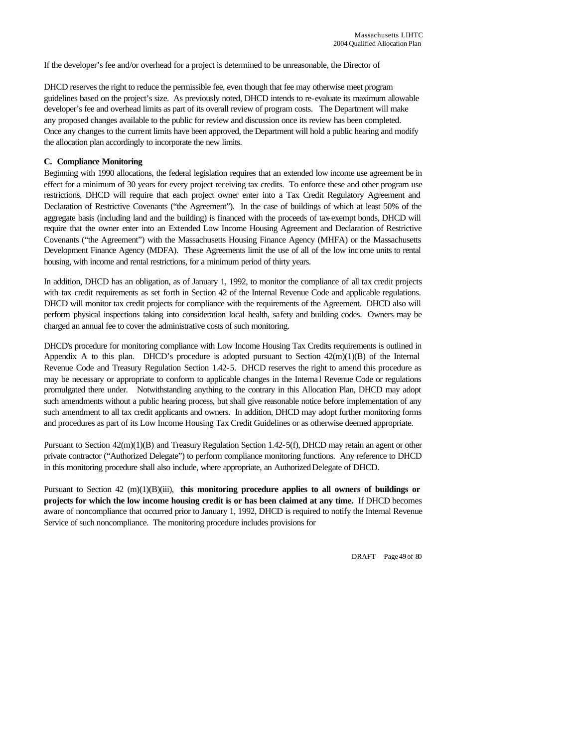If the developer's fee and/or overhead for a project is determined to be unreasonable, the Director of

DHCD reserves the right to reduce the permissible fee, even though that fee may otherwise meet program guidelines based on the project's size. As previously noted, DHCD intends to re-evaluate its maximum allowable developer's fee and overhead limits as part of its overall review of program costs. The Department will make any proposed changes available to the public for review and discussion once its review has been completed. Once any changes to the current limits have been approved, the Department will hold a public hearing and modify the allocation plan accordingly to incorporate the new limits.

#### **C. Compliance Monitoring**

Beginning with 1990 allocations, the federal legislation requires that an extended low income use agreement be in effect for a minimum of 30 years for every project receiving tax credits. To enforce these and other program use restrictions, DHCD will require that each project owner enter into a Tax Credit Regulatory Agreement and Declaration of Restrictive Covenants ("the Agreement"). In the case of buildings of which at least 50% of the aggregate basis (including land and the building) is financed with the proceeds of tax-exempt bonds, DHCD will require that the owner enter into an Extended Low Income Housing Agreement and Declaration of Restrictive Covenants ("the Agreement") with the Massachusetts Housing Finance Agency (MHFA) or the Massachusetts Development Finance Agency (MDFA). These Agreements limit the use of all of the low income units to rental housing, with income and rental restrictions, for a minimum period of thirty years.

In addition, DHCD has an obligation, as of January 1, 1992, to monitor the compliance of all tax credit projects with tax credit requirements as set forth in Section 42 of the Internal Revenue Code and applicable regulations. DHCD will monitor tax credit projects for compliance with the requirements of the Agreement. DHCD also will perform physical inspections taking into consideration local health, safety and building codes. Owners may be charged an annual fee to cover the administrative costs of such monitoring.

DHCD's procedure for monitoring compliance with Low Income Housing Tax Credits requirements is outlined in Appendix A to this plan. DHCD's procedure is adopted pursuant to Section  $42(m)(1)(B)$  of the Internal Revenue Code and Treasury Regulation Section 1.42-5. DHCD reserves the right to amend this procedure as may be necessary or appropriate to conform to applicable changes in the Interna l Revenue Code or regulations promulgated there under. Notwithstanding anything to the contrary in this Allocation Plan, DHCD may adopt such amendments without a public hearing process, but shall give reasonable notice before implementation of any such amendment to all tax credit applicants and owners. In addition, DHCD may adopt further monitoring forms and procedures as part of its Low Income Housing Tax Credit Guidelines or as otherwise deemed appropriate.

Pursuant to Section 42(m)(1)(B) and Treasury Regulation Section 1.42-5(f), DHCD may retain an agent or other private contractor ("Authorized Delegate") to perform compliance monitoring functions. Any reference to DHCD in this monitoring procedure shall also include, where appropriate, an Authorized Delegate of DHCD.

Pursuant to Section 42 (m)(1)(B)(iii), **this monitoring procedure applies to all owners of buildings or projects for which the low income housing credit is or has been claimed at any time.** If DHCD becomes aware of noncompliance that occurred prior to January 1, 1992, DHCD is required to notify the Internal Revenue Service of such noncompliance. The monitoring procedure includes provisions for

DRAFT Page 49 of 80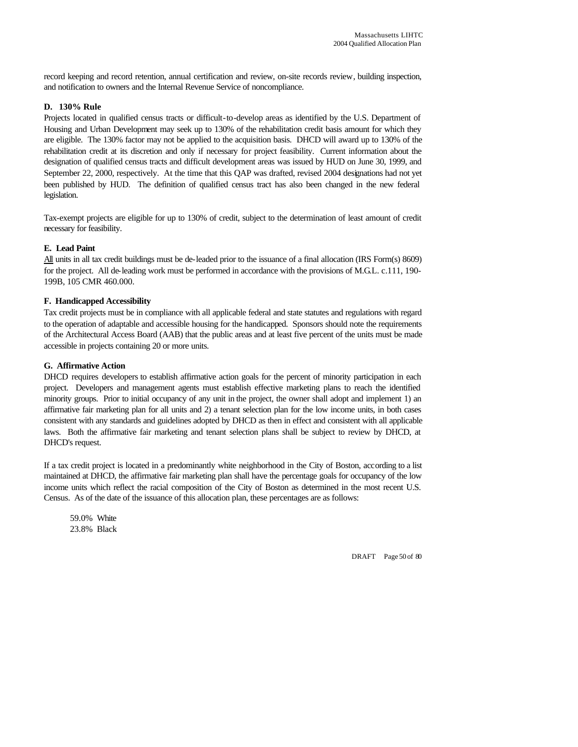record keeping and record retention, annual certification and review, on-site records review, building inspection, and notification to owners and the Internal Revenue Service of noncompliance.

# **D. 130% Rule**

Projects located in qualified census tracts or difficult-to-develop areas as identified by the U.S. Department of Housing and Urban Development may seek up to 130% of the rehabilitation credit basis amount for which they are eligible. The 130% factor may not be applied to the acquisition basis. DHCD will award up to 130% of the rehabilitation credit at its discretion and only if necessary for project feasibility. Current information about the designation of qualified census tracts and difficult development areas was issued by HUD on June 30, 1999, and September 22, 2000, respectively. At the time that this QAP was drafted, revised 2004 designations had not yet been published by HUD. The definition of qualified census tract has also been changed in the new federal legislation.

Tax-exempt projects are eligible for up to 130% of credit, subject to the determination of least amount of credit necessary for feasibility.

# **E. Lead Paint**

All units in all tax credit buildings must be de-leaded prior to the issuance of a final allocation (IRS Form(s) 8609) for the project. All de-leading work must be performed in accordance with the provisions of M.G.L. c.111, 190- 199B, 105 CMR 460.000.

# **F. Handicapped Accessibility**

Tax credit projects must be in compliance with all applicable federal and state statutes and regulations with regard to the operation of adaptable and accessible housing for the handicapped. Sponsors should note the requirements of the Architectural Access Board (AAB) that the public areas and at least five percent of the units must be made accessible in projects containing 20 or more units.

# **G. Affirmative Action**

DHCD requires developers to establish affirmative action goals for the percent of minority participation in each project. Developers and management agents must establish effective marketing plans to reach the identified minority groups. Prior to initial occupancy of any unit in the project, the owner shall adopt and implement 1) an affirmative fair marketing plan for all units and 2) a tenant selection plan for the low income units, in both cases consistent with any standards and guidelines adopted by DHCD as then in effect and consistent with all applicable laws. Both the affirmative fair marketing and tenant selection plans shall be subject to review by DHCD, at DHCD's request.

If a tax credit project is located in a predominantly white neighborhood in the City of Boston, according to a list maintained at DHCD, the affirmative fair marketing plan shall have the percentage goals for occupancy of the low income units which reflect the racial composition of the City of Boston as determined in the most recent U.S. Census. As of the date of the issuance of this allocation plan, these percentages are as follows:

59.0% White 23.8% Black

DRAFT Page 50 of 80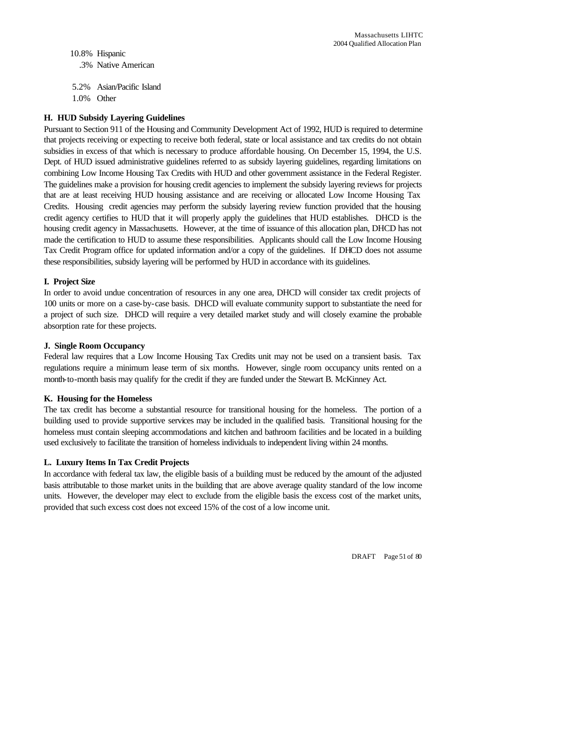10.8% Hispanic .3% Native American

5.2% Asian/Pacific Island

1.0% Other

# **H. HUD Subsidy Layering Guidelines**

Pursuant to Section 911 of the Housing and Community Development Act of 1992, HUD is required to determine that projects receiving or expecting to receive both federal, state or local assistance and tax credits do not obtain subsidies in excess of that which is necessary to produce affordable housing. On December 15, 1994, the U.S. Dept. of HUD issued administrative guidelines referred to as subsidy layering guidelines, regarding limitations on combining Low Income Housing Tax Credits with HUD and other government assistance in the Federal Register. The guidelines make a provision for housing credit agencies to implement the subsidy layering reviews for projects that are at least receiving HUD housing assistance and are receiving or allocated Low Income Housing Tax Credits. Housing credit agencies may perform the subsidy layering review function provided that the housing credit agency certifies to HUD that it will properly apply the guidelines that HUD establishes. DHCD is the housing credit agency in Massachusetts. However, at the time of issuance of this allocation plan, DHCD has not made the certification to HUD to assume these responsibilities. Applicants should call the Low Income Housing Tax Credit Program office for updated information and/or a copy of the guidelines. If DHCD does not assume these responsibilities, subsidy layering will be performed by HUD in accordance with its guidelines.

# **I. Project Size**

In order to avoid undue concentration of resources in any one area, DHCD will consider tax credit projects of 100 units or more on a case-by-case basis. DHCD will evaluate community support to substantiate the need for a project of such size. DHCD will require a very detailed market study and will closely examine the probable absorption rate for these projects.

# **J. Single Room Occupancy**

Federal law requires that a Low Income Housing Tax Credits unit may not be used on a transient basis. Tax regulations require a minimum lease term of six months. However, single room occupancy units rented on a month-to-month basis may qualify for the credit if they are funded under the Stewart B. McKinney Act.

# **K. Housing for the Homeless**

The tax credit has become a substantial resource for transitional housing for the homeless. The portion of a building used to provide supportive services may be included in the qualified basis. Transitional housing for the homeless must contain sleeping accommodations and kitchen and bathroom facilities and be located in a building used exclusively to facilitate the transition of homeless individuals to independent living within 24 months.

# **L. Luxury Items In Tax Credit Projects**

In accordance with federal tax law, the eligible basis of a building must be reduced by the amount of the adjusted basis attributable to those market units in the building that are above average quality standard of the low income units. However, the developer may elect to exclude from the eligible basis the excess cost of the market units, provided that such excess cost does not exceed 15% of the cost of a low income unit.

DRAFT Page 51 of 80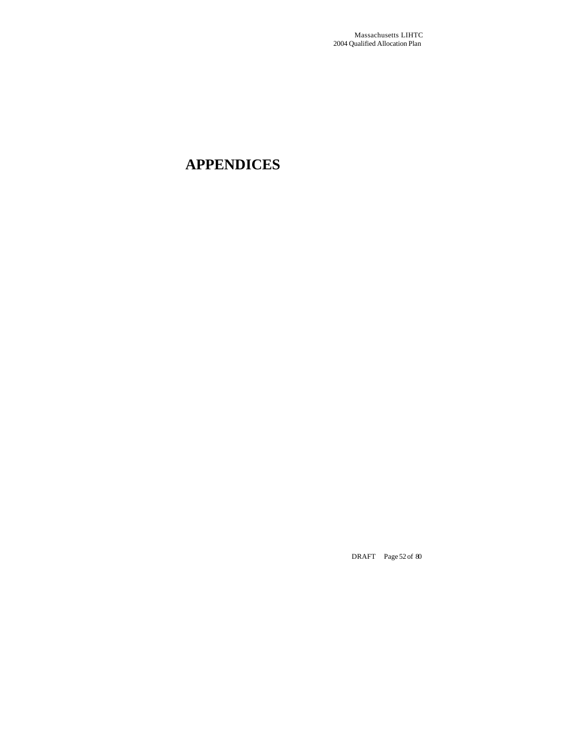Massachusetts LIHTC 2004 Qualified Allocation Plan

# **APPENDICES**

DRAFT Page 52 of 80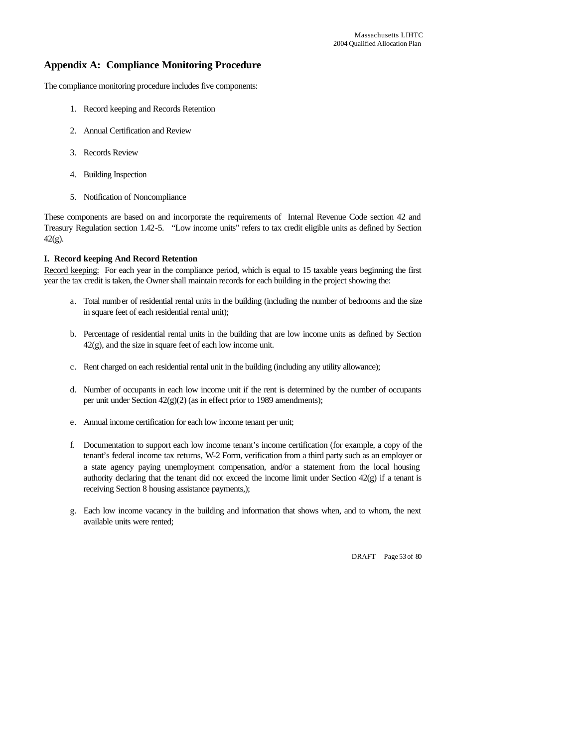# **Appendix A: Compliance Monitoring Procedure**

The compliance monitoring procedure includes five components:

- 1. Record keeping and Records Retention
- 2. Annual Certification and Review
- 3. Records Review
- 4. Building Inspection
- 5. Notification of Noncompliance

These components are based on and incorporate the requirements of Internal Revenue Code section 42 and Treasury Regulation section 1.42-5. "Low income units" refers to tax credit eligible units as defined by Section  $42(g)$ .

#### **I. Record keeping And Record Retention**

Record keeping: For each year in the compliance period, which is equal to 15 taxable years beginning the first year the tax credit is taken, the Owner shall maintain records for each building in the project showing the:

- a. Total number of residential rental units in the building (including the number of bedrooms and the size in square feet of each residential rental unit);
- b. Percentage of residential rental units in the building that are low income units as defined by Section 42(g), and the size in square feet of each low income unit.
- c. Rent charged on each residential rental unit in the building (including any utility allowance);
- d. Number of occupants in each low income unit if the rent is determined by the number of occupants per unit under Section 42(g)(2) (as in effect prior to 1989 amendments);
- e. Annual income certification for each low income tenant per unit;
- f. Documentation to support each low income tenant's income certification (for example, a copy of the tenant's federal income tax returns, W-2 Form, verification from a third party such as an employer or a state agency paying unemployment compensation, and/or a statement from the local housing authority declaring that the tenant did not exceed the income limit under Section 42(g) if a tenant is receiving Section 8 housing assistance payments,);
- g. Each low income vacancy in the building and information that shows when, and to whom, the next available units were rented;

DRAFT Page 53 of 80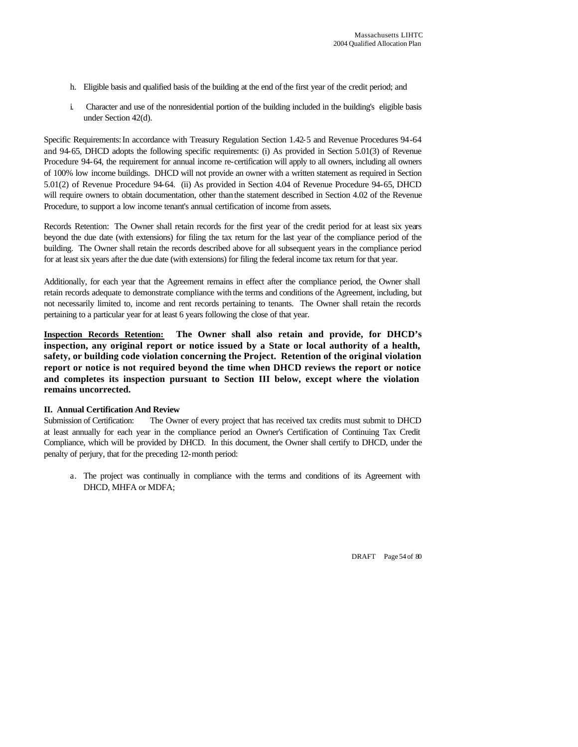- h. Eligible basis and qualified basis of the building at the end of the first year of the credit period; and
- i. Character and use of the nonresidential portion of the building included in the building's eligible basis under Section 42(d).

Specific Requirements: In accordance with Treasury Regulation Section 1.42-5 and Revenue Procedures 94-64 and 94-65, DHCD adopts the following specific requirements: (i) As provided in Section 5.01(3) of Revenue Procedure 94-64, the requirement for annual income re-certification will apply to all owners, including all owners of 100% low income buildings. DHCD will not provide an owner with a written statement as required in Section 5.01(2) of Revenue Procedure 94-64. (ii) As provided in Section 4.04 of Revenue Procedure 94-65, DHCD will require owners to obtain documentation, other than the statement described in Section 4.02 of the Revenue Procedure, to support a low income tenant's annual certification of income from assets.

Records Retention: The Owner shall retain records for the first year of the credit period for at least six years beyond the due date (with extensions) for filing the tax return for the last year of the compliance period of the building. The Owner shall retain the records described above for all subsequent years in the compliance period for at least six years after the due date (with extensions) for filing the federal income tax return for that year.

Additionally, for each year that the Agreement remains in effect after the compliance period, the Owner shall retain records adequate to demonstrate compliance with the terms and conditions of the Agreement, including, but not necessarily limited to, income and rent records pertaining to tenants. The Owner shall retain the records pertaining to a particular year for at least 6 years following the close of that year.

**Inspection Records Retention: The Owner shall also retain and provide, for DHCD's inspection, any original report or notice issued by a State or local authority of a health, safety, or building code violation concerning the Project. Retention of the original violation report or notice is not required beyond the time when DHCD reviews the report or notice and completes its inspection pursuant to Section III below, except where the violation remains uncorrected.**

# **II. Annual Certification And Review**

Submission of Certification: The Owner of every project that has received tax credits must submit to DHCD at least annually for each year in the compliance period an Owner's Certification of Continuing Tax Credit Compliance, which will be provided by DHCD. In this document, the Owner shall certify to DHCD, under the penalty of perjury, that for the preceding 12-month period:

a. The project was continually in compliance with the terms and conditions of its Agreement with DHCD, MHFA or MDFA;

DRAFT Page 54 of 80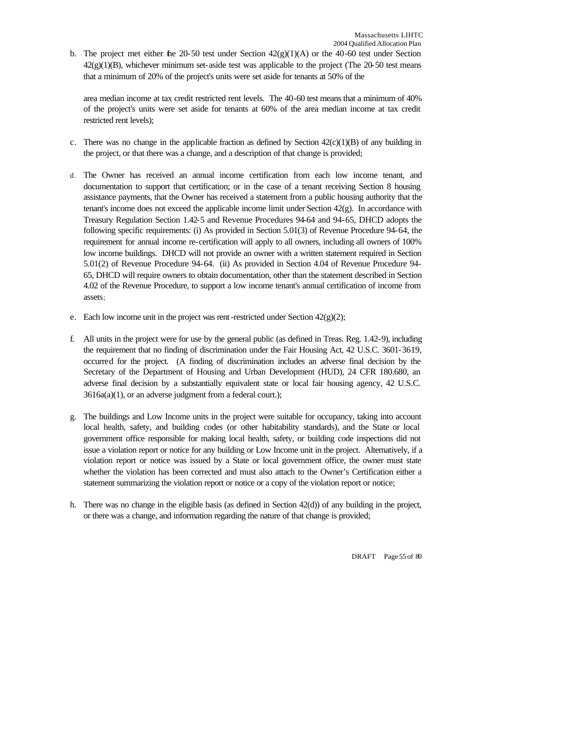b. The project met either the 20-50 test under Section  $42(g)(1)(A)$  or the 40-60 test under Section  $42(g)(1)(B)$ , whichever minimum set-aside test was applicable to the project (The 20-50 test means that a minimum of 20% of the project's units were set aside for tenants at 50% of the

area median income at tax credit restricted rent levels. The 40-60 test means that a minimum of 40% of the project's units were set aside for tenants at 60% of the area median income at tax credit restricted rent levels);

- c. There was no change in the applicable fraction as defined by Section  $42(c)(1)(B)$  of any building in the project, or that there was a change, and a description of that change is provided;
- d. The Owner has received an annual income certification from each low income tenant, and documentation to support that certification; or in the case of a tenant receiving Section 8 housing assistance payments, that the Owner has received a statement from a public housing authority that the tenant's income does not exceed the applicable income limit under Section 42(g). In accordance with Treasury Regulation Section 1.42-5 and Revenue Procedures 94-64 and 94-65, DHCD adopts the following specific requirements: (i) As provided in Section 5.01(3) of Revenue Procedure 94-64, the requirement for annual income re-certification will apply to all owners, including all owners of 100% low income buildings. DHCD will not provide an owner with a written statement required in Section 5.01(2) of Revenue Procedure 94-64. (ii) As provided in Section 4.04 of Revenue Procedure 94- 65, DHCD will require owners to obtain documentation, other than the statement described in Section 4.02 of the Revenue Procedure, to support a low income tenant's annual certification of income from assets;
- e. Each low income unit in the project was rent-restricted under Section  $42(g)(2)$ ;
- f. All units in the project were for use by the general public (as defined in Treas. Reg. 1.42-9), including the requirement that no finding of discrimination under the Fair Housing Act, 42 U.S.C. 3601-3619, occurred for the project. (A finding of discrimination includes an adverse final decision by the Secretary of the Department of Housing and Urban Development (HUD), 24 CFR 180.680, an adverse final decision by a substantially equivalent state or local fair housing agency, 42 U.S.C. 3616a(a)(1), or an adverse judgment from a federal court.);
- g. The buildings and Low Income units in the project were suitable for occupancy, taking into account local health, safety, and building codes (or other habitability standards), and the State or local government office responsible for making local health, safety, or building code inspections did not issue a violation report or notice for any building or Low Income unit in the project. Alternatively, if a violation report or notice was issued by a State or local government office, the owner must state whether the violation has been corrected and must also attach to the Owner's Certification either a statement summarizing the violation report or notice or a copy of the violation report or notice;
- h. There was no change in the eligible basis (as defined in Section 42(d)) of any building in the project, or there was a change, and information regarding the nature of that change is provided;

DRAFT Page 55 of 80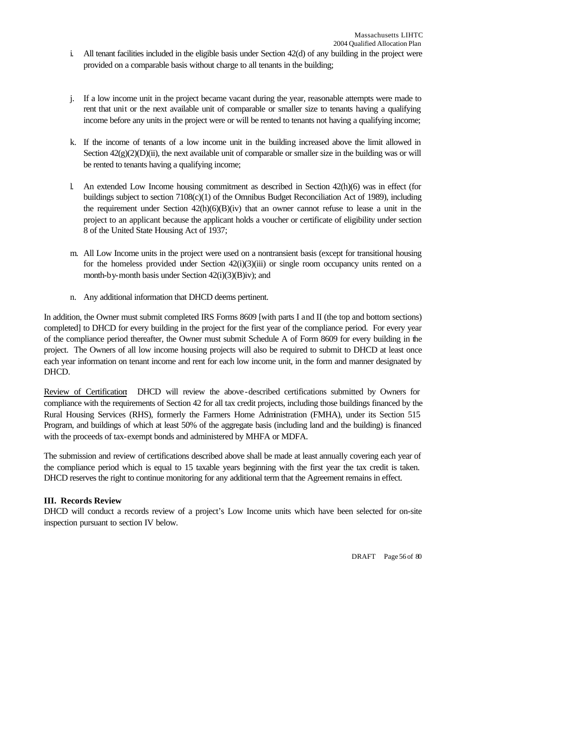- i. All tenant facilities included in the eligible basis under Section 42(d) of any building in the project were provided on a comparable basis without charge to all tenants in the building;
- j. If a low income unit in the project became vacant during the year, reasonable attempts were made to rent that unit or the next available unit of comparable or smaller size to tenants having a qualifying income before any units in the project were or will be rented to tenants not having a qualifying income;
- k. If the income of tenants of a low income unit in the building increased above the limit allowed in Section  $42(g)(2)(D)(ii)$ , the next available unit of comparable or smaller size in the building was or will be rented to tenants having a qualifying income;
- l. An extended Low Income housing commitment as described in Section 42(h)(6) was in effect (for buildings subject to section 7108(c)(1) of the Omnibus Budget Reconciliation Act of 1989), including the requirement under Section  $42(h)(6)(B)(iv)$  that an owner cannot refuse to lease a unit in the project to an applicant because the applicant holds a voucher or certificate of eligibility under section 8 of the United State Housing Act of 1937;
- m. All Low Income units in the project were used on a nontransient basis (except for transitional housing for the homeless provided under Section  $42(i)(3)(iii)$  or single room occupancy units rented on a month-by-month basis under Section 42(i)(3)(B)iv); and
- n. Any additional information that DHCD deems pertinent.

In addition, the Owner must submit completed IRS Forms 8609 [with parts I and II (the top and bottom sections) completed] to DHCD for every building in the project for the first year of the compliance period. For every year of the compliance period thereafter, the Owner must submit Schedule A of Form 8609 for every building in the project. The Owners of all low income housing projects will also be required to submit to DHCD at least once each year information on tenant income and rent for each low income unit, in the form and manner designated by DHCD.

Review of Certification: DHCD will review the above -described certifications submitted by Owners for compliance with the requirements of Section 42 for all tax credit projects, including those buildings financed by the Rural Housing Services (RHS), formerly the Farmers Home Administration (FMHA), under its Section 515 Program, and buildings of which at least 50% of the aggregate basis (including land and the building) is financed with the proceeds of tax-exempt bonds and administered by MHFA or MDFA.

The submission and review of certifications described above shall be made at least annually covering each year of the compliance period which is equal to 15 taxable years beginning with the first year the tax credit is taken. DHCD reserves the right to continue monitoring for any additional term that the Agreement remains in effect.

# **III. Records Review**

DHCD will conduct a records review of a project's Low Income units which have been selected for on-site inspection pursuant to section IV below.

DRAFT Page 56 of 80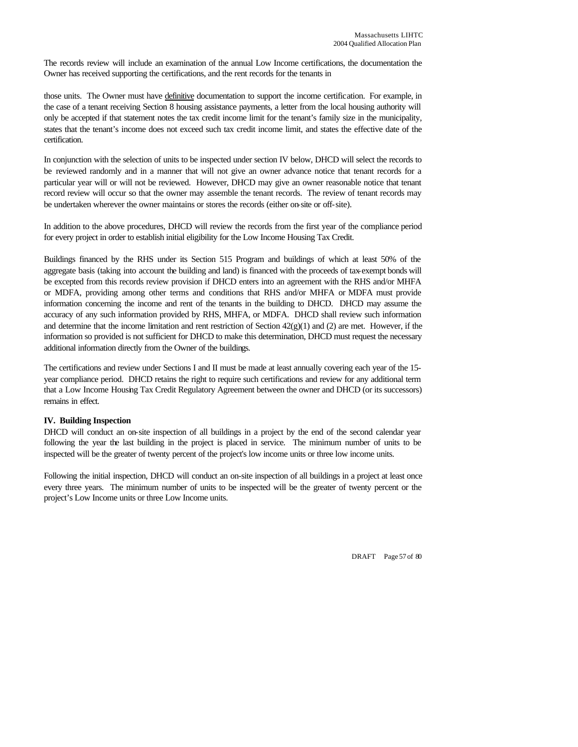The records review will include an examination of the annual Low Income certifications, the documentation the Owner has received supporting the certifications, and the rent records for the tenants in

those units. The Owner must have definitive documentation to support the income certification. For example, in the case of a tenant receiving Section 8 housing assistance payments, a letter from the local housing authority will only be accepted if that statement notes the tax credit income limit for the tenant's family size in the municipality, states that the tenant's income does not exceed such tax credit income limit, and states the effective date of the certification.

In conjunction with the selection of units to be inspected under section IV below, DHCD will select the records to be reviewed randomly and in a manner that will not give an owner advance notice that tenant records for a particular year will or will not be reviewed. However, DHCD may give an owner reasonable notice that tenant record review will occur so that the owner may assemble the tenant records. The review of tenant records may be undertaken wherever the owner maintains or stores the records (either on-site or off-site).

In addition to the above procedures, DHCD will review the records from the first year of the compliance period for every project in order to establish initial eligibility for the Low Income Housing Tax Credit.

Buildings financed by the RHS under its Section 515 Program and buildings of which at least 50% of the aggregate basis (taking into account the building and land) is financed with the proceeds of tax-exempt bonds will be excepted from this records review provision if DHCD enters into an agreement with the RHS and/or MHFA or MDFA, providing among other terms and conditions that RHS and/or MHFA or MDFA must provide information concerning the income and rent of the tenants in the building to DHCD. DHCD may assume the accuracy of any such information provided by RHS, MHFA, or MDFA. DHCD shall review such information and determine that the income limitation and rent restriction of Section  $42(g)(1)$  and (2) are met. However, if the information so provided is not sufficient for DHCD to make this determination, DHCD must request the necessary additional information directly from the Owner of the buildings.

The certifications and review under Sections I and II must be made at least annually covering each year of the 15 year compliance period. DHCD retains the right to require such certifications and review for any additional term that a Low Income Housing Tax Credit Regulatory Agreement between the owner and DHCD (or its successors) remains in effect.

# **IV. Building Inspection**

DHCD will conduct an on-site inspection of all buildings in a project by the end of the second calendar year following the year the last building in the project is placed in service. The minimum number of units to be inspected will be the greater of twenty percent of the project's low income units or three low income units.

Following the initial inspection, DHCD will conduct an on-site inspection of all buildings in a project at least once every three years. The minimum number of units to be inspected will be the greater of twenty percent or the project's Low Income units or three Low Income units.

DRAFT Page 57 of 80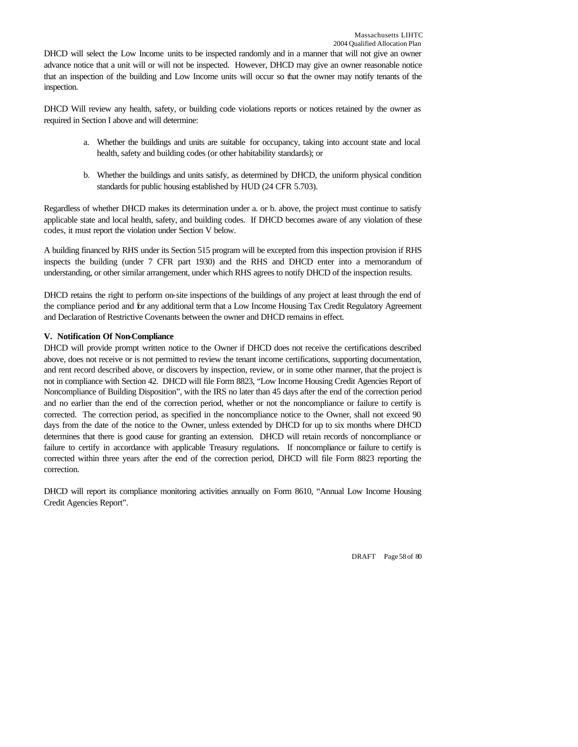DHCD will select the Low Income units to be inspected randomly and in a manner that will not give an owner advance notice that a unit will or will not be inspected. However, DHCD may give an owner reasonable notice that an inspection of the building and Low Income units will occur so that the owner may notify tenants of the inspection.

DHCD Will review any health, safety, or building code violations reports or notices retained by the owner as required in Section I above and will determine:

- a. Whether the buildings and units are suitable for occupancy, taking into account state and local health, safety and building codes (or other habitability standards); or
- b. Whether the buildings and units satisfy, as determined by DHCD, the uniform physical condition standards for public housing established by HUD (24 CFR 5.703).

Regardless of whether DHCD makes its determination under a. or b. above, the project must continue to satisfy applicable state and local health, safety, and building codes. If DHCD becomes aware of any violation of these codes, it must report the violation under Section V below.

A building financed by RHS under its Section 515 program will be excepted from this inspection provision if RHS inspects the building (under 7 CFR part 1930) and the RHS and DHCD enter into a memorandum of understanding, or other similar arrangement, under which RHS agrees to notify DHCD of the inspection results.

DHCD retains the right to perform on-site inspections of the buildings of any project at least through the end of the compliance period and for any additional term that a Low Income Housing Tax Credit Regulatory Agreement and Declaration of Restrictive Covenants between the owner and DHCD remains in effect.

# **V. Notification Of Non-Compliance**

DHCD will provide prompt written notice to the Owner if DHCD does not receive the certifications described above, does not receive or is not permitted to review the tenant income certifications, supporting documentation, and rent record described above, or discovers by inspection, review, or in some other manner, that the project is not in compliance with Section 42. DHCD will file Form 8823, "Low Income Housing Credit Agencies Report of Noncompliance of Building Disposition", with the IRS no later than 45 days after the end of the correction period and no earlier than the end of the correction period, whether or not the noncompliance or failure to certify is corrected. The correction period, as specified in the noncompliance notice to the Owner, shall not exceed 90 days from the date of the notice to the Owner, unless extended by DHCD for up to six months where DHCD determines that there is good cause for granting an extension. DHCD will retain records of noncompliance or failure to certify in accordance with applicable Treasury regulations. If noncompliance or failure to certify is corrected within three years after the end of the correction period, DHCD will file Form 8823 reporting the correction.

DHCD will report its compliance monitoring activities annually on Form 8610, "Annual Low Income Housing Credit Agencies Report".

DRAFT Page 58 of 80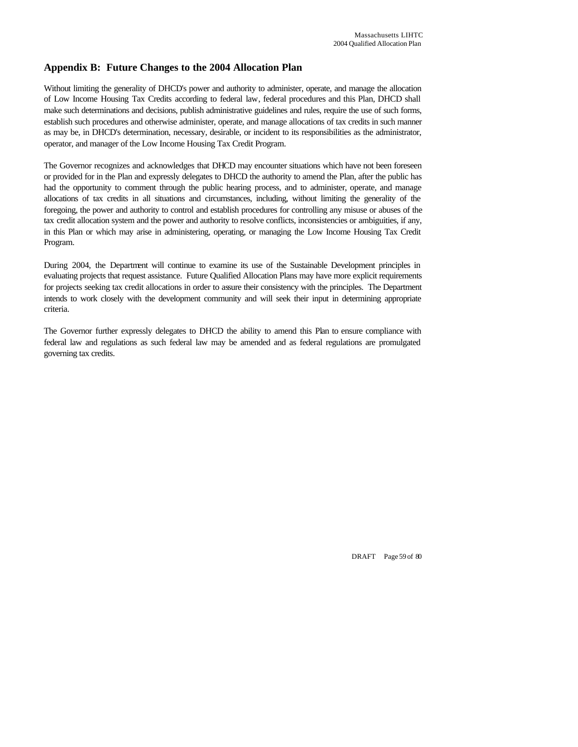# **Appendix B: Future Changes to the 2004 Allocation Plan**

Without limiting the generality of DHCD's power and authority to administer, operate, and manage the allocation of Low Income Housing Tax Credits according to federal law, federal procedures and this Plan, DHCD shall make such determinations and decisions, publish administrative guidelines and rules, require the use of such forms, establish such procedures and otherwise administer, operate, and manage allocations of tax credits in such manner as may be, in DHCD's determination, necessary, desirable, or incident to its responsibilities as the administrator, operator, and manager of the Low Income Housing Tax Credit Program.

The Governor recognizes and acknowledges that DHCD may encounter situations which have not been foreseen or provided for in the Plan and expressly delegates to DHCD the authority to amend the Plan, after the public has had the opportunity to comment through the public hearing process, and to administer, operate, and manage allocations of tax credits in all situations and circumstances, including, without limiting the generality of the foregoing, the power and authority to control and establish procedures for controlling any misuse or abuses of the tax credit allocation system and the power and authority to resolve conflicts, inconsistencies or ambiguities, if any, in this Plan or which may arise in administering, operating, or managing the Low Income Housing Tax Credit Program.

During 2004, the Department will continue to examine its use of the Sustainable Development principles in evaluating projects that request assistance. Future Qualified Allocation Plans may have more explicit requirements for projects seeking tax credit allocations in order to assure their consistency with the principles. The Department intends to work closely with the development community and will seek their input in determining appropriate criteria.

The Governor further expressly delegates to DHCD the ability to amend this Plan to ensure compliance with federal law and regulations as such federal law may be amended and as federal regulations are promulgated governing tax credits.

DRAFT Page 59 of 80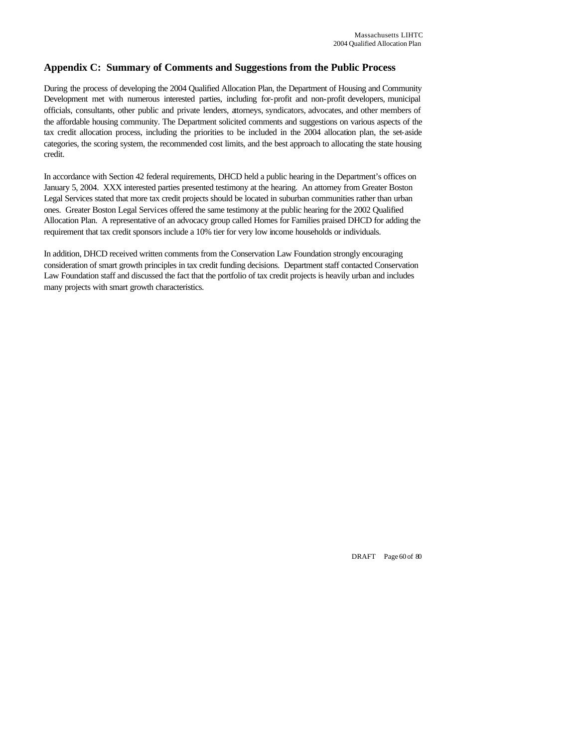# **Appendix C: Summary of Comments and Suggestions from the Public Process**

During the process of developing the 2004 Qualified Allocation Plan, the Department of Housing and Community Development met with numerous interested parties, including for-profit and non-profit developers, municipal officials, consultants, other public and private lenders, attorneys, syndicators, advocates, and other members of the affordable housing community. The Department solicited comments and suggestions on various aspects of the tax credit allocation process, including the priorities to be included in the 2004 allocation plan, the set-aside categories, the scoring system, the recommended cost limits, and the best approach to allocating the state housing credit.

In accordance with Section 42 federal requirements, DHCD held a public hearing in the Department's offices on January 5, 2004. XXX interested parties presented testimony at the hearing. An attorney from Greater Boston Legal Services stated that more tax credit projects should be located in suburban communities rather than urban ones. Greater Boston Legal Services offered the same testimony at the public hearing for the 2002 Qualified Allocation Plan. A representative of an advocacy group called Homes for Families praised DHCD for adding the requirement that tax credit sponsors include a 10% tier for very low income households or individuals.

In addition, DHCD received written comments from the Conservation Law Foundation strongly encouraging consideration of smart growth principles in tax credit funding decisions. Department staff contacted Conservation Law Foundation staff and discussed the fact that the portfolio of tax credit projects is heavily urban and includes many projects with smart growth characteristics.

DRAFT Page 60 of 80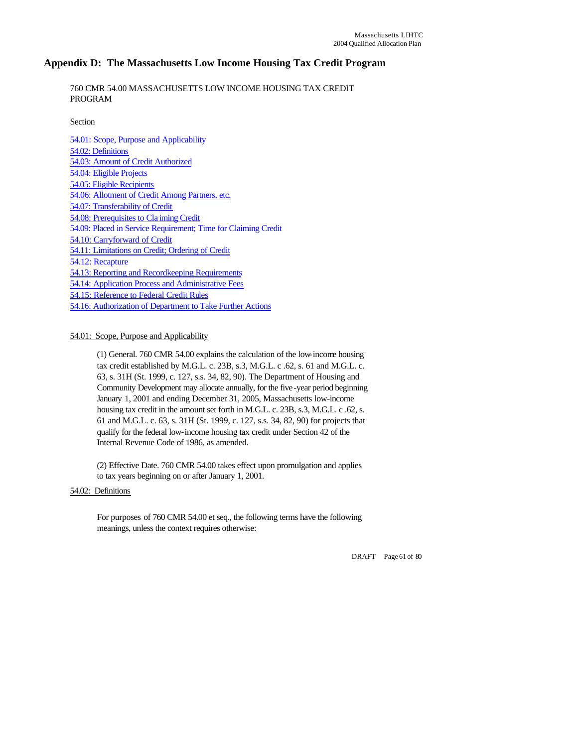# **Appendix D: The Massachusetts Low Income Housing Tax Credit Program**

760 CMR 54.00 MASSACHUSETTS LOW INCOME HOUSING TAX CREDIT PROGRAM

#### Section

54.01: Scope, Purpose and Applicability 54.02: Definitions 54.03: Amount of Credit Authorized 54.04: Eligible Projects 54.05: Eligible Recipients 54.06: Allotment of Credit Among Partners, etc. 54.07: Transferability of Credit 54.08: Prerequisites to Cla iming Credit 54.09: Placed in Service Requirement; Time for Claiming Credit 54.10: Carryforward of Credit 54.11: Limitations on Credit; Ordering of Credit 54.12: Recapture 54.13: Reporting and Recordkeeping Requirements 54.14: Application Process and Administrative Fees 54.15: Reference to Federal Credit Rules 54.16: Authorization of Department to Take Further Actions

54.01: Scope, Purpose and Applicability

(1) General. 760 CMR 54.00 explains the calculation of the low-income housing tax credit established by M.G.L. c. 23B, s.3, M.G.L. c .62, s. 61 and M.G.L. c. 63, s. 31H (St. 1999, c. 127, s.s. 34, 82, 90). The Department of Housing and Community Development may allocate annually, for the five -year period beginning January 1, 2001 and ending December 31, 2005, Massachusetts low-income housing tax credit in the amount set forth in M.G.L. c. 23B, s.3, M.G.L. c .62, s. 61 and M.G.L. c. 63, s. 31H (St. 1999, c. 127, s.s. 34, 82, 90) for projects that qualify for the federal low-income housing tax credit under Section 42 of the Internal Revenue Code of 1986, as amended.

(2) Effective Date. 760 CMR 54.00 takes effect upon promulgation and applies to tax years beginning on or after January 1, 2001.

# 54.02: Definitions

For purposes of 760 CMR 54.00 et seq., the following terms have the following meanings, unless the context requires otherwise:

DRAFT Page 61 of 80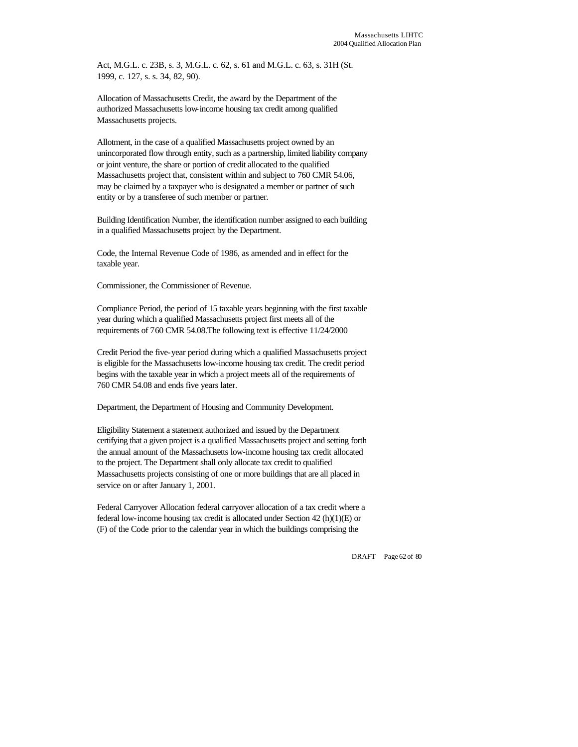Act, M.G.L. c. 23B, s. 3, M.G.L. c. 62, s. 61 and M.G.L. c. 63, s. 31H (St. 1999, c. 127, s. s. 34, 82, 90).

Allocation of Massachusetts Credit, the award by the Department of the authorized Massachusetts low-income housing tax credit among qualified Massachusetts projects.

Allotment, in the case of a qualified Massachusetts project owned by an unincorporated flow through entity, such as a partnership, limited liability company or joint venture, the share or portion of credit allocated to the qualified Massachusetts project that, consistent within and subject to 760 CMR 54.06, may be claimed by a taxpayer who is designated a member or partner of such entity or by a transferee of such member or partner.

Building Identification Number, the identification number assigned to each building in a qualified Massachusetts project by the Department.

Code, the Internal Revenue Code of 1986, as amended and in effect for the taxable year.

Commissioner, the Commissioner of Revenue.

Compliance Period, the period of 15 taxable years beginning with the first taxable year during which a qualified Massachusetts project first meets all of the requirements of 760 CMR 54.08.The following text is effective 11/24/2000

Credit Period the five-year period during which a qualified Massachusetts project is eligible for the Massachusetts low-income housing tax credit. The credit period begins with the taxable year in which a project meets all of the requirements of 760 CMR 54.08 and ends five years later.

Department, the Department of Housing and Community Development.

Eligibility Statement a statement authorized and issued by the Department certifying that a given project is a qualified Massachusetts project and setting forth the annual amount of the Massachusetts low-income housing tax credit allocated to the project. The Department shall only allocate tax credit to qualified Massachusetts projects consisting of one or more buildings that are all placed in service on or after January 1, 2001.

Federal Carryover Allocation federal carryover allocation of a tax credit where a federal low-income housing tax credit is allocated under Section 42 (h)(1)(E) or (F) of the Code prior to the calendar year in which the buildings comprising the

DRAFT Page 62 of 80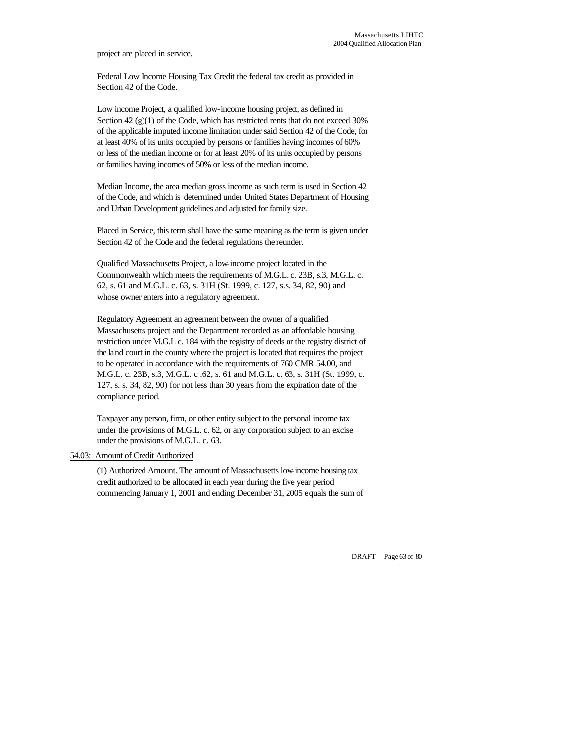project are placed in service.

Federal Low Income Housing Tax Credit the federal tax credit as provided in Section 42 of the Code.

Low income Project, a qualified low-income housing project, as defined in Section 42 (g)(1) of the Code, which has restricted rents that do not exceed 30% of the applicable imputed income limitation under said Section 42 of the Code, for at least 40% of its units occupied by persons or families having incomes of 60% or less of the median income or for at least 20% of its units occupied by persons or families having incomes of 50% or less of the median income.

Median Income, the area median gross income as such term is used in Section 42 of the Code, and which is determined under United States Department of Housing and Urban Development guidelines and adjusted for family size.

Placed in Service, this term shall have the same meaning as the term is given under Section 42 of the Code and the federal regulations the reunder.

Qualified Massachusetts Project, a low-income project located in the Commonwealth which meets the requirements of M.G.L. c. 23B, s.3, M.G.L. c. 62, s. 61 and M.G.L. c. 63, s. 31H (St. 1999, c. 127, s.s. 34, 82, 90) and whose owner enters into a regulatory agreement.

Regulatory Agreement an agreement between the owner of a qualified Massachusetts project and the Department recorded as an affordable housing restriction under M.G.L c. 184 with the registry of deeds or the registry district of the land court in the county where the project is located that requires the project to be operated in accordance with the requirements of 760 CMR 54.00, and M.G.L. c. 23B, s.3, M.G.L. c .62, s. 61 and M.G.L. c. 63, s. 31H (St. 1999, c. 127, s. s. 34, 82, 90) for not less than 30 years from the expiration date of the compliance period.

Taxpayer any person, firm, or other entity subject to the personal income tax under the provisions of M.G.L. c. 62, or any corporation subject to an excise under the provisions of M.G.L. c. 63.

#### 54.03: Amount of Credit Authorized

(1) Authorized Amount. The amount of Massachusetts low-income housing tax credit authorized to be allocated in each year during the five year period commencing January 1, 2001 and ending December 31, 2005 equals the sum of

DRAFT Page 63 of 80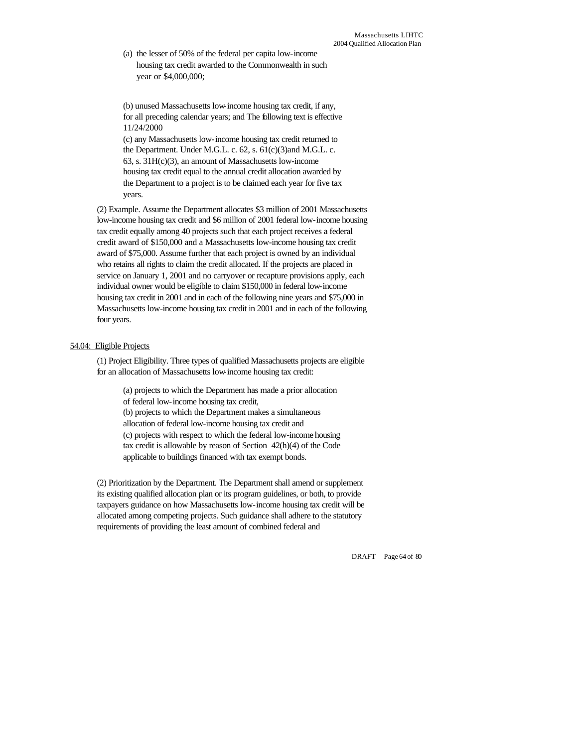(a) the lesser of 50% of the federal per capita low-income housing tax credit awarded to the Commonwealth in such year or \$4,000,000;

(b) unused Massachusetts low-income housing tax credit, if any, for all preceding calendar years; and The following text is effective 11/24/2000

(c) any Massachusetts low-income housing tax credit returned to the Department. Under M.G.L. c. 62, s. 61(c)(3)and M.G.L. c. 63, s. 31H(c)(3), an amount of Massachusetts low-income housing tax credit equal to the annual credit allocation awarded by the Department to a project is to be claimed each year for five tax years.

(2) Example. Assume the Department allocates \$3 million of 2001 Massachusetts low-income housing tax credit and \$6 million of 2001 federal low-income housing tax credit equally among 40 projects such that each project receives a federal credit award of \$150,000 and a Massachusetts low-income housing tax credit award of \$75,000. Assume further that each project is owned by an individual who retains all rights to claim the credit allocated. If the projects are placed in service on January 1, 2001 and no carryover or recapture provisions apply, each individual owner would be eligible to claim \$150,000 in federal low-income housing tax credit in 2001 and in each of the following nine years and \$75,000 in Massachusetts low-income housing tax credit in 2001 and in each of the following four years.

#### 54.04: Eligible Projects

(1) Project Eligibility. Three types of qualified Massachusetts projects are eligible for an allocation of Massachusetts low-income housing tax credit:

(a) projects to which the Department has made a prior allocation of federal low-income housing tax credit, (b) projects to which the Department makes a simultaneous allocation of federal low-income housing tax credit and (c) projects with respect to which the federal low-income housing tax credit is allowable by reason of Section 42(h)(4) of the Code applicable to buildings financed with tax exempt bonds.

(2) Prioritization by the Department. The Department shall amend or supplement its existing qualified allocation plan or its program guidelines, or both, to provide taxpayers guidance on how Massachusetts low-income housing tax credit will be allocated among competing projects. Such guidance shall adhere to the statutory requirements of providing the least amount of combined federal and

DRAFT Page 64 of 80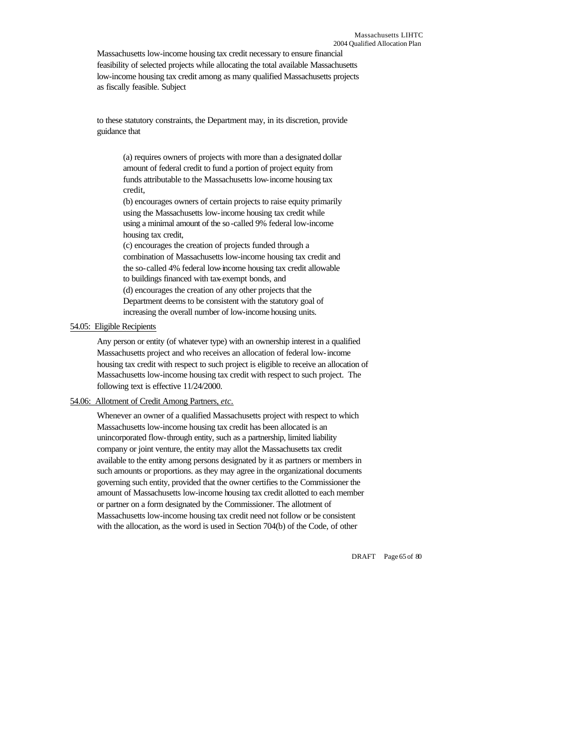Massachusetts low-income housing tax credit necessary to ensure financial feasibility of selected projects while allocating the total available Massachusetts low-income housing tax credit among as many qualified Massachusetts projects as fiscally feasible. Subject

to these statutory constraints, the Department may, in its discretion, provide guidance that

> (a) requires owners of projects with more than a designated dollar amount of federal credit to fund a portion of project equity from funds attributable to the Massachusetts low-income housing tax credit,

> (b) encourages owners of certain projects to raise equity primarily using the Massachusetts low-income housing tax credit while using a minimal amount of the so-called 9% federal low-income housing tax credit,

> (c) encourages the creation of projects funded through a combination of Massachusetts low-income housing tax credit and the so-called 4% federal low-income housing tax credit allowable to buildings financed with tax-exempt bonds, and (d) encourages the creation of any other projects that the Department deems to be consistent with the statutory goal of increasing the overall number of low-income housing units.

#### 54.05: Eligible Recipients

Any person or entity (of whatever type) with an ownership interest in a qualified Massachusetts project and who receives an allocation of federal low-income housing tax credit with respect to such project is eligible to receive an allocation of Massachusetts low-income housing tax credit with respect to such project. The following text is effective 11/24/2000.

# 54.06: Allotment of Credit Among Partners, *etc.*

Whenever an owner of a qualified Massachusetts project with respect to which Massachusetts low-income housing tax credit has been allocated is an unincorporated flow-through entity, such as a partnership, limited liability company or joint venture, the entity may allot the Massachusetts tax credit available to the entity among persons designated by it as partners or members in such amounts or proportions. as they may agree in the organizational documents governing such entity, provided that the owner certifies to the Commissioner the amount of Massachusetts low-income housing tax credit allotted to each member or partner on a form designated by the Commissioner. The allotment of Massachusetts low-income housing tax credit need not follow or be consistent with the allocation, as the word is used in Section 704(b) of the Code, of other

DRAFT Page 65 of 80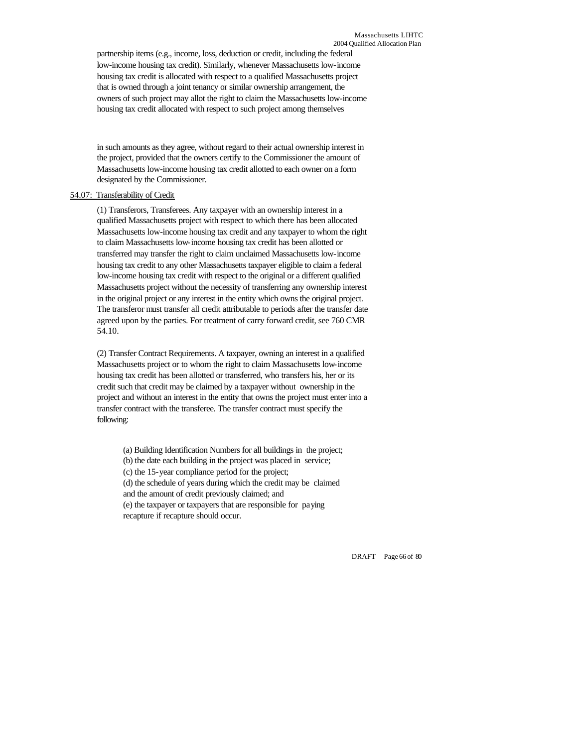#### Massachusetts LIHTC 2004 Qualified Allocation Plan

partnership items (e.g., income, loss, deduction or credit, including the federal low-income housing tax credit). Similarly, whenever Massachusetts low-income housing tax credit is allocated with respect to a qualified Massachusetts project that is owned through a joint tenancy or similar ownership arrangement, the owners of such project may allot the right to claim the Massachusetts low-income housing tax credit allocated with respect to such project among themselves

in such amounts as they agree, without regard to their actual ownership interest in the project, provided that the owners certify to the Commissioner the amount of Massachusetts low-income housing tax credit allotted to each owner on a form designated by the Commissioner.

## 54.07: Transferability of Credit

(1) Transferors, Transferees. Any taxpayer with an ownership interest in a qualified Massachusetts project with respect to which there has been allocated Massachusetts low-income housing tax credit and any taxpayer to whom the right to claim Massachusetts low-income housing tax credit has been allotted or transferred may transfer the right to claim unclaimed Massachusetts low-income housing tax credit to any other Massachusetts taxpayer eligible to claim a federal low-income housing tax credit with respect to the original or a different qualified Massachusetts project without the necessity of transferring any ownership interest in the original project or any interest in the entity which owns the original project. The transferor must transfer all credit attributable to periods after the transfer date agreed upon by the parties. For treatment of carry forward credit, see 760 CMR 54.10.

(2) Transfer Contract Requirements. A taxpayer, owning an interest in a qualified Massachusetts project or to whom the right to claim Massachusetts low-income housing tax credit has been allotted or transferred, who transfers his, her or its credit such that credit may be claimed by a taxpayer without ownership in the project and without an interest in the entity that owns the project must enter into a transfer contract with the transferee. The transfer contract must specify the following:

(a) Building Identification Numbers for all buildings in the project;

(b) the date each building in the project was placed in service;

(c) the 15-year compliance period for the project;

(d) the schedule of years during which the credit may be claimed

and the amount of credit previously claimed; and

(e) the taxpayer or taxpayers that are responsible for paying recapture if recapture should occur.

DRAFT Page 66 of 80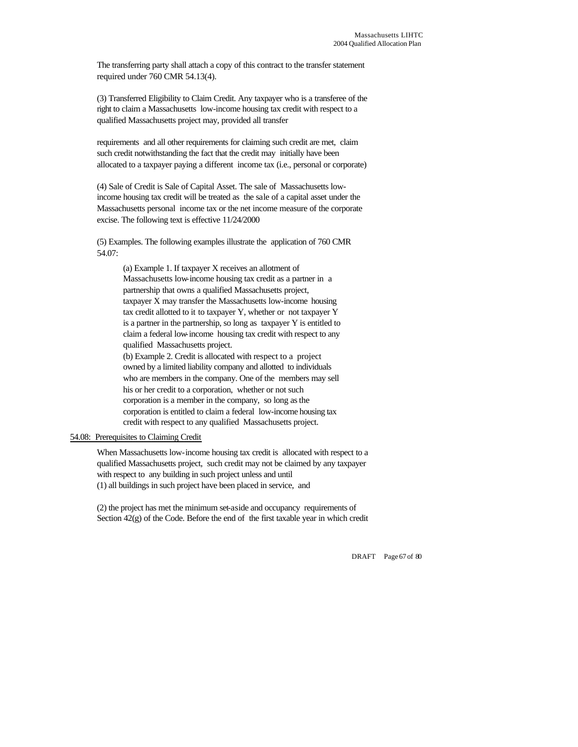The transferring party shall attach a copy of this contract to the transfer statement required under 760 CMR 54.13(4).

(3) Transferred Eligibility to Claim Credit. Any taxpayer who is a transferee of the right to claim a Massachusetts low-income housing tax credit with respect to a qualified Massachusetts project may, provided all transfer

requirements and all other requirements for claiming such credit are met, claim such credit notwithstanding the fact that the credit may initially have been allocated to a taxpayer paying a different income tax (i.e., personal or corporate)

(4) Sale of Credit is Sale of Capital Asset. The sale of Massachusetts lowincome housing tax credit will be treated as the sale of a capital asset under the Massachusetts personal income tax or the net income measure of the corporate excise. The following text is effective 11/24/2000

(5) Examples. The following examples illustrate the application of 760 CMR 54.07:

> (a) Example 1. If taxpayer X receives an allotment of Massachusetts low-income housing tax credit as a partner in a partnership that owns a qualified Massachusetts project, taxpayer X may transfer the Massachusetts low-income housing tax credit allotted to it to taxpayer Y, whether or not taxpayer Y is a partner in the partnership, so long as taxpayer Y is entitled to claim a federal low-income housing tax credit with respect to any qualified Massachusetts project. (b) Example 2. Credit is allocated with respect to a project

> owned by a limited liability company and allotted to individuals who are members in the company. One of the members may sell his or her credit to a corporation, whether or not such corporation is a member in the company, so long as the corporation is entitled to claim a federal low-income housing tax credit with respect to any qualified Massachusetts project.

#### 54.08: Prerequisites to Claiming Credit

When Massachusetts low-income housing tax credit is allocated with respect to a qualified Massachusetts project, such credit may not be claimed by any taxpayer with respect to any building in such project unless and until (1) all buildings in such project have been placed in service, and

(2) the project has met the minimum set-aside and occupancy requirements of Section 42(g) of the Code. Before the end of the first taxable year in which credit

DRAFT Page 67 of 80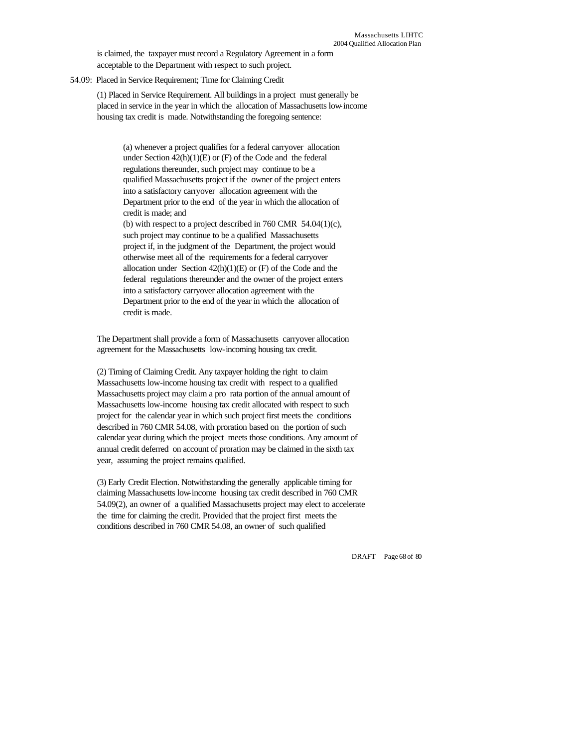is claimed, the taxpayer must record a Regulatory Agreement in a form acceptable to the Department with respect to such project.

#### 54.09: Placed in Service Requirement; Time for Claiming Credit

(1) Placed in Service Requirement. All buildings in a project must generally be placed in service in the year in which the allocation of Massachusetts low-income housing tax credit is made. Notwithstanding the foregoing sentence:

(a) whenever a project qualifies for a federal carryover allocation under Section 42(h)(1)(E) or (F) of the Code and the federal regulations thereunder, such project may continue to be a qualified Massachusetts project if the owner of the project enters into a satisfactory carryover allocation agreement with the Department prior to the end of the year in which the allocation of credit is made; and

(b) with respect to a project described in 760 CMR 54.04(1)(c), such project may continue to be a qualified Massachusetts project if, in the judgment of the Department, the project would otherwise meet all of the requirements for a federal carryover allocation under Section  $42(h)(1)(E)$  or  $(F)$  of the Code and the federal regulations thereunder and the owner of the project enters into a satisfactory carryover allocation agreement with the Department prior to the end of the year in which the allocation of credit is made.

The Department shall provide a form of Massachusetts carryover allocation agreement for the Massachusetts low-incoming housing tax credit.

(2) Timing of Claiming Credit. Any taxpayer holding the right to claim Massachusetts low-income housing tax credit with respect to a qualified Massachusetts project may claim a pro rata portion of the annual amount of Massachusetts low-income housing tax credit allocated with respect to such project for the calendar year in which such project first meets the conditions described in 760 CMR 54.08, with proration based on the portion of such calendar year during which the project meets those conditions. Any amount of annual credit deferred on account of proration may be claimed in the sixth tax year, assuming the project remains qualified.

(3) Early Credit Election. Notwithstanding the generally applicable timing for claiming Massachusetts low-income housing tax credit described in 760 CMR 54.09(2), an owner of a qualified Massachusetts project may elect to accelerate the time for claiming the credit. Provided that the project first meets the conditions described in 760 CMR 54.08, an owner of such qualified

DRAFT Page 68 of 80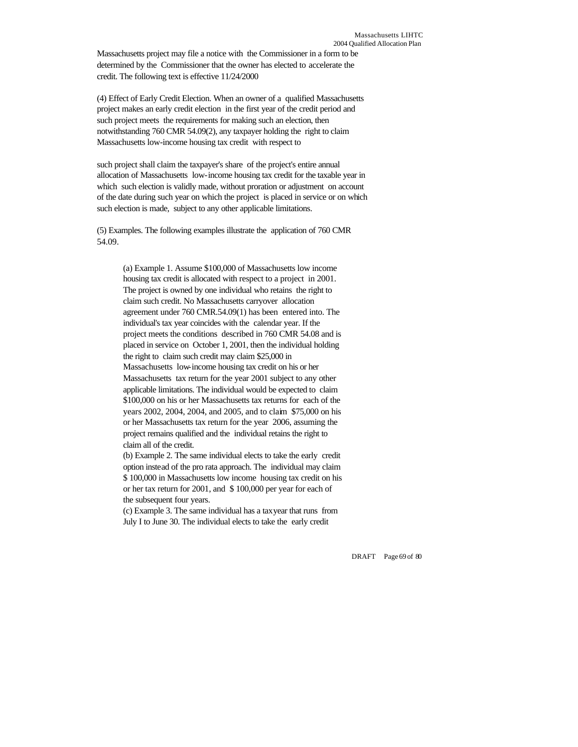Massachusetts project may file a notice with the Commissioner in a form to be determined by the Commissioner that the owner has elected to accelerate the credit. The following text is effective 11/24/2000

(4) Effect of Early Credit Election. When an owner of a qualified Massachusetts project makes an early credit election in the first year of the credit period and such project meets the requirements for making such an election, then notwithstanding 760 CMR 54.09(2), any taxpayer holding the right to claim Massachusetts low-income housing tax credit with respect to

such project shall claim the taxpayer's share of the project's entire annual allocation of Massachusetts low-income housing tax credit for the taxable year in which such election is validly made, without proration or adjustment on account of the date during such year on which the project is placed in service or on which such election is made, subject to any other applicable limitations.

(5) Examples. The following examples illustrate the application of 760 CMR 54.09.

> (a) Example 1. Assume \$100,000 of Massachusetts low income housing tax credit is allocated with respect to a project in 2001. The project is owned by one individual who retains the right to claim such credit. No Massachusetts carryover allocation agreement under 760 CMR.54.09(1) has been entered into. The individual's tax year coincides with the calendar year. If the project meets the conditions described in 760 CMR 54.08 and is placed in service on October 1, 2001, then the individual holding the right to claim such credit may claim \$25,000 in Massachusetts low-income housing tax credit on his or her Massachusetts tax return for the year 2001 subject to any other applicable limitations. The individual would be expected to claim \$100,000 on his or her Massachusetts tax returns for each of the years 2002, 2004, 2004, and 2005, and to claim \$75,000 on his or her Massachusetts tax return for the year 2006, assuming the project remains qualified and the individual retains the right to claim all of the credit.

> (b) Example 2. The same individual elects to take the early credit option instead of the pro rata approach. The individual may claim \$ 100,000 in Massachusetts low income housing tax credit on his or her tax return for 2001, and \$ 100,000 per year for each of the subsequent four years.

(c) Example 3. The same individual has a tax year that runs from July I to June 30. The individual elects to take the early credit

DRAFT Page 69 of 80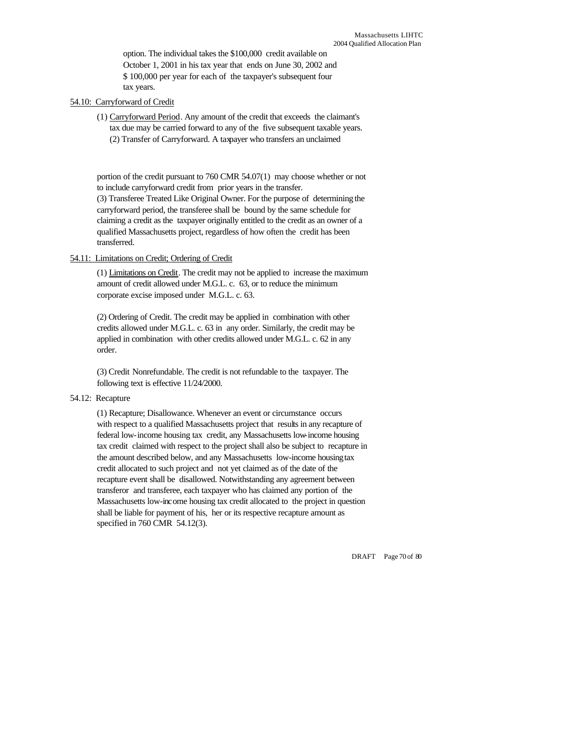option. The individual takes the \$100,000 credit available on October 1, 2001 in his tax year that ends on June 30, 2002 and \$ 100,000 per year for each of the taxpayer's subsequent four tax years.

#### 54.10: Carryforward of Credit

(1) Carryforward Period. Any amount of the credit that exceeds the claimant's tax due may be carried forward to any of the five subsequent taxable years. (2) Transfer of Carryforward. A taxpayer who transfers an unclaimed

portion of the credit pursuant to 760 CMR 54.07(1) may choose whether or not to include carryforward credit from prior years in the transfer. (3) Transferee Treated Like Original Owner. For the purpose of determining the carryforward period, the transferee shall be bound by the same schedule for claiming a credit as the taxpayer originally entitled to the credit as an owner of a qualified Massachusetts project, regardless of how often the credit has been transferred.

#### 54.11: Limitations on Credit; Ordering of Credit

(1) Limitations on Credit. The credit may not be applied to increase the maximum amount of credit allowed under M.G.L. c. 63, or to reduce the minimum corporate excise imposed under M.G.L. c. 63.

(2) Ordering of Credit. The credit may be applied in combination with other credits allowed under M.G.L. c. 63 in any order. Similarly, the credit may be applied in combination with other credits allowed under M.G.L. c. 62 in any order.

(3) Credit Nonrefundable. The credit is not refundable to the taxpayer. The following text is effective 11/24/2000.

## 54.12: Recapture

(1) Recapture; Disallowance. Whenever an event or circumstance occurs with respect to a qualified Massachusetts project that results in any recapture of federal low-income housing tax credit, any Massachusetts low-income housing tax credit claimed with respect to the project shall also be subject to recapture in the amount described below, and any Massachusetts low-income housing tax credit allocated to such project and not yet claimed as of the date of the recapture event shall be disallowed. Notwithstanding any agreement between transferor and transferee, each taxpayer who has claimed any portion of the Massachusetts low-income housing tax credit allocated to the project in question shall be liable for payment of his, her or its respective recapture amount as specified in 760 CMR 54.12(3).

DRAFT Page 70 of 80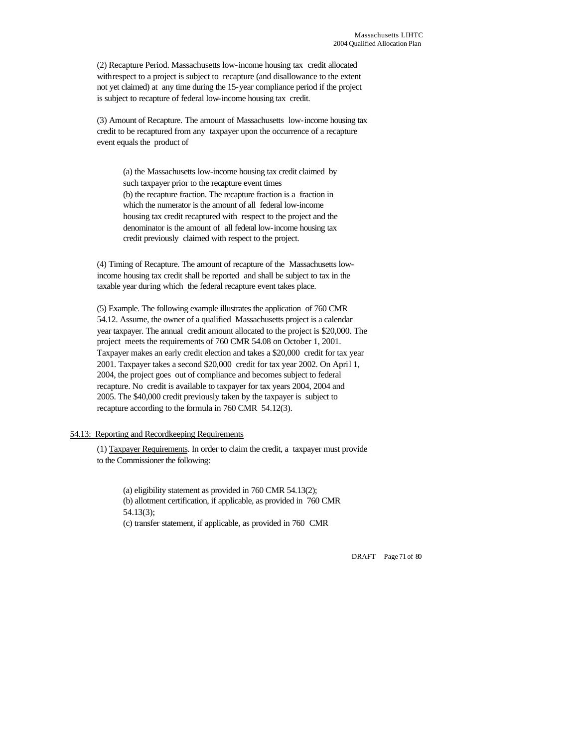(2) Recapture Period. Massachusetts low-income housing tax credit allocated with respect to a project is subject to recapture (and disallowance to the extent not yet claimed) at any time during the 15-year compliance period if the project is subject to recapture of federal low-income housing tax credit.

(3) Amount of Recapture. The amount of Massachusetts low-income housing tax credit to be recaptured from any taxpayer upon the occurrence of a recapture event equals the product of

(a) the Massachusetts low-income housing tax credit claimed by such taxpayer prior to the recapture event times (b) the recapture fraction. The recapture fraction is a fraction in which the numerator is the amount of all federal low-income housing tax credit recaptured with respect to the project and the denominator is the amount of all federal low-income housing tax credit previously claimed with respect to the project.

(4) Timing of Recapture. The amount of recapture of the Massachusetts lowincome housing tax credit shall be reported and shall be subject to tax in the taxable year during which the federal recapture event takes place.

(5) Example. The following example illustrates the application of 760 CMR 54.12. Assume, the owner of a qualified Massachusetts project is a calendar year taxpayer. The annual credit amount allocated to the project is \$20,000. The project meets the requirements of 760 CMR 54.08 on October 1, 2001. Taxpayer makes an early credit election and takes a \$20,000 credit for tax year 2001. Taxpayer takes a second \$20,000 credit for tax year 2002. On April 1, 2004, the project goes out of compliance and becomes subject to federal recapture. No credit is available to taxpayer for tax years 2004, 2004 and 2005. The \$40,000 credit previously taken by the taxpayer is subject to recapture according to the formula in 760 CMR 54.12(3).

54.13: Reporting and Recordkeeping Requirements

(1) Taxpayer Requirements. In order to claim the credit, a taxpayer must provide to the Commissioner the following:

(a) eligibility statement as provided in 760 CMR 54.13(2); (b) allotment certification, if applicable, as provided in 760 CMR 54.13(3);

(c) transfer statement, if applicable, as provided in 760 CMR

DRAFT Page 71 of 80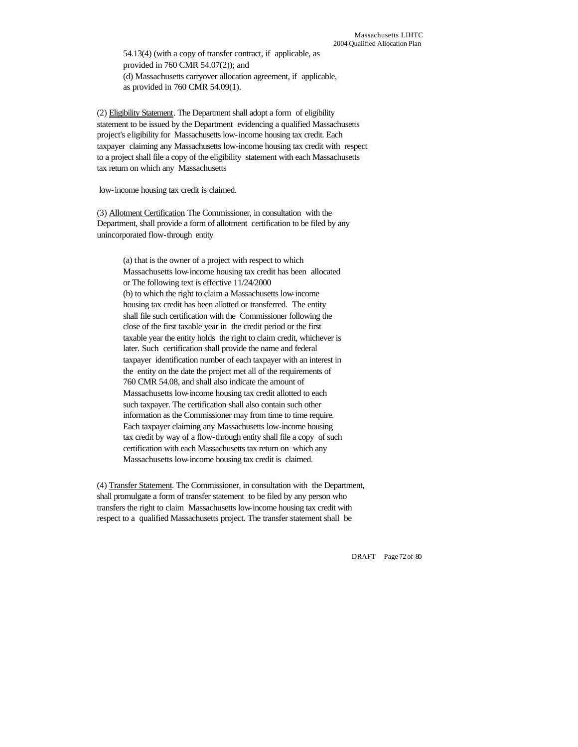54.13(4) (with a copy of transfer contract, if applicable, as provided in 760 CMR 54.07(2)); and (d) Massachusetts carryover allocation agreement, if applicable, as provided in 760 CMR 54.09(1).

(2) Eligibility Statement. The Department shall adopt a form of eligibility statement to be issued by the Department evidencing a qualified Massachusetts project's eligibility for Massachusetts low-income housing tax credit. Each taxpayer claiming any Massachusetts low-income housing tax credit with respect to a project shall file a copy of the eligibility statement with each Massachusetts tax return on which any Massachusetts

low-income housing tax credit is claimed.

(3) Allotment Certification. The Commissioner, in consultation with the Department, shall provide a form of allotment certification to be filed by any unincorporated flow-through entity

> (a) that is the owner of a project with respect to which Massachusetts low-income housing tax credit has been allocated or The following text is effective 11/24/2000 (b) to which the right to claim a Massachusetts low-income housing tax credit has been allotted or transferred. The entity shall file such certification with the Commissioner following the close of the first taxable year in the credit period or the first taxable year the entity holds the right to claim credit, whichever is later. Such certification shall provide the name and federal taxpayer identification number of each taxpayer with an interest in the entity on the date the project met all of the requirements of 760 CMR 54.08, and shall also indicate the amount of Massachusetts low-income housing tax credit allotted to each such taxpayer. The certification shall also contain such other information as the Commissioner may from time to time require. Each taxpayer claiming any Massachusetts low-income housing tax credit by way of a flow-through entity shall file a copy of such certification with each Massachusetts tax return on which any Massachusetts low-income housing tax credit is claimed.

(4) Transfer Statement. The Commissioner, in consultation with the Department, shall promulgate a form of transfer statement to be filed by any person who transfers the right to claim Massachusetts low-income housing tax credit with respect to a qualified Massachusetts project. The transfer statement shall be

DRAFT Page 72 of 80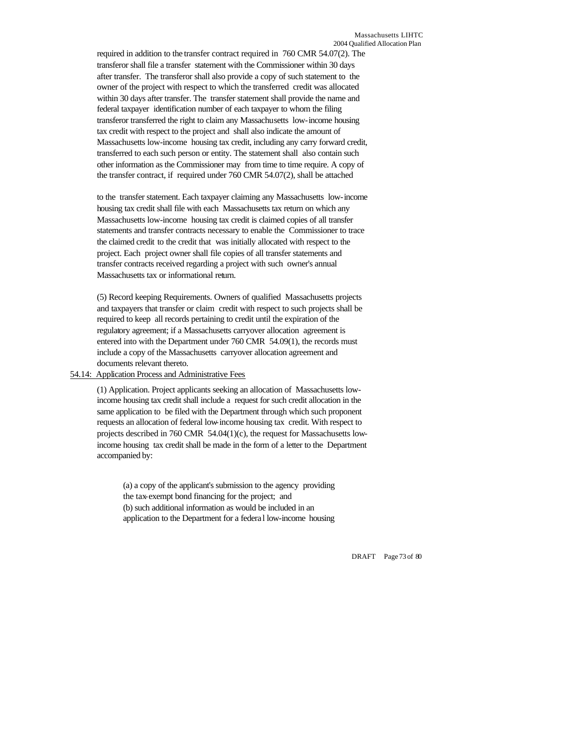required in addition to the transfer contract required in 760 CMR 54.07(2). The transferor shall file a transfer statement with the Commissioner within 30 days after transfer. The transferor shall also provide a copy of such statement to the owner of the project with respect to which the transferred credit was allocated within 30 days after transfer. The transfer statement shall provide the name and federal taxpayer identification number of each taxpayer to whom the filing transferor transferred the right to claim any Massachusetts low-income housing tax credit with respect to the project and shall also indicate the amount of Massachusetts low-income housing tax credit, including any carry forward credit, transferred to each such person or entity. The statement shall also contain such other information as the Commissioner may from time to time require. A copy of the transfer contract, if required under 760 CMR 54.07(2), shall be attached

to the transfer statement. Each taxpayer claiming any Massachusetts low-income housing tax credit shall file with each Massachusetts tax return on which any Massachusetts low-income housing tax credit is claimed copies of all transfer statements and transfer contracts necessary to enable the Commissioner to trace the claimed credit to the credit that was initially allocated with respect to the project. Each project owner shall file copies of all transfer statements and transfer contracts received regarding a project with such owner's annual Massachusetts tax or informational return.

(5) Record keeping Requirements. Owners of qualified Massachusetts projects and taxpayers that transfer or claim credit with respect to such projects shall be required to keep all records pertaining to credit until the expiration of the regulatory agreement; if a Massachusetts carryover allocation agreement is entered into with the Department under 760 CMR 54.09(1), the records must include a copy of the Massachusetts carryover allocation agreement and documents relevant thereto.

## 54.14: Application Process and Administrative Fees

(1) Application. Project applicants seeking an allocation of Massachusetts lowincome housing tax credit shall include a request for such credit allocation in the same application to be filed with the Department through which such proponent requests an allocation of federal low-income housing tax credit. With respect to projects described in 760 CMR 54.04(1)(c), the request for Massachusetts lowincome housing tax credit shall be made in the form of a letter to the Department accompanied by:

(a) a copy of the applicant's submission to the agency providing the tax-exempt bond financing for the project; and (b) such additional information as would be included in an application to the Department for a federa l low-income housing

DRAFT Page 73 of 80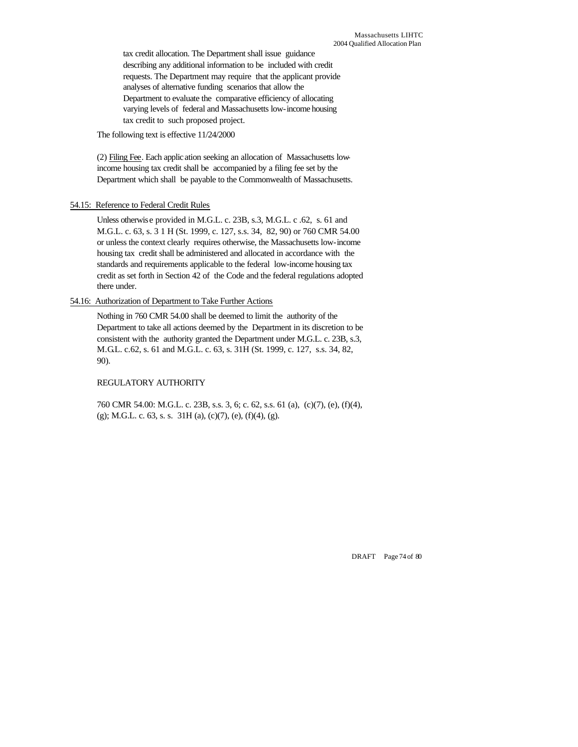tax credit allocation. The Department shall issue guidance describing any additional information to be included with credit requests. The Department may require that the applicant provide analyses of alternative funding scenarios that allow the Department to evaluate the comparative efficiency of allocating varying levels of federal and Massachusetts low-income housing tax credit to such proposed project.

The following text is effective 11/24/2000

(2) Filing Fee. Each applic ation seeking an allocation of Massachusetts lowincome housing tax credit shall be accompanied by a filing fee set by the Department which shall be payable to the Commonwealth of Massachusetts.

#### 54.15: Reference to Federal Credit Rules

Unless otherwis e provided in M.G.L. c. 23B, s.3, M.G.L. c .62, s. 61 and M.G.L. c. 63, s. 3 1 H (St. 1999, c. 127, s.s. 34, 82, 90) or 760 CMR 54.00 or unless the context clearly requires otherwise, the Massachusetts low-income housing tax credit shall be administered and allocated in accordance with the standards and requirements applicable to the federal low-income housing tax credit as set forth in Section 42 of the Code and the federal regulations adopted there under.

54.16: Authorization of Department to Take Further Actions

Nothing in 760 CMR 54.00 shall be deemed to limit the authority of the Department to take all actions deemed by the Department in its discretion to be consistent with the authority granted the Department under M.G.L. c. 23B, s.3, M.G.L. c.62, s. 61 and M.G.L. c. 63, s. 31H (St. 1999, c. 127, s.s. 34, 82, 90).

### REGULATORY AUTHORITY

760 CMR 54.00: M.G.L. c. 23B, s.s. 3, 6; c. 62, s.s. 61 (a), (c)(7), (e), (f)(4), (g); M.G.L. c. 63, s. s.  $31H$  (a), (c)(7), (e), (f)(4), (g).

DRAFT Page 74 of 80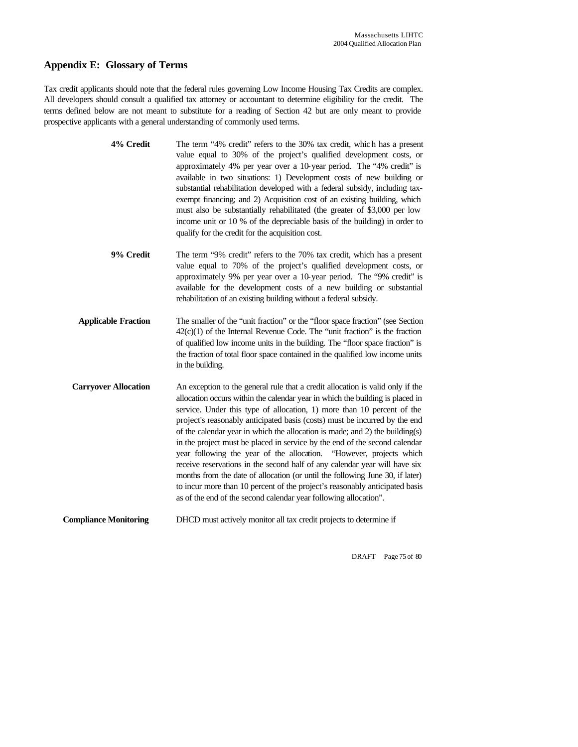### **Appendix E: Glossary of Terms**

Tax credit applicants should note that the federal rules governing Low Income Housing Tax Credits are complex. All developers should consult a qualified tax attorney or accountant to determine eligibility for the credit. The terms defined below are not meant to substitute for a reading of Section 42 but are only meant to provide prospective applicants with a general understanding of commonly used terms.

| 4% Credit                    | The term "4% credit" refers to the 30% tax credit, which has a present<br>value equal to 30% of the project's qualified development costs, or<br>approximately 4% per year over a 10-year period. The "4% credit" is<br>available in two situations: 1) Development costs of new building or<br>substantial rehabilitation developed with a federal subsidy, including tax-<br>exempt financing; and 2) Acquisition cost of an existing building, which<br>must also be substantially rehabilitated (the greater of \$3,000 per low<br>income unit or 10 % of the depreciable basis of the building) in order to<br>qualify for the credit for the acquisition cost.                                                                                                                                                                                                              |
|------------------------------|-----------------------------------------------------------------------------------------------------------------------------------------------------------------------------------------------------------------------------------------------------------------------------------------------------------------------------------------------------------------------------------------------------------------------------------------------------------------------------------------------------------------------------------------------------------------------------------------------------------------------------------------------------------------------------------------------------------------------------------------------------------------------------------------------------------------------------------------------------------------------------------|
| 9% Credit                    | The term "9% credit" refers to the 70% tax credit, which has a present<br>value equal to 70% of the project's qualified development costs, or<br>approximately 9% per year over a 10-year period. The "9% credit" is<br>available for the development costs of a new building or substantial<br>rehabilitation of an existing building without a federal subsidy.                                                                                                                                                                                                                                                                                                                                                                                                                                                                                                                 |
| <b>Applicable Fraction</b>   | The smaller of the "unit fraction" or the "floor space fraction" (see Section<br>$42(c)(1)$ of the Internal Revenue Code. The "unit fraction" is the fraction<br>of qualified low income units in the building. The "floor space fraction" is<br>the fraction of total floor space contained in the qualified low income units<br>in the building.                                                                                                                                                                                                                                                                                                                                                                                                                                                                                                                                |
| <b>Carryover Allocation</b>  | An exception to the general rule that a credit allocation is valid only if the<br>allocation occurs within the calendar year in which the building is placed in<br>service. Under this type of allocation, 1) more than 10 percent of the<br>project's reasonably anticipated basis (costs) must be incurred by the end<br>of the calendar year in which the allocation is made; and $2$ ) the building(s)<br>in the project must be placed in service by the end of the second calendar<br>year following the year of the allocation. "However, projects which<br>receive reservations in the second half of any calendar year will have six<br>months from the date of allocation (or until the following June 30, if later)<br>to incur more than 10 percent of the project's reasonably anticipated basis<br>as of the end of the second calendar year following allocation". |
| <b>Compliance Monitoring</b> | DHCD must actively monitor all tax credit projects to determine if                                                                                                                                                                                                                                                                                                                                                                                                                                                                                                                                                                                                                                                                                                                                                                                                                |

DRAFT Page 75 of 80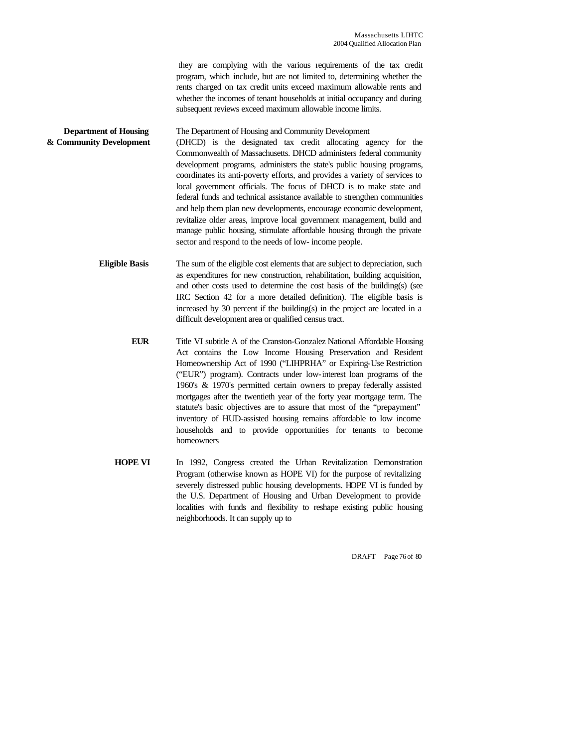they are complying with the various requirements of the tax credit program, which include, but are not limited to, determining whether the rents charged on tax credit units exceed maximum allowable rents and whether the incomes of tenant households at initial occupancy and during subsequent reviews exceed maximum allowable income limits.

**Department of Housing** The Department of Housing and Community Development **& Community Development** (DHCD) is the designated tax credit allocating agency for the Commonwealth of Massachusetts. DHCD administers federal community development programs, administers the state's public housing programs, coordinates its anti-poverty efforts, and provides a variety of services to local government officials. The focus of DHCD is to make state and federal funds and technical assistance available to strengthen communities and help them plan new developments, encourage economic development, revitalize older areas, improve local government management, build and manage public housing, stimulate affordable housing through the private sector and respond to the needs of low- income people.

- **Eligible Basis** The sum of the eligible cost elements that are subject to depreciation, such as expenditures for new construction, rehabilitation, building acquisition, and other costs used to determine the cost basis of the building(s) (see IRC Section 42 for a more detailed definition). The eligible basis is increased by 30 percent if the building(s) in the project are located in a difficult development area or qualified census tract.
	- **EUR** Title VI subtitle A of the Cranston-Gonzalez National Affordable Housing Act contains the Low Income Housing Preservation and Resident Homeownership Act of 1990 ("LIHPRHA" or Expiring-Use Restriction ("EUR") program). Contracts under low-interest loan programs of the 1960's & 1970's permitted certain owners to prepay federally assisted mortgages after the twentieth year of the forty year mortgage term. The statute's basic objectives are to assure that most of the "prepayment" inventory of HUD-assisted housing remains affordable to low income households and to provide opportunities for tenants to become homeowners
	- **HOPE VI** In 1992, Congress created the Urban Revitalization Demonstration Program (otherwise known as HOPE VI) for the purpose of revitalizing severely distressed public housing developments. HOPE VI is funded by the U.S. Department of Housing and Urban Development to provide localities with funds and flexibility to reshape existing public housing neighborhoods. It can supply up to

DRAFT Page 76 of 80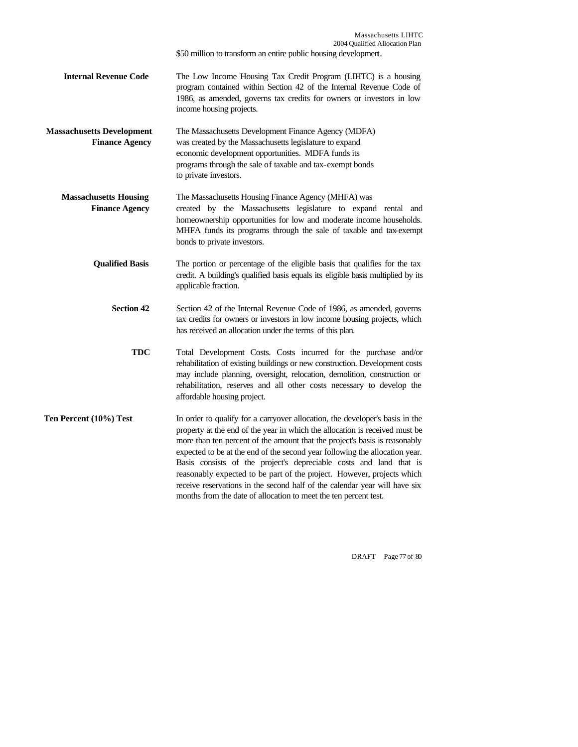|                                                           | Massachusetts LIHTC<br>2004 Qualified Allocation Plan<br>\$50 million to transform an entire public housing development.                                                                                                                                                                                                                                                                                                                                                                                                                                                                                                   |
|-----------------------------------------------------------|----------------------------------------------------------------------------------------------------------------------------------------------------------------------------------------------------------------------------------------------------------------------------------------------------------------------------------------------------------------------------------------------------------------------------------------------------------------------------------------------------------------------------------------------------------------------------------------------------------------------------|
| <b>Internal Revenue Code</b>                              | The Low Income Housing Tax Credit Program (LIHTC) is a housing<br>program contained within Section 42 of the Internal Revenue Code of<br>1986, as amended, governs tax credits for owners or investors in low<br>income housing projects.                                                                                                                                                                                                                                                                                                                                                                                  |
| <b>Massachusetts Development</b><br><b>Finance Agency</b> | The Massachusetts Development Finance Agency (MDFA)<br>was created by the Massachusetts legislature to expand<br>economic development opportunities. MDFA funds its<br>programs through the sale of taxable and tax-exempt bonds<br>to private investors.                                                                                                                                                                                                                                                                                                                                                                  |
| <b>Massachusetts Housing</b><br><b>Finance Agency</b>     | The Massachusetts Housing Finance Agency (MHFA) was<br>created by the Massachusetts legislature to expand rental and<br>homeownership opportunities for low and moderate income households.<br>MHFA funds its programs through the sale of taxable and tax-exempt<br>bonds to private investors.                                                                                                                                                                                                                                                                                                                           |
| <b>Qualified Basis</b>                                    | The portion or percentage of the eligible basis that qualifies for the tax<br>credit. A building's qualified basis equals its eligible basis multiplied by its<br>applicable fraction.                                                                                                                                                                                                                                                                                                                                                                                                                                     |
| <b>Section 42</b>                                         | Section 42 of the Internal Revenue Code of 1986, as amended, governs<br>tax credits for owners or investors in low income housing projects, which<br>has received an allocation under the terms of this plan.                                                                                                                                                                                                                                                                                                                                                                                                              |
| <b>TDC</b>                                                | Total Development Costs. Costs incurred for the purchase and/or<br>rehabilitation of existing buildings or new construction. Development costs<br>may include planning, oversight, relocation, demolition, construction or<br>rehabilitation, reserves and all other costs necessary to develop the<br>affordable housing project.                                                                                                                                                                                                                                                                                         |
| Ten Percent (10%) Test                                    | In order to qualify for a carryover allocation, the developer's basis in the<br>property at the end of the year in which the allocation is received must be<br>more than ten percent of the amount that the project's basis is reasonably<br>expected to be at the end of the second year following the allocation year.<br>Basis consists of the project's depreciable costs and land that is<br>reasonably expected to be part of the project. However, projects which<br>receive reservations in the second half of the calendar year will have six<br>months from the date of allocation to meet the ten percent test. |

DRAFT Page 77 of 80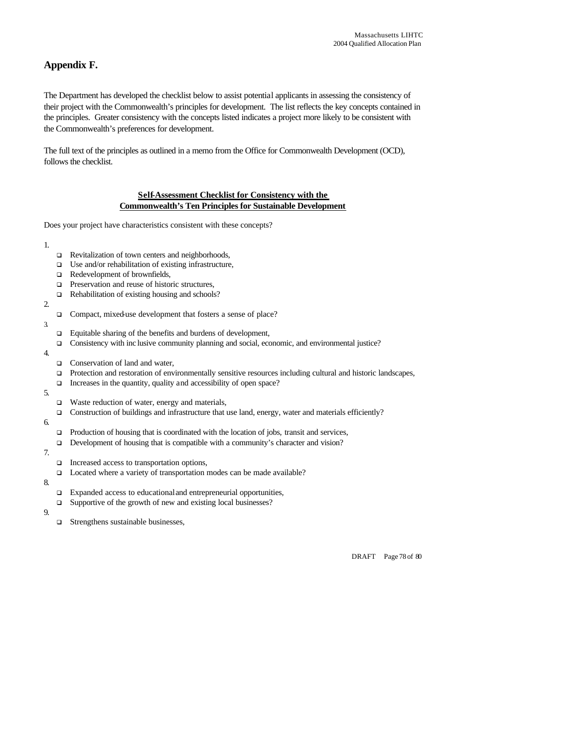## **Appendix F.**

The Department has developed the checklist below to assist potential applicants in assessing the consistency of their project with the Commonwealth's principles for development. The list reflects the key concepts contained in the principles. Greater consistency with the concepts listed indicates a project more likely to be consistent with the Commonwealth's preferences for development.

The full text of the principles as outlined in a memo from the Office for Commonwealth Development (OCD), follows the checklist.

#### **Self-Assessment Checklist for Consistency with the Commonwealth's Ten Principles for Sustainable Development**

Does your project have characteristics consistent with these concepts?

1.

- **Q** Revitalization of town centers and neighborhoods,
- □ Use and/or rehabilitation of existing infrastructure,
- **q** Redevelopment of brownfields,
- $\Box$  Preservation and reuse of historic structures,
- $\Box$  Rehabilitation of existing housing and schools?

2. 3.

- □ Compact, mixed-use development that fosters a sense of place?
- $\Box$  Equitable sharing of the benefits and burdens of development,
- q Consistency with inc lusive community planning and social, economic, and environmental justice?

4.

- □ Conservation of land and water,
- q Protection and restoration of environmentally sensitive resources including cultural and historic landscapes,
- $\Box$  Increases in the quantity, quality and accessibility of open space?

5.

- $\Box$  Waste reduction of water, energy and materials,
- q Construction of buildings and infrastructure that use land, energy, water and materials efficiently?

6.

- $\Box$  Production of housing that is coordinated with the location of jobs, transit and services,
- $\Box$  Development of housing that is compatible with a community's character and vision?

7.

- $\Box$  Increased access to transportation options,
- □ Located where a variety of transportation modes can be made available?
- 8.
- $\Box$  Expanded access to educational and entrepreneurial opportunities,
- □ Supportive of the growth of new and existing local businesses?

**9** 

 $\Box$  Strengthens sustainable businesses,

DRAFT Page 78 of 80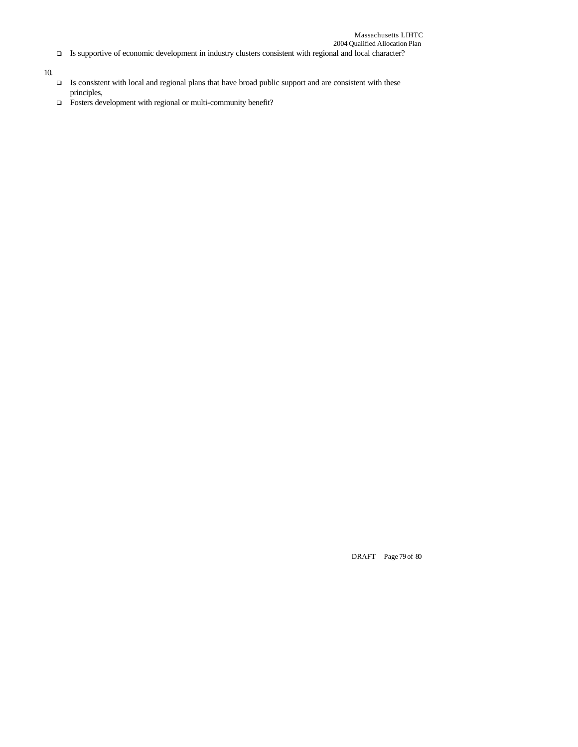Massachusetts LIHTC 2004 Qualified Allocation Plan

- □ Is supportive of economic development in industry clusters consistent with regional and local character?
- 10.
- q Is consistent with local and regional plans that have broad public support and are consistent with these principles,
- $\hfill\Box$  Fosters development with regional or multi-community benefit?

DRAFT Page 79 of 80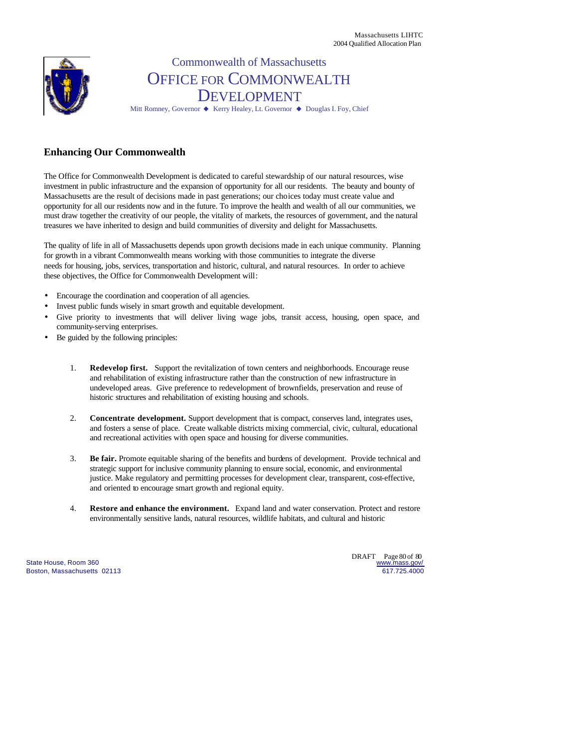

# Commonwealth of Massachusetts OFFICE FOR COMMONWEALTH DEVELOPMENT

Mitt Romney, Governor  $\blacklozenge$  Kerry Healey, Lt. Governor  $\blacklozenge$  Douglas I. Foy, Chief

## **Enhancing Our Commonwealth**

The Office for Commonwealth Development is dedicated to careful stewardship of our natural resources, wise investment in public infrastructure and the expansion of opportunity for all our residents. The beauty and bounty of Massachusetts are the result of decisions made in past generations; our choices today must create value and opportunity for all our residents now and in the future. To improve the health and wealth of all our communities, we must draw together the creativity of our people, the vitality of markets, the resources of government, and the natural treasures we have inherited to design and build communities of diversity and delight for Massachusetts.

The quality of life in all of Massachusetts depends upon growth decisions made in each unique community. Planning for growth in a vibrant Commonwealth means working with those communities to integrate the diverse needs for housing, jobs, services, transportation and historic, cultural, and natural resources. In order to achieve these objectives, the Office for Commonwealth Development will:

- Encourage the coordination and cooperation of all agencies.
- Invest public funds wisely in smart growth and equitable development.
- Give priority to investments that will deliver living wage jobs, transit access, housing, open space, and community-serving enterprises.
- Be guided by the following principles:
	- 1. **Redevelop first.** Support the revitalization of town centers and neighborhoods. Encourage reuse and rehabilitation of existing infrastructure rather than the construction of new infrastructure in undeveloped areas. Give preference to redevelopment of brownfields, preservation and reuse of historic structures and rehabilitation of existing housing and schools.
	- 2. **Concentrate development.** Support development that is compact, conserves land, integrates uses, and fosters a sense of place. Create walkable districts mixing commercial, civic, cultural, educational and recreational activities with open space and housing for diverse communities.
	- 3. **Be fair.** Promote equitable sharing of the benefits and burdens of development. Provide technical and strategic support for inclusive community planning to ensure social, economic, and environmental justice. Make regulatory and permitting processes for development clear, transparent, cost-effective, and oriented to encourage smart growth and regional equity.
	- 4. **Restore and enhance the environment.** Expand land and water conservation. Protect and restore environmentally sensitive lands, natural resources, wildlife habitats, and cultural and historic

State House, Room 360 Boston, Massachusetts 02113 617.725.4000

DRAFT Page 80 of 80<br>www.mass.gov/